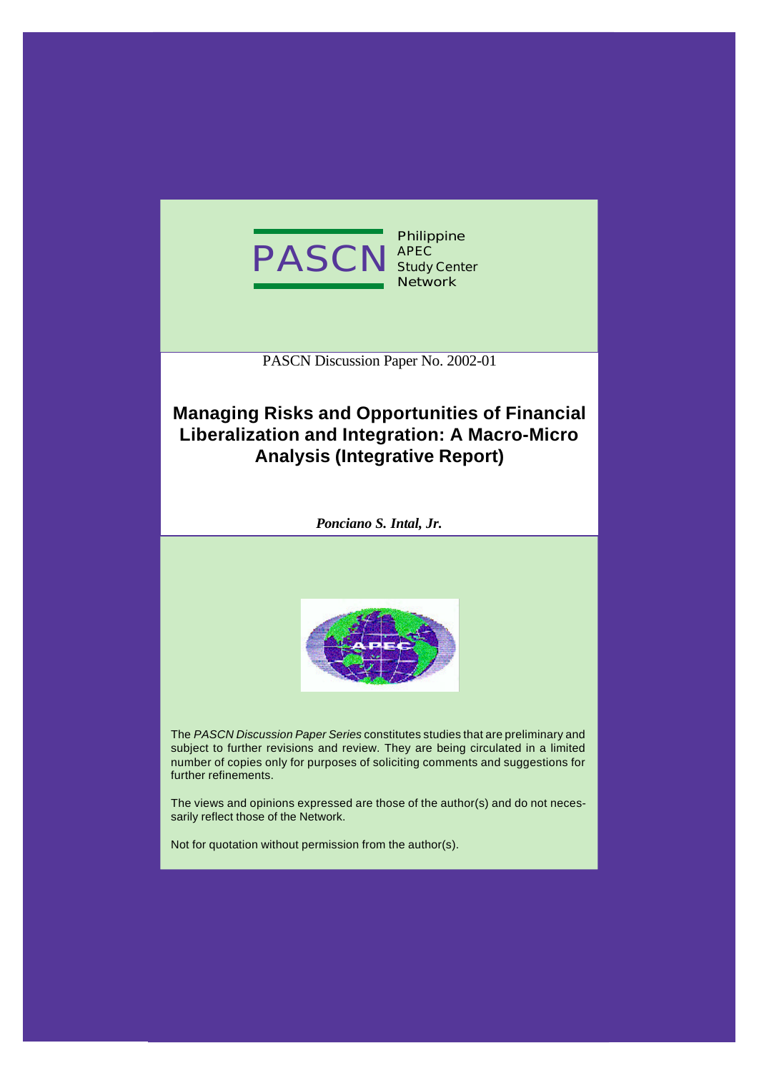

PASCN Discussion Paper No. 2002-01

# **Managing Risks and Opportunities of Financial Liberalization and Integration: A Macro-Micro Analysis (Integrative Report)**

*Ponciano S. Intal, Jr.*



The *PASCN Discussion Paper Series* constitutes studies that are preliminary and subject to further revisions and review. They are being circulated in a limited number of copies only for purposes of soliciting comments and suggestions for further refinements.

The views and opinions expressed are those of the author(s) and do not necessarily reflect those of the Network.

Not for quotation without permission from the author(s).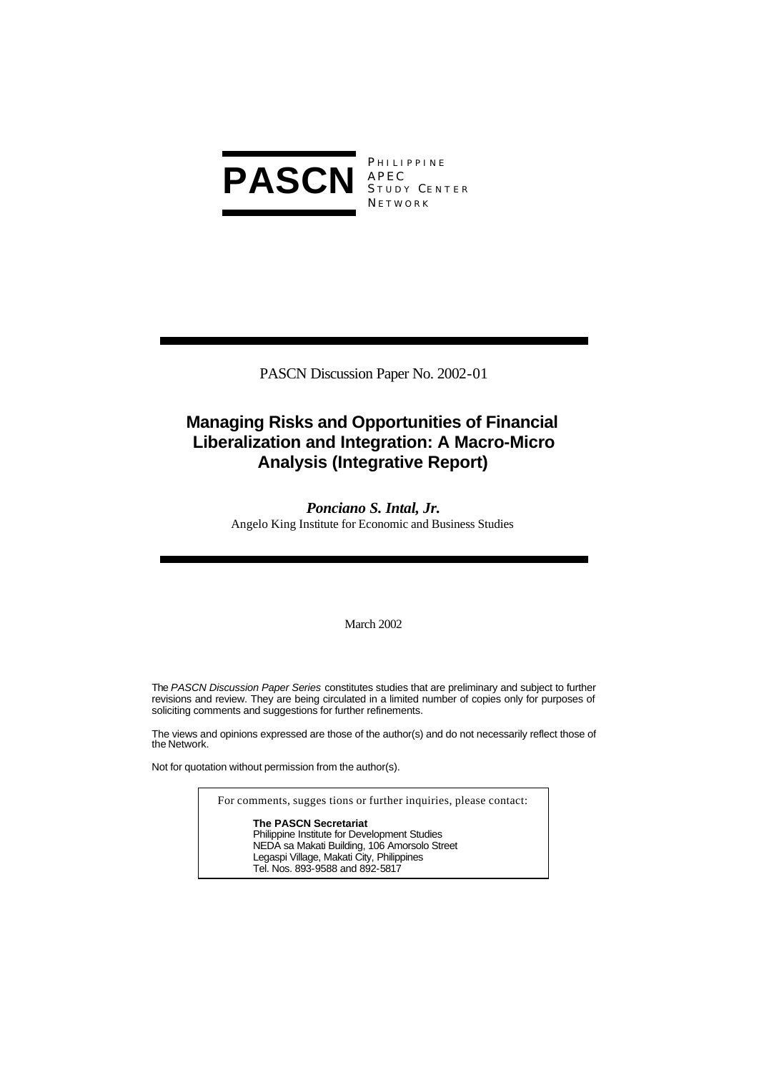

PASCN Discussion Paper No. 2002-01

# **Managing Risks and Opportunities of Financial Liberalization and Integration: A Macro-Micro Analysis (Integrative Report)**

*Ponciano S. Intal, Jr.* Angelo King Institute for Economic and Business Studies

March 2002

The *PASCN Discussion Paper Series* constitutes studies that are preliminary and subject to further revisions and review. They are being circulated in a limited number of copies only for purposes of soliciting comments and suggestions for further refinements.

The views and opinions expressed are those of the author(s) and do not necessarily reflect those of the Network.

Not for quotation without permission from the author(s).

For comments, sugges tions or further inquiries, please contact:

**The PASCN Secretariat** Philippine Institute for Development Studies NEDA sa Makati Building, 106 Amorsolo Street Legaspi Village, Makati City, Philippines Tel. Nos. 893-9588 and 892-5817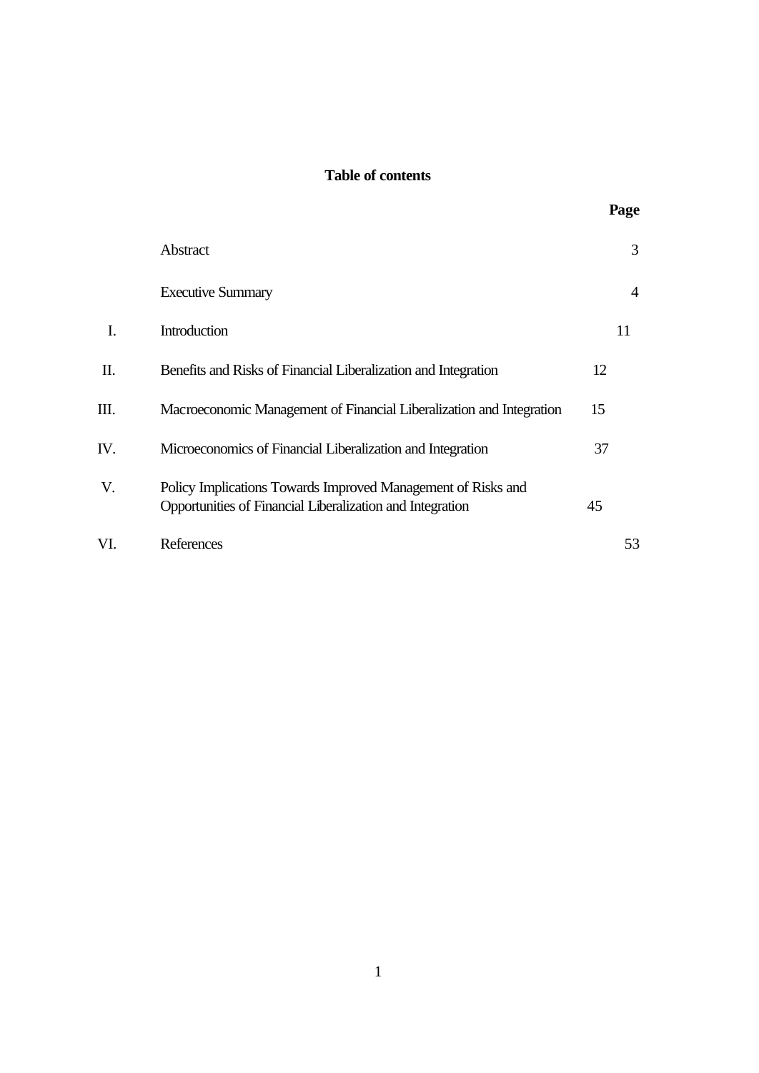# **Table of contents**

|     | Abstract                                                                                                                  |    | 3              |
|-----|---------------------------------------------------------------------------------------------------------------------------|----|----------------|
|     | <b>Executive Summary</b>                                                                                                  |    | $\overline{4}$ |
| Ι.  | Introduction                                                                                                              |    | 11             |
| Π.  | Benefits and Risks of Financial Liberalization and Integration                                                            | 12 |                |
| Ш.  | Macroeconomic Management of Financial Liberalization and Integration                                                      | 15 |                |
| IV. | Microeconomics of Financial Liberalization and Integration                                                                | 37 |                |
| V.  | Policy Implications Towards Improved Management of Risks and<br>Opportunities of Financial Liberalization and Integration | 45 |                |
| VI. | References                                                                                                                |    | 53             |

**Page**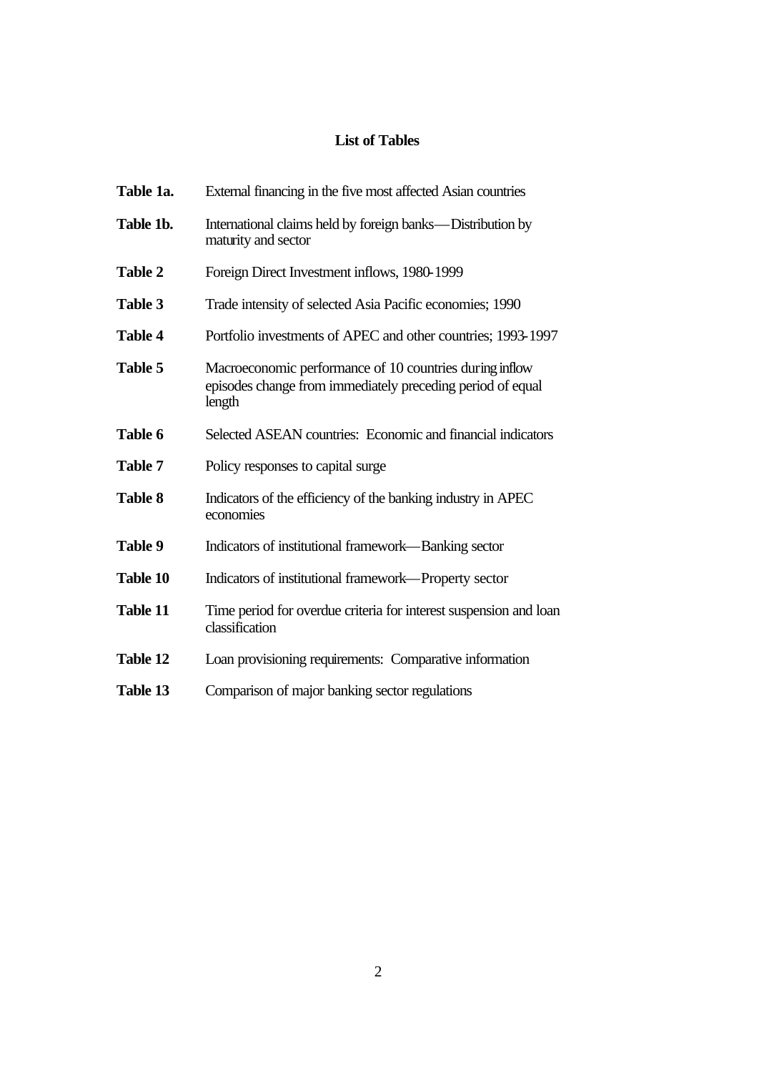# **List of Tables**

| Table 1a.      | External financing in the five most affected Asian countries                                                                    |
|----------------|---------------------------------------------------------------------------------------------------------------------------------|
| Table 1b.      | International claims held by foreign banks—Distribution by<br>maturity and sector                                               |
| <b>Table 2</b> | Foreign Direct Investment inflows, 1980-1999                                                                                    |
| Table 3        | Trade intensity of selected Asia Pacific economies; 1990                                                                        |
| <b>Table 4</b> | Portfolio investments of APEC and other countries; 1993-1997                                                                    |
| Table 5        | Macroeconomic performance of 10 countries during inflow<br>episodes change from immediately preceding period of equal<br>length |
| Table 6        | Selected ASEAN countries: Economic and financial indicators                                                                     |
| <b>Table 7</b> | Policy responses to capital surge.                                                                                              |
| <b>Table 8</b> | Indicators of the efficiency of the banking industry in APEC<br>economies                                                       |
| Table 9        | Indicators of institutional framework—Banking sector                                                                            |
| Table 10       | Indicators of institutional framework—Property sector                                                                           |
| Table 11       | Time period for overdue criteria for interest suspension and loan<br>classification                                             |
| Table 12       | Loan provisioning requirements: Comparative information                                                                         |
| Table 13       | Comparison of major banking sector regulations                                                                                  |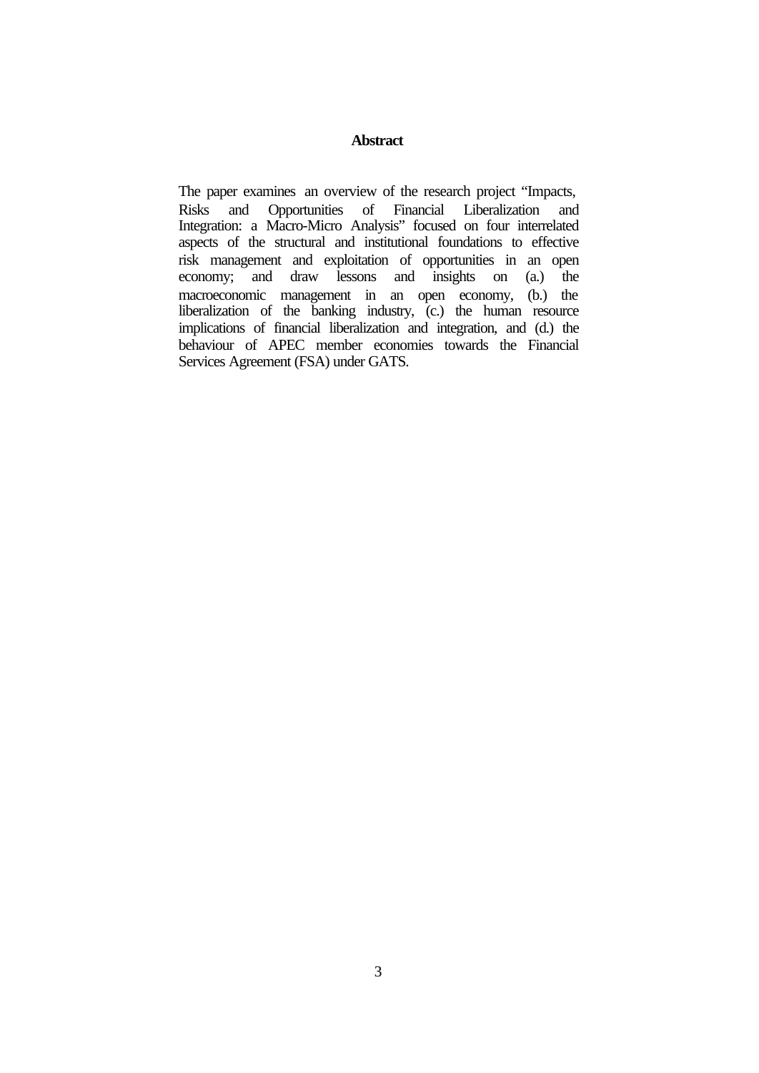# **Abstract**

The paper examines an overview of the research project "Impacts, Risks and Opportunities of Financial Liberalization and Integration: a Macro-Micro Analysis" focused on four interrelated aspects of the structural and institutional foundations to effective risk management and exploitation of opportunities in an open<br>economy; and draw lessons and insights on (a.) the and insights on (a.) the macroeconomic management in an open economy, (b.) the liberalization of the banking industry, (c.) the human resource implications of financial liberalization and integration, and (d.) the behaviour of APEC member economies towards the Financial Services Agreement (FSA) under GATS.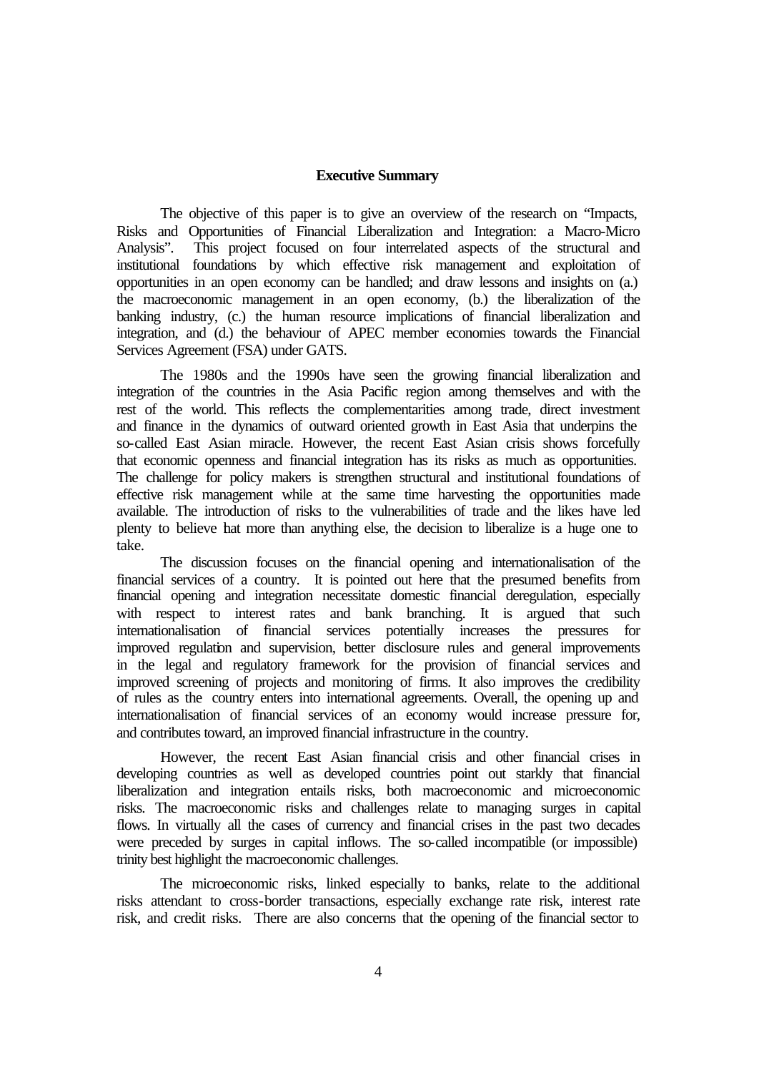### **Executive Summary**

The objective of this paper is to give an overview of the research on "Impacts, Risks and Opportunities of Financial Liberalization and Integration: a Macro-Micro Analysis". This project focused on four interrelated aspects of the structural and institutional foundations by which effective risk management and exploitation of opportunities in an open economy can be handled; and draw lessons and insights on (a.) the macroeconomic management in an open economy, (b.) the liberalization of the banking industry, (c.) the human resource implications of financial liberalization and integration, and (d.) the behaviour of APEC member economies towards the Financial Services Agreement (FSA) under GATS.

The 1980s and the 1990s have seen the growing financial liberalization and integration of the countries in the Asia Pacific region among themselves and with the rest of the world. This reflects the complementarities among trade, direct investment and finance in the dynamics of outward oriented growth in East Asia that underpins the so-called East Asian miracle. However, the recent East Asian crisis shows forcefully that economic openness and financial integration has its risks as much as opportunities. The challenge for policy makers is strengthen structural and institutional foundations of effective risk management while at the same time harvesting the opportunities made available. The introduction of risks to the vulnerabilities of trade and the likes have led plenty to believe that more than anything else, the decision to liberalize is a huge one to take.

The discussion focuses on the financial opening and internationalisation of the financial services of a country. It is pointed out here that the presumed benefits from financial opening and integration necessitate domestic financial deregulation, especially with respect to interest rates and bank branching. It is argued that such internationalisation of financial services potentially increases the pressures for improved regulation and supervision, better disclosure rules and general improvements in the legal and regulatory framework for the provision of financial services and improved screening of projects and monitoring of firms. It also improves the credibility of rules as the country enters into international agreements. Overall, the opening up and internationalisation of financial services of an economy would increase pressure for, and contributes toward, an improved financial infrastructure in the country.

However, the recent East Asian financial crisis and other financial crises in developing countries as well as developed countries point out starkly that financial liberalization and integration entails risks, both macroeconomic and microeconomic risks. The macroeconomic risks and challenges relate to managing surges in capital flows. In virtually all the cases of currency and financial crises in the past two decades were preceded by surges in capital inflows. The so-called incompatible (or impossible) trinity best highlight the macroeconomic challenges.

The microeconomic risks, linked especially to banks, relate to the additional risks attendant to cross-border transactions, especially exchange rate risk, interest rate risk, and credit risks. There are also concerns that the opening of the financial sector to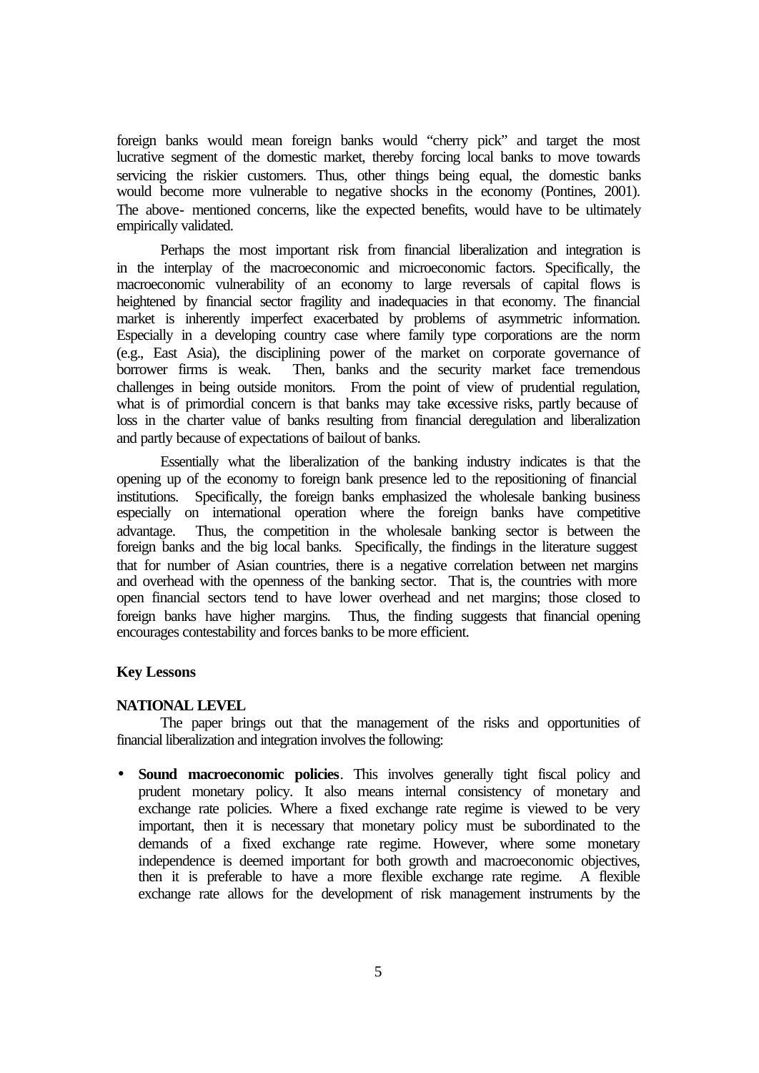foreign banks would mean foreign banks would "cherry pick" and target the most lucrative segment of the domestic market, thereby forcing local banks to move towards servicing the riskier customers. Thus, other things being equal, the domestic banks would become more vulnerable to negative shocks in the economy (Pontines, 2001). The above- mentioned concerns, like the expected benefits, would have to be ultimately empirically validated.

Perhaps the most important risk from financial liberalization and integration is in the interplay of the macroeconomic and microeconomic factors. Specifically, the macroeconomic vulnerability of an economy to large reversals of capital flows is heightened by financial sector fragility and inadequacies in that economy. The financial market is inherently imperfect exacerbated by problems of asymmetric information. Especially in a developing country case where family type corporations are the norm (e.g., East Asia), the disciplining power of the market on corporate governance of Then, banks and the security market face tremendous challenges in being outside monitors. From the point of view of prudential regulation, what is of primordial concern is that banks may take excessive risks, partly because of loss in the charter value of banks resulting from financial deregulation and liberalization and partly because of expectations of bailout of banks.

Essentially what the liberalization of the banking industry indicates is that the opening up of the economy to foreign bank presence led to the repositioning of financial institutions. Specifically, the foreign banks emphasized the wholesale banking business especially on international operation where the foreign banks have competitive advantage. Thus, the competition in the wholesale banking sector is between the foreign banks and the big local banks. Specifically, the findings in the literature suggest that for number of Asian countries, there is a negative correlation between net margins and overhead with the openness of the banking sector. That is, the countries with more open financial sectors tend to have lower overhead and net margins; those closed to foreign banks have higher margins. Thus, the finding suggests that financial opening encourages contestability and forces banks to be more efficient.

#### **Key Lessons**

# **NATIONAL LEVEL**

The paper brings out that the management of the risks and opportunities of financial liberalization and integration involves the following:

• **Sound macroeconomic policies**. This involves generally tight fiscal policy and prudent monetary policy. It also means internal consistency of monetary and exchange rate policies. Where a fixed exchange rate regime is viewed to be very important, then it is necessary that monetary policy must be subordinated to the demands of a fixed exchange rate regime. However, where some monetary independence is deemed important for both growth and macroeconomic objectives, then it is preferable to have a more flexible exchange rate regime. A flexible exchange rate allows for the development of risk management instruments by the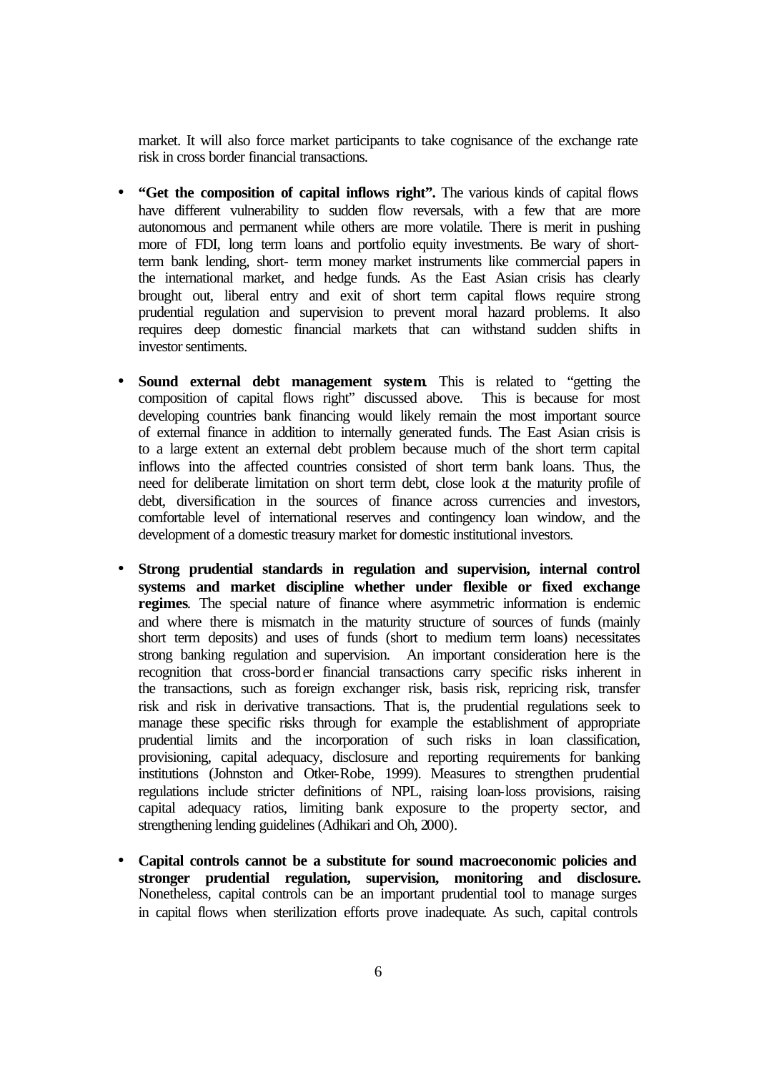market. It will also force market participants to take cognisance of the exchange rate risk in cross border financial transactions.

- **"Get the composition of capital inflows right".** The various kinds of capital flows have different vulnerability to sudden flow reversals, with a few that are more autonomous and permanent while others are more volatile. There is merit in pushing more of FDI, long term loans and portfolio equity investments. Be wary of shortterm bank lending, short- term money market instruments like commercial papers in the international market, and hedge funds. As the East Asian crisis has clearly brought out, liberal entry and exit of short term capital flows require strong prudential regulation and supervision to prevent moral hazard problems. It also requires deep domestic financial markets that can withstand sudden shifts in investor sentiments.
- **Sound external debt management system**. This is related to "getting the composition of capital flows right" discussed above. This is because for most developing countries bank financing would likely remain the most important source of external finance in addition to internally generated funds. The East Asian crisis is to a large extent an external debt problem because much of the short term capital inflows into the affected countries consisted of short term bank loans. Thus, the need for deliberate limitation on short term debt, close look at the maturity profile of debt, diversification in the sources of finance across currencies and investors, comfortable level of international reserves and contingency loan window, and the development of a domestic treasury market for domestic institutional investors.
- **Strong prudential standards in regulation and supervision, internal control systems and market discipline whether under flexible or fixed exchange regimes**. The special nature of finance where asymmetric information is endemic and where there is mismatch in the maturity structure of sources of funds (mainly short term deposits) and uses of funds (short to medium term loans) necessitates strong banking regulation and supervision. An important consideration here is the recognition that cross-border financial transactions carry specific risks inherent in the transactions, such as foreign exchanger risk, basis risk, repricing risk, transfer risk and risk in derivative transactions. That is, the prudential regulations seek to manage these specific risks through for example the establishment of appropriate prudential limits and the incorporation of such risks in loan classification, provisioning, capital adequacy, disclosure and reporting requirements for banking institutions (Johnston and Otker-Robe, 1999). Measures to strengthen prudential regulations include stricter definitions of NPL, raising loan-loss provisions, raising capital adequacy ratios, limiting bank exposure to the property sector, and strengthening lending guidelines (Adhikari and Oh, 2000).
- **Capital controls cannot be a substitute for sound macroeconomic policies and stronger prudential regulation, supervision, monitoring and disclosure.** Nonetheless, capital controls can be an important prudential tool to manage surges in capital flows when sterilization efforts prove inadequate. As such, capital controls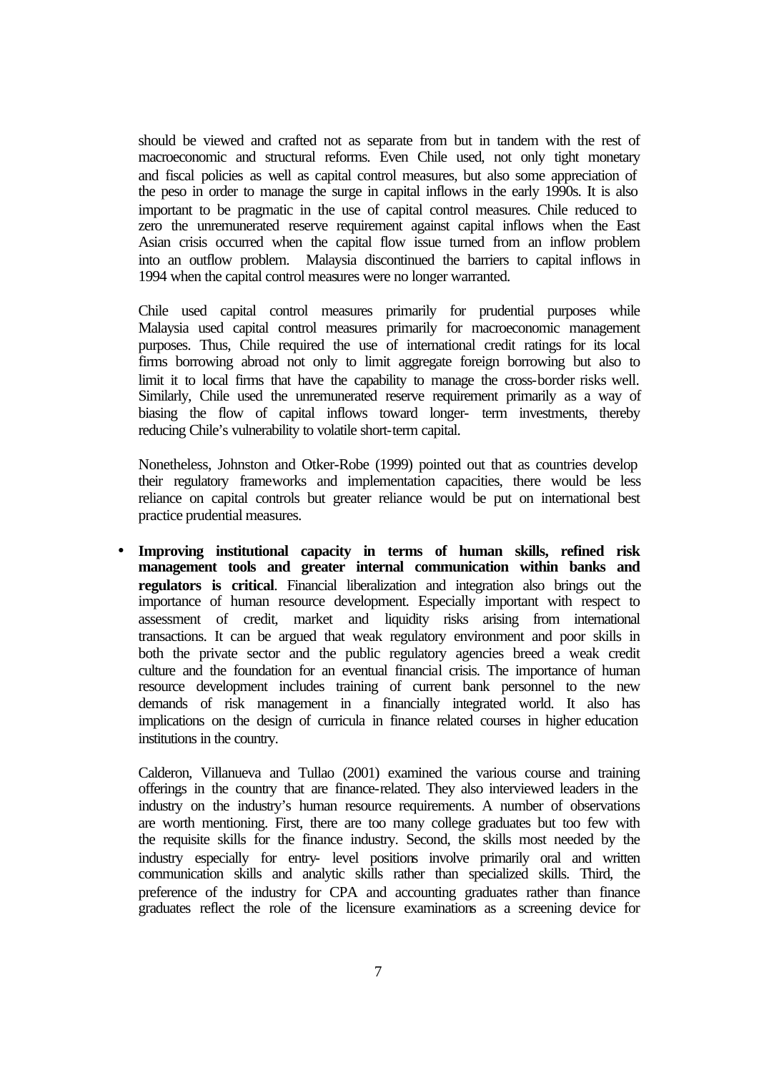should be viewed and crafted not as separate from but in tandem with the rest of macroeconomic and structural reforms. Even Chile used, not only tight monetary and fiscal policies as well as capital control measures, but also some appreciation of the peso in order to manage the surge in capital inflows in the early 1990s. It is also important to be pragmatic in the use of capital control measures. Chile reduced to zero the unremunerated reserve requirement against capital inflows when the East Asian crisis occurred when the capital flow issue turned from an inflow problem into an outflow problem. Malaysia discontinued the barriers to capital inflows in 1994 when the capital control measures were no longer warranted.

Chile used capital control measures primarily for prudential purposes while Malaysia used capital control measures primarily for macroeconomic management purposes. Thus, Chile required the use of international credit ratings for its local firms borrowing abroad not only to limit aggregate foreign borrowing but also to limit it to local firms that have the capability to manage the cross-border risks well. Similarly, Chile used the unremunerated reserve requirement primarily as a way of biasing the flow of capital inflows toward longer- term investments, thereby reducing Chile's vulnerability to volatile short-term capital.

Nonetheless, Johnston and Otker-Robe (1999) pointed out that as countries develop their regulatory frameworks and implementation capacities, there would be less reliance on capital controls but greater reliance would be put on international best practice prudential measures.

• **Improving institutional capacity in terms of human skills, refined risk management tools and greater internal communication within banks and regulators is critical**. Financial liberalization and integration also brings out the importance of human resource development. Especially important with respect to assessment of credit, market and liquidity risks arising from international transactions. It can be argued that weak regulatory environment and poor skills in both the private sector and the public regulatory agencies breed a weak credit culture and the foundation for an eventual financial crisis. The importance of human resource development includes training of current bank personnel to the new demands of risk management in a financially integrated world. It also has implications on the design of curricula in finance related courses in higher education institutions in the country.

Calderon, Villanueva and Tullao (2001) examined the various course and training offerings in the country that are finance-related. They also interviewed leaders in the industry on the industry's human resource requirements. A number of observations are worth mentioning. First, there are too many college graduates but too few with the requisite skills for the finance industry. Second, the skills most needed by the industry especially for entry- level positions involve primarily oral and written communication skills and analytic skills rather than specialized skills. Third, the preference of the industry for CPA and accounting graduates rather than finance graduates reflect the role of the licensure examinations as a screening device for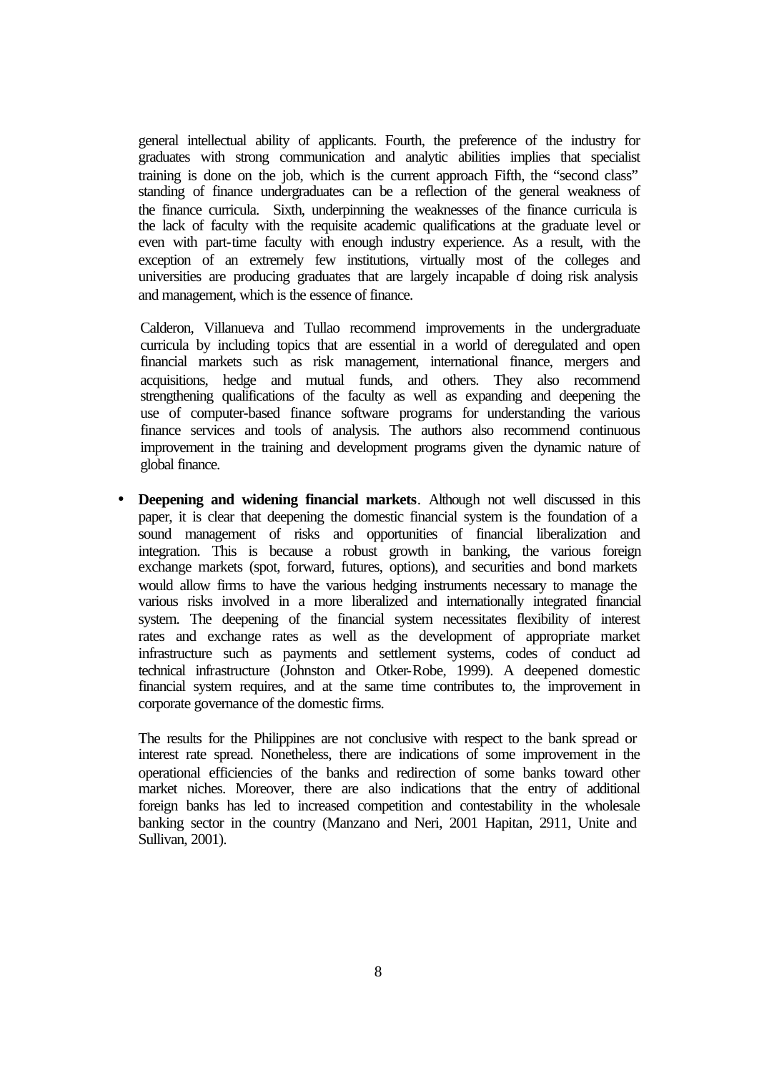general intellectual ability of applicants. Fourth, the preference of the industry for graduates with strong communication and analytic abilities implies that specialist training is done on the job, which is the current approach. Fifth, the "second class" standing of finance undergraduates can be a reflection of the general weakness of the finance curricula. Sixth, underpinning the weaknesses of the finance curricula is the lack of faculty with the requisite academic qualifications at the graduate level or even with part-time faculty with enough industry experience. As a result, with the exception of an extremely few institutions, virtually most of the colleges and universities are producing graduates that are largely incapable of doing risk analysis and management, which is the essence of finance.

Calderon, Villanueva and Tullao recommend improvements in the undergraduate curricula by including topics that are essential in a world of deregulated and open financial markets such as risk management, international finance, mergers and acquisitions, hedge and mutual funds, and others. They also recommend strengthening qualifications of the faculty as well as expanding and deepening the use of computer-based finance software programs for understanding the various finance services and tools of analysis. The authors also recommend continuous improvement in the training and development programs given the dynamic nature of global finance.

• **Deepening and widening financial markets**. Although not well discussed in this paper, it is clear that deepening the domestic financial system is the foundation of a sound management of risks and opportunities of financial liberalization and integration. This is because a robust growth in banking, the various foreign exchange markets (spot, forward, futures, options), and securities and bond markets would allow firms to have the various hedging instruments necessary to manage the various risks involved in a more liberalized and internationally integrated financial system. The deepening of the financial system necessitates flexibility of interest rates and exchange rates as well as the development of appropriate market infrastructure such as payments and settlement systems, codes of conduct ad technical infrastructure (Johnston and Otker-Robe, 1999). A deepened domestic financial system requires, and at the same time contributes to, the improvement in corporate governance of the domestic firms.

The results for the Philippines are not conclusive with respect to the bank spread or interest rate spread. Nonetheless, there are indications of some improvement in the operational efficiencies of the banks and redirection of some banks toward other market niches. Moreover, there are also indications that the entry of additional foreign banks has led to increased competition and contestability in the wholesale banking sector in the country (Manzano and Neri, 2001 Hapitan, 2911, Unite and Sullivan, 2001).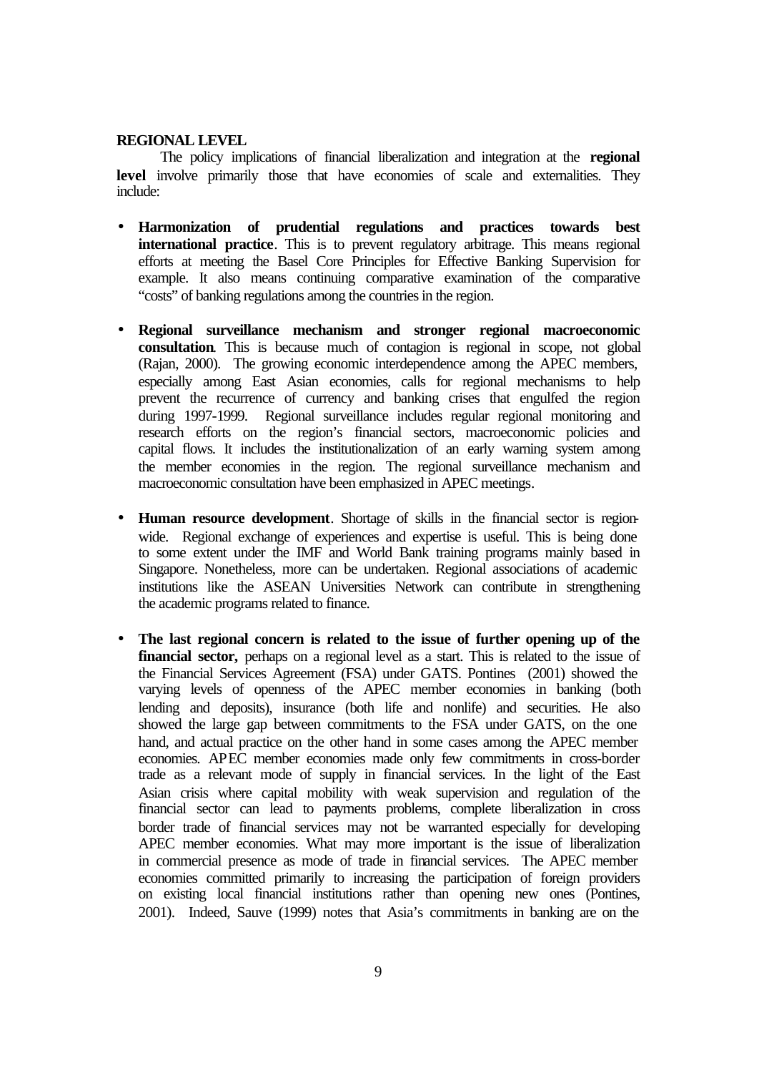#### **REGIONAL LEVEL**

The policy implications of financial liberalization and integration at the **regional**  level involve primarily those that have economies of scale and externalities. They include:

- **Harmonization of prudential regulations and practices towards best international practice**. This is to prevent regulatory arbitrage. This means regional efforts at meeting the Basel Core Principles for Effective Banking Supervision for example. It also means continuing comparative examination of the comparative "costs" of banking regulations among the countries in the region.
- **Regional surveillance mechanism and stronger regional macroeconomic consultation**. This is because much of contagion is regional in scope, not global (Rajan, 2000). The growing economic interdependence among the APEC members, especially among East Asian economies, calls for regional mechanisms to help prevent the recurrence of currency and banking crises that engulfed the region during 1997-1999. Regional surveillance includes regular regional monitoring and research efforts on the region's financial sectors, macroeconomic policies and capital flows. It includes the institutionalization of an early warning system among the member economies in the region. The regional surveillance mechanism and macroeconomic consultation have been emphasized in APEC meetings.
- **Human resource development**. Shortage of skills in the financial sector is regionwide. Regional exchange of experiences and expertise is useful. This is being done to some extent under the IMF and World Bank training programs mainly based in Singapore. Nonetheless, more can be undertaken. Regional associations of academic institutions like the ASEAN Universities Network can contribute in strengthening the academic programs related to finance.
- **The last regional concern is related to the issue of further opening up of the financial sector,** perhaps on a regional level as a start. This is related to the issue of the Financial Services Agreement (FSA) under GATS. Pontines (2001) showed the varying levels of openness of the APEC member economies in banking (both lending and deposits), insurance (both life and nonlife) and securities. He also showed the large gap between commitments to the FSA under GATS, on the one hand, and actual practice on the other hand in some cases among the APEC member economies. APEC member economies made only few commitments in cross-border trade as a relevant mode of supply in financial services. In the light of the East Asian crisis where capital mobility with weak supervision and regulation of the financial sector can lead to payments problems, complete liberalization in cross border trade of financial services may not be warranted especially for developing APEC member economies. What may more important is the issue of liberalization in commercial presence as mode of trade in financial services. The APEC member economies committed primarily to increasing the participation of foreign providers on existing local financial institutions rather than opening new ones (Pontines, 2001). Indeed, Sauve (1999) notes that Asia's commitments in banking are on the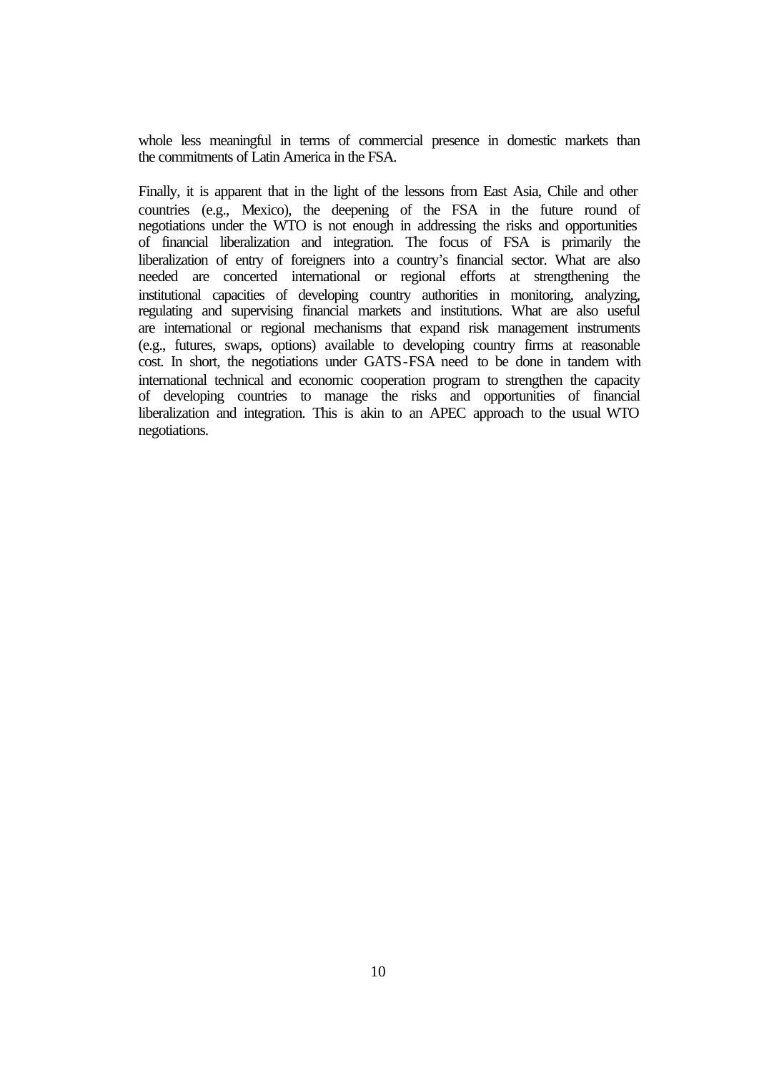whole less meaningful in terms of commercial presence in domestic markets than the commitments of Latin America in the FSA.

Finally, it is apparent that in the light of the lessons from East Asia, Chile and other countries (e.g., Mexico), the deepening of the FSA in the future round of negotiations under the WTO is not enough in addressing the risks and opportunities of financial liberalization and integration. The focus of FSA is primarily the liberalization of entry of foreigners into a country's financial sector. What are also needed are concerted international or regional efforts at strengthening the institutional capacities of developing country authorities in monitoring, analyzing, regulating and supervising financial markets and institutions. What are also useful are international or regional mechanisms that expand risk management instruments (e.g., futures, swaps, options) available to developing country firms at reasonable cost. In short, the negotiations under GATS-FSA need to be done in tandem with international technical and economic cooperation program to strengthen the capacity of developing countries to manage the risks and opportunities of financial liberalization and integration. This is akin to an APEC approach to the usual WTO negotiations.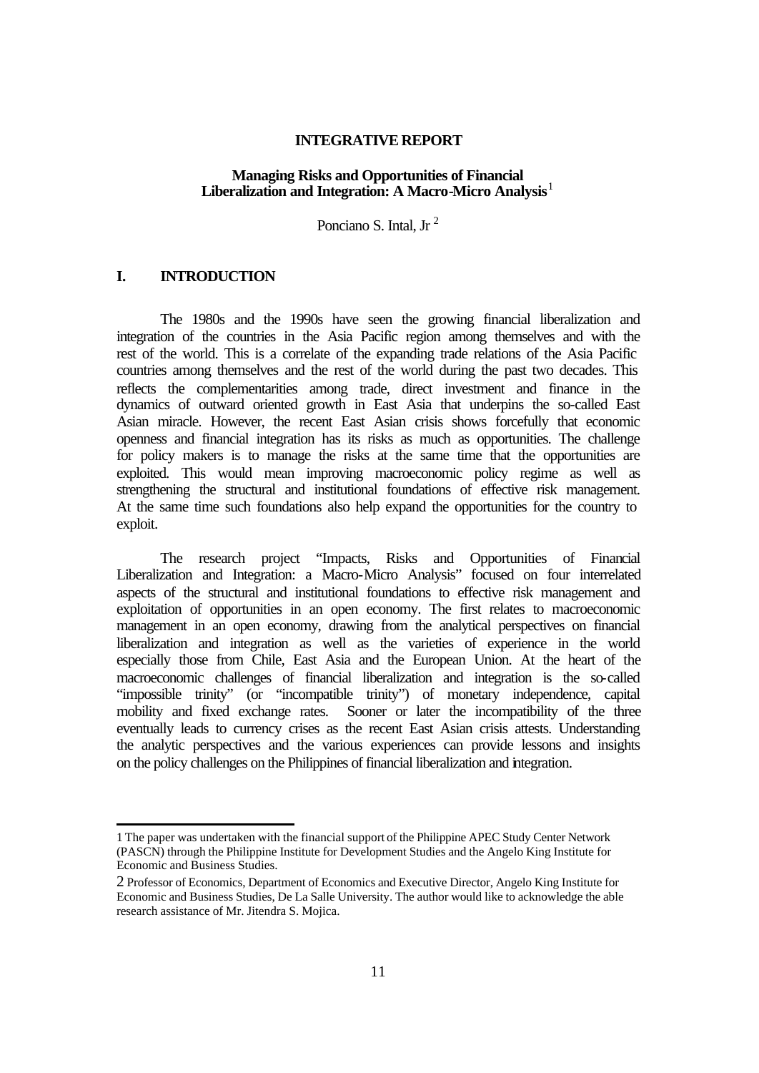### **INTEGRATIVE REPORT**

### **Managing Risks and Opportunities of Financial Liberalization and Integration: A Macro-Micro Analysis**<sup>1</sup>

Ponciano S. Intal, Jr<sup>2</sup>

# **I. INTRODUCTION**

l

The 1980s and the 1990s have seen the growing financial liberalization and integration of the countries in the Asia Pacific region among themselves and with the rest of the world. This is a correlate of the expanding trade relations of the Asia Pacific countries among themselves and the rest of the world during the past two decades. This reflects the complementarities among trade, direct investment and finance in the dynamics of outward oriented growth in East Asia that underpins the so-called East Asian miracle. However, the recent East Asian crisis shows forcefully that economic openness and financial integration has its risks as much as opportunities. The challenge for policy makers is to manage the risks at the same time that the opportunities are exploited. This would mean improving macroeconomic policy regime as well as strengthening the structural and institutional foundations of effective risk management. At the same time such foundations also help expand the opportunities for the country to exploit.

The research project "Impacts, Risks and Opportunities of Financial Liberalization and Integration: a Macro-Micro Analysis" focused on four interrelated aspects of the structural and institutional foundations to effective risk management and exploitation of opportunities in an open economy. The first relates to macroeconomic management in an open economy, drawing from the analytical perspectives on financial liberalization and integration as well as the varieties of experience in the world especially those from Chile, East Asia and the European Union. At the heart of the macroeconomic challenges of financial liberalization and integration is the so-called "impossible trinity" (or "incompatible trinity") of monetary independence, capital mobility and fixed exchange rates. Sooner or later the incompatibility of the three eventually leads to currency crises as the recent East Asian crisis attests. Understanding the analytic perspectives and the various experiences can provide lessons and insights on the policy challenges on the Philippines of financial liberalization and integration.

<sup>1</sup> The paper was undertaken with the financial support of the Philippine APEC Study Center Network (PASCN) through the Philippine Institute for Development Studies and the Angelo King Institute for Economic and Business Studies.

<sup>2</sup> Professor of Economics, Department of Economics and Executive Director, Angelo King Institute for Economic and Business Studies, De La Salle University. The author would like to acknowledge the able research assistance of Mr. Jitendra S. Mojica.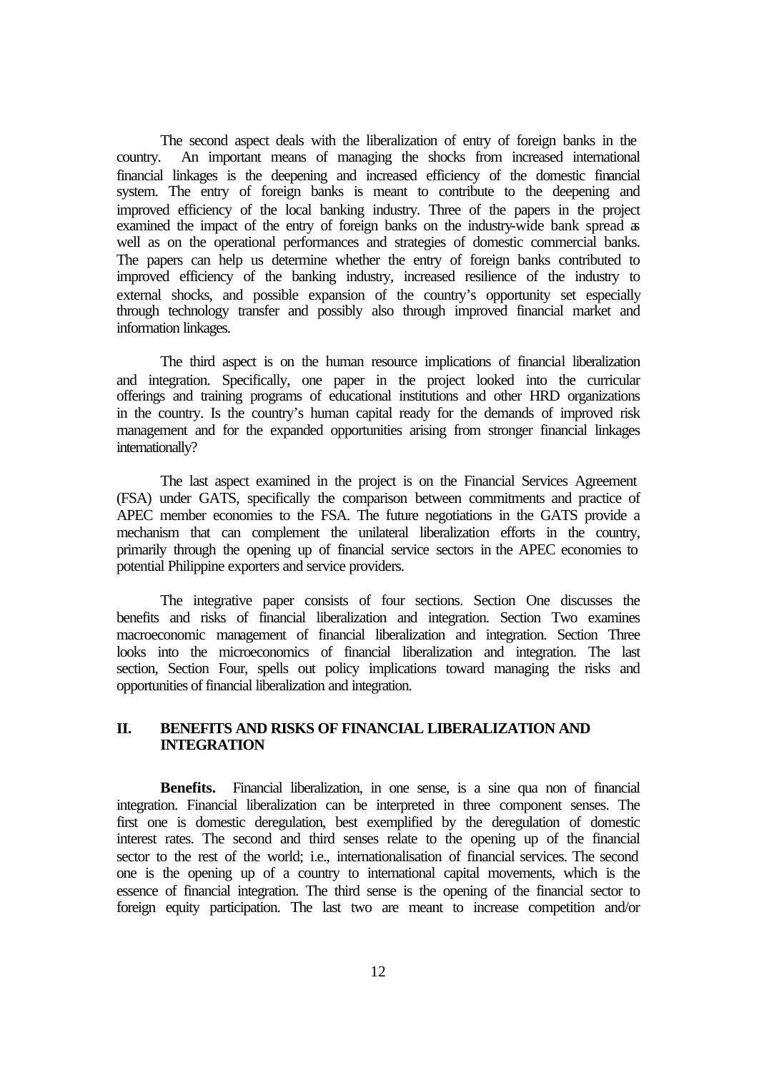The second aspect deals with the liberalization of entry of foreign banks in the country. An important means of managing the shocks from increased international financial linkages is the deepening and increased efficiency of the domestic financial system. The entry of foreign banks is meant to contribute to the deepening and improved efficiency of the local banking industry. Three of the papers in the project examined the impact of the entry of foreign banks on the industry-wide bank spread as well as on the operational performances and strategies of domestic commercial banks. The papers can help us determine whether the entry of foreign banks contributed to improved efficiency of the banking industry, increased resilience of the industry to external shocks, and possible expansion of the country's opportunity set especially through technology transfer and possibly also through improved financial market and information linkages.

The third aspect is on the human resource implications of financial liberalization and integration. Specifically, one paper in the project looked into the curricular offerings and training programs of educational institutions and other HRD organizations in the country. Is the country's human capital ready for the demands of improved risk management and for the expanded opportunities arising from stronger financial linkages internationally?

The last aspect examined in the project is on the Financial Services Agreement (FSA) under GATS, specifically the comparison between commitments and practice of APEC member economies to the FSA. The future negotiations in the GATS provide a mechanism that can complement the unilateral liberalization efforts in the country, primarily through the opening up of financial service sectors in the APEC economies to potential Philippine exporters and service providers.

The integrative paper consists of four sections. Section One discusses the benefits and risks of financial liberalization and integration. Section Two examines macroeconomic management of financial liberalization and integration. Section Three looks into the microeconomics of financial liberalization and integration. The last section, Section Four, spells out policy implications toward managing the risks and opportunities of financial liberalization and integration.

### **II. BENEFITS AND RISKS OF FINANCIAL LIBERALIZATION AND INTEGRATION**

**Benefits.** Financial liberalization, in one sense, is a sine qua non of financial integration. Financial liberalization can be interpreted in three component senses. The first one is domestic deregulation, best exemplified by the deregulation of domestic interest rates. The second and third senses relate to the opening up of the financial sector to the rest of the world; i.e., internationalisation of financial services. The second one is the opening up of a country to international capital movements, which is the essence of financial integration. The third sense is the opening of the financial sector to foreign equity participation. The last two are meant to increase competition and/or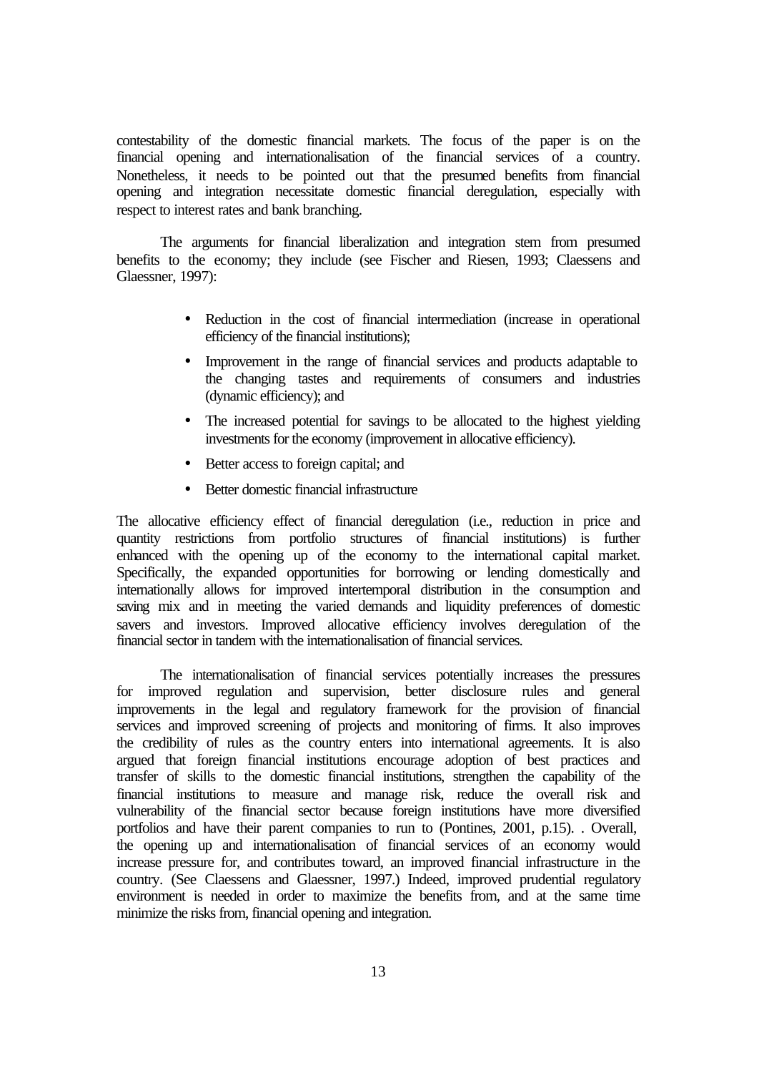contestability of the domestic financial markets. The focus of the paper is on the financial opening and internationalisation of the financial services of a country. Nonetheless, it needs to be pointed out that the presumed benefits from financial opening and integration necessitate domestic financial deregulation, especially with respect to interest rates and bank branching.

The arguments for financial liberalization and integration stem from presumed benefits to the economy; they include (see Fischer and Riesen, 1993; Claessens and Glaessner, 1997):

- Reduction in the cost of financial intermediation (increase in operational efficiency of the financial institutions);
- Improvement in the range of financial services and products adaptable to the changing tastes and requirements of consumers and industries (dynamic efficiency); and
- The increased potential for savings to be allocated to the highest yielding investments for the economy (improvement in allocative efficiency).
- Better access to foreign capital; and
- Better domestic financial infrastructure

The allocative efficiency effect of financial deregulation (i.e., reduction in price and quantity restrictions from portfolio structures of financial institutions) is further enhanced with the opening up of the economy to the international capital market. Specifically, the expanded opportunities for borrowing or lending domestically and internationally allows for improved intertemporal distribution in the consumption and saving mix and in meeting the varied demands and liquidity preferences of domestic savers and investors. Improved allocative efficiency involves deregulation of the financial sector in tandem with the internationalisation of financial services.

The internationalisation of financial services potentially increases the pressures for improved regulation and supervision, better disclosure rules and general improvements in the legal and regulatory framework for the provision of financial services and improved screening of projects and monitoring of firms. It also improves the credibility of rules as the country enters into international agreements. It is also argued that foreign financial institutions encourage adoption of best practices and transfer of skills to the domestic financial institutions, strengthen the capability of the financial institutions to measure and manage risk, reduce the overall risk and vulnerability of the financial sector because foreign institutions have more diversified portfolios and have their parent companies to run to (Pontines, 2001, p.15). . Overall, the opening up and internationalisation of financial services of an economy would increase pressure for, and contributes toward, an improved financial infrastructure in the country. (See Claessens and Glaessner, 1997.) Indeed, improved prudential regulatory environment is needed in order to maximize the benefits from, and at the same time minimize the risks from, financial opening and integration.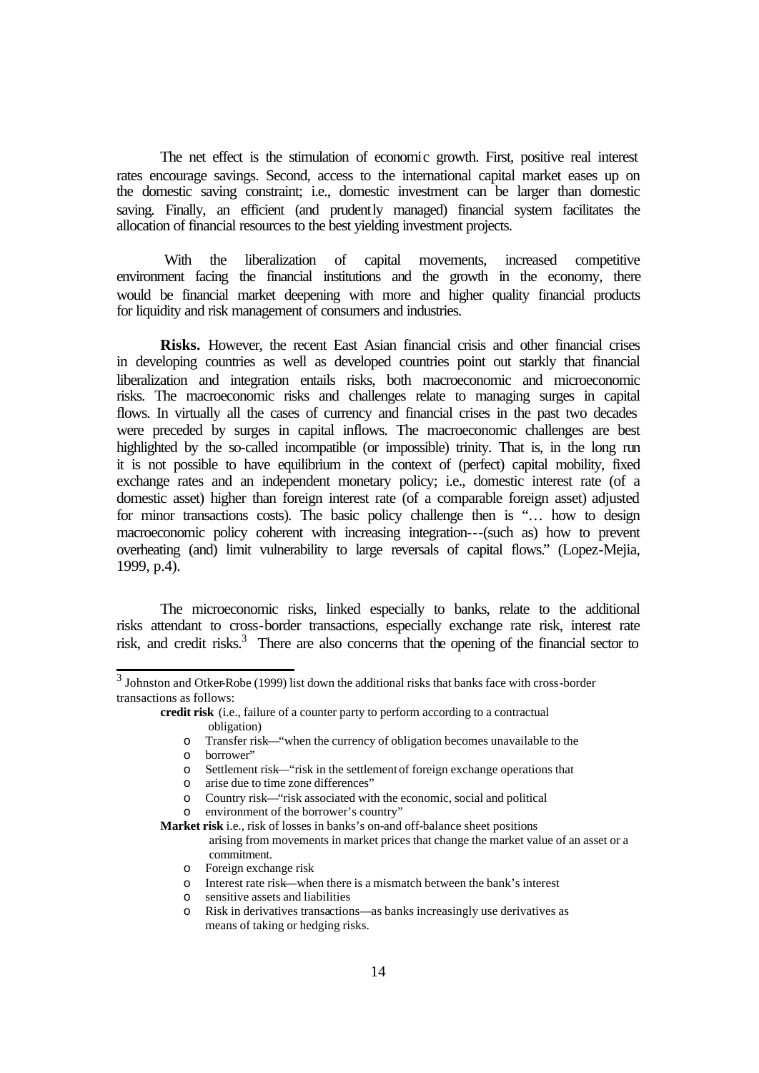The net effect is the stimulation of economic growth. First, positive real interest rates encourage savings. Second, access to the international capital market eases up on the domestic saving constraint; i.e., domestic investment can be larger than domestic saving. Finally, an efficient (and prudently managed) financial system facilitates the allocation of financial resources to the best yielding investment projects.

 With the liberalization of capital movements, increased competitive environment facing the financial institutions and the growth in the economy, there would be financial market deepening with more and higher quality financial products for liquidity and risk management of consumers and industries.

**Risks.** However, the recent East Asian financial crisis and other financial crises in developing countries as well as developed countries point out starkly that financial liberalization and integration entails risks, both macroeconomic and microeconomic risks. The macroeconomic risks and challenges relate to managing surges in capital flows. In virtually all the cases of currency and financial crises in the past two decades were preceded by surges in capital inflows. The macroeconomic challenges are best highlighted by the so-called incompatible (or impossible) trinity. That is, in the long run it is not possible to have equilibrium in the context of (perfect) capital mobility, fixed exchange rates and an independent monetary policy; i.e., domestic interest rate (of a domestic asset) higher than foreign interest rate (of a comparable foreign asset) adjusted for minor transactions costs). The basic policy challenge then is "... how to design macroeconomic policy coherent with increasing integration---(such as) how to prevent overheating (and) limit vulnerability to large reversals of capital flows." (Lopez-Mejia, 1999, p.4).

The microeconomic risks, linked especially to banks, relate to the additional risks attendant to cross-border transactions, especially exchange rate risk, interest rate risk, and credit risks.<sup>3</sup> There are also concerns that the opening of the financial sector to

**credit risk** (i.e., failure of a counter party to perform according to a contractual obligation)

o Transfer risk—"when the currency of obligation becomes unavailable to the

- o arise due to time zone differences"
- o Country risk—"risk associated with the economic, social and political
- o environment of the borrower's country"

**Market risk** i.e., risk of losses in banks's on-and off-balance sheet positions

- arising from movements in market prices that change the market value of an asset or a commitment.
- o Foreign exchange risk
- o Interest rate risk—when there is a mismatch between the bank's interest
- o sensitive assets and liabilities
- o Risk in derivatives transactions—as banks increasingly use derivatives as means of taking or hedging risks.

 3 Johnston and Otker-Robe (1999) list down the additional risks that banks face with cross-border transactions as follows:

o borrower"

o Settlement risk—"risk in the settlement of foreign exchange operations that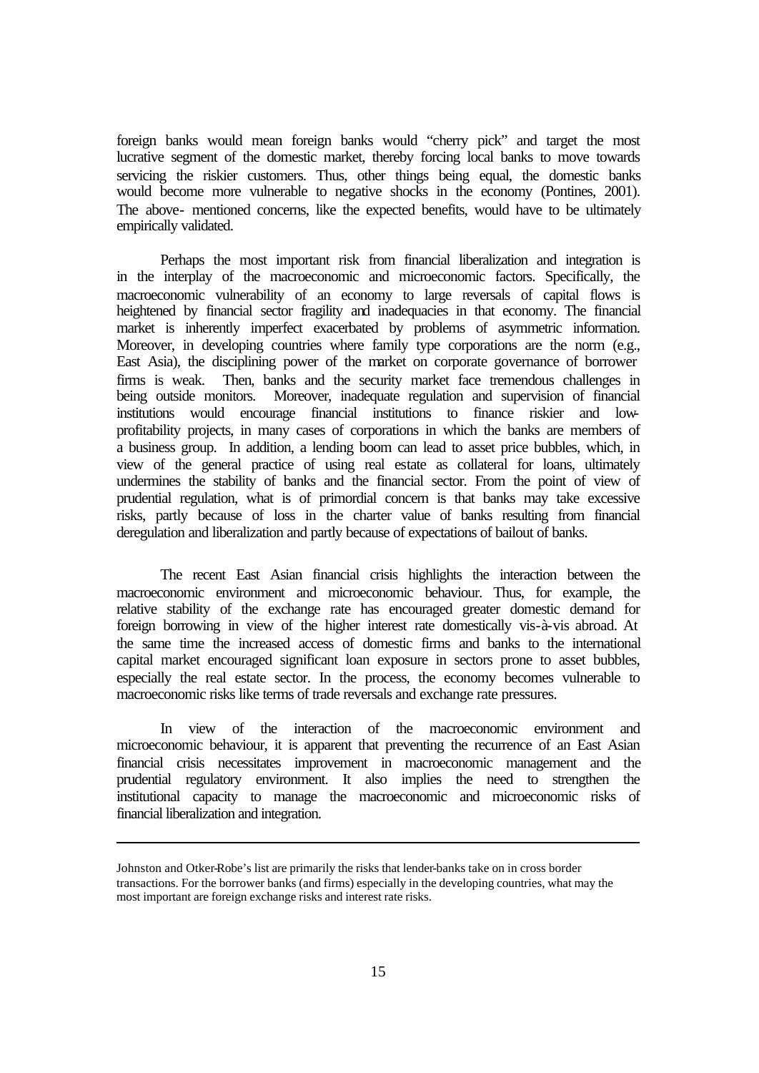foreign banks would mean foreign banks would "cherry pick" and target the most lucrative segment of the domestic market, thereby forcing local banks to move towards servicing the riskier customers. Thus, other things being equal, the domestic banks would become more vulnerable to negative shocks in the economy (Pontines, 2001). The above- mentioned concerns, like the expected benefits, would have to be ultimately empirically validated.

Perhaps the most important risk from financial liberalization and integration is in the interplay of the macroeconomic and microeconomic factors. Specifically, the macroeconomic vulnerability of an economy to large reversals of capital flows is heightened by financial sector fragility and inadequacies in that economy. The financial market is inherently imperfect exacerbated by problems of asymmetric information. Moreover, in developing countries where family type corporations are the norm (e.g., East Asia), the disciplining power of the market on corporate governance of borrower firms is weak. Then, banks and the security market face tremendous challenges in being outside monitors. Moreover, inadequate regulation and supervision of financial institutions would encourage financial institutions to finance riskier and lowprofitability projects, in many cases of corporations in which the banks are members of a business group. In addition, a lending boom can lead to asset price bubbles, which, in view of the general practice of using real estate as collateral for loans, ultimately undermines the stability of banks and the financial sector. From the point of view of prudential regulation, what is of primordial concern is that banks may take excessive risks, partly because of loss in the charter value of banks resulting from financial deregulation and liberalization and partly because of expectations of bailout of banks.

The recent East Asian financial crisis highlights the interaction between the macroeconomic environment and microeconomic behaviour. Thus, for example, the relative stability of the exchange rate has encouraged greater domestic demand for foreign borrowing in view of the higher interest rate domestically vis-à-vis abroad. At the same time the increased access of domestic firms and banks to the international capital market encouraged significant loan exposure in sectors prone to asset bubbles, especially the real estate sector. In the process, the economy becomes vulnerable to macroeconomic risks like terms of trade reversals and exchange rate pressures.

In view of the interaction of the macroeconomic environment and microeconomic behaviour, it is apparent that preventing the recurrence of an East Asian financial crisis necessitates improvement in macroeconomic management and the prudential regulatory environment. It also implies the need to strengthen the institutional capacity to manage the macroeconomic and microeconomic risks of financial liberalization and integration.

l

Johnston and Otker-Robe's list are primarily the risks that lender-banks take on in cross border transactions. For the borrower banks (and firms) especially in the developing countries, what may the most important are foreign exchange risks and interest rate risks.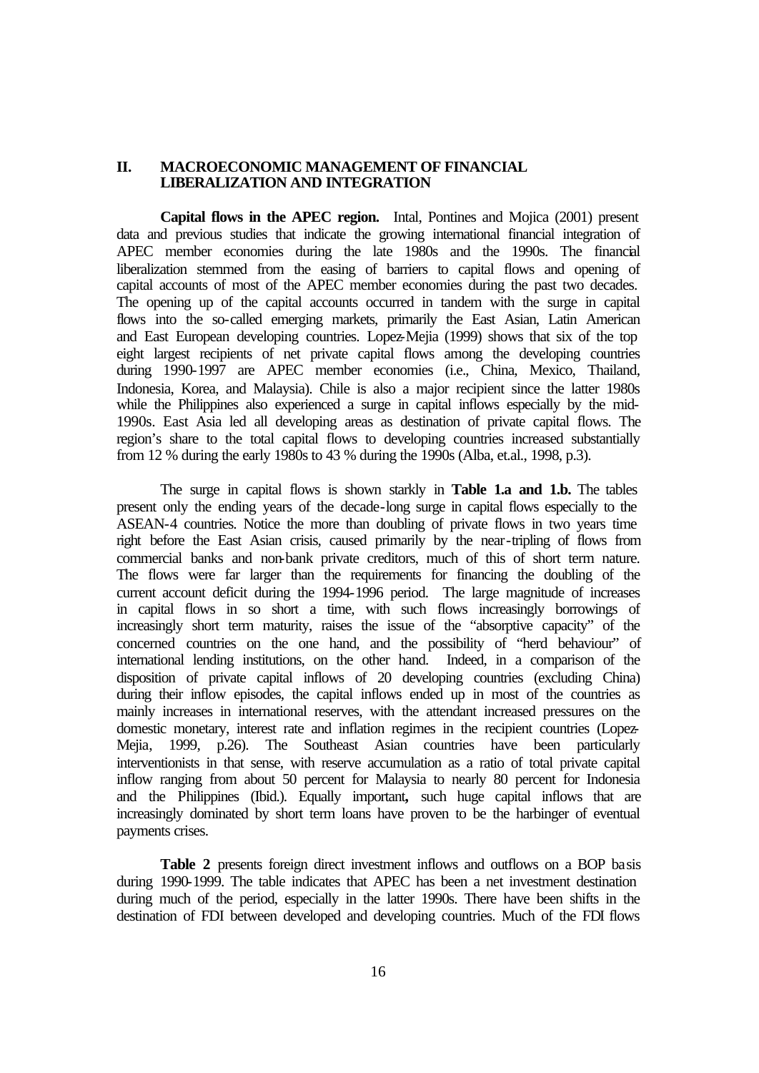## **II. MACROECONOMIC MANAGEMENT OF FINANCIAL LIBERALIZATION AND INTEGRATION**

**Capital flows in the APEC region.** Intal, Pontines and Mojica (2001) present data and previous studies that indicate the growing international financial integration of APEC member economies during the late 1980s and the 1990s. The financial liberalization stemmed from the easing of barriers to capital flows and opening of capital accounts of most of the APEC member economies during the past two decades. The opening up of the capital accounts occurred in tandem with the surge in capital flows into the so-called emerging markets, primarily the East Asian, Latin American and East European developing countries. Lopez-Mejia (1999) shows that six of the top eight largest recipients of net private capital flows among the developing countries during 1990-1997 are APEC member economies (i.e., China, Mexico, Thailand, Indonesia, Korea, and Malaysia). Chile is also a major recipient since the latter 1980s while the Philippines also experienced a surge in capital inflows especially by the mid-1990s. East Asia led all developing areas as destination of private capital flows. The region's share to the total capital flows to developing countries increased substantially from 12 % during the early 1980s to 43 % during the 1990s (Alba, et.al., 1998, p.3).

The surge in capital flows is shown starkly in **Table 1.a and 1.b.** The tables present only the ending years of the decade-long surge in capital flows especially to the ASEAN-4 countries. Notice the more than doubling of private flows in two years time right before the East Asian crisis, caused primarily by the near-tripling of flows from commercial banks and non-bank private creditors, much of this of short term nature. The flows were far larger than the requirements for financing the doubling of the current account deficit during the 1994-1996 period. The large magnitude of increases in capital flows in so short a time, with such flows increasingly borrowings of increasingly short term maturity, raises the issue of the "absorptive capacity" of the concerned countries on the one hand, and the possibility of "herd behaviour" of international lending institutions, on the other hand. Indeed, in a comparison of the disposition of private capital inflows of 20 developing countries (excluding China) during their inflow episodes, the capital inflows ended up in most of the countries as mainly increases in international reserves, with the attendant increased pressures on the domestic monetary, interest rate and inflation regimes in the recipient countries (Lopez-Mejia, 1999, p.26). The Southeast Asian countries have been particularly interventionists in that sense, with reserve accumulation as a ratio of total private capital inflow ranging from about 50 percent for Malaysia to nearly 80 percent for Indonesia and the Philippines (Ibid.). Equally important**,** such huge capital inflows that are increasingly dominated by short term loans have proven to be the harbinger of eventual payments crises.

**Table 2** presents foreign direct investment inflows and outflows on a BOP basis during 1990-1999. The table indicates that APEC has been a net investment destination during much of the period, especially in the latter 1990s. There have been shifts in the destination of FDI between developed and developing countries. Much of the FDI flows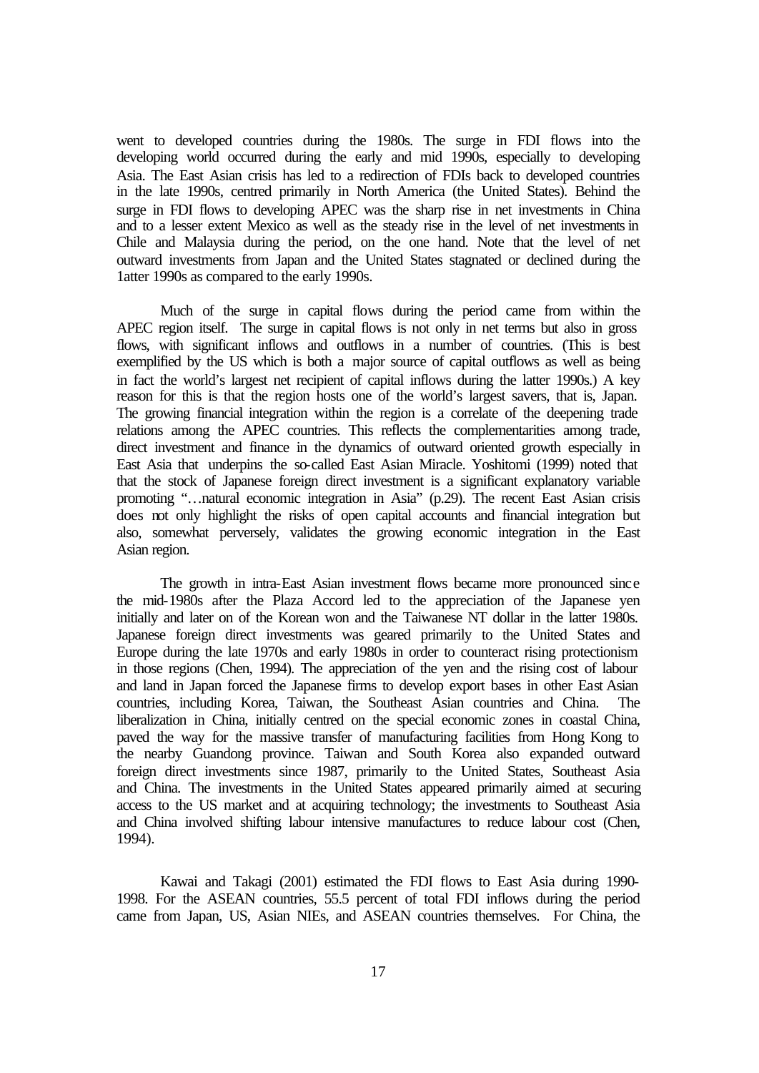went to developed countries during the 1980s. The surge in FDI flows into the developing world occurred during the early and mid 1990s, especially to developing Asia. The East Asian crisis has led to a redirection of FDIs back to developed countries in the late 1990s, centred primarily in North America (the United States). Behind the surge in FDI flows to developing APEC was the sharp rise in net investments in China and to a lesser extent Mexico as well as the steady rise in the level of net investments in Chile and Malaysia during the period, on the one hand. Note that the level of net outward investments from Japan and the United States stagnated or declined during the 1atter 1990s as compared to the early 1990s.

Much of the surge in capital flows during the period came from within the APEC region itself. The surge in capital flows is not only in net terms but also in gross flows, with significant inflows and outflows in a number of countries. (This is best exemplified by the US which is both a major source of capital outflows as well as being in fact the world's largest net recipient of capital inflows during the latter 1990s.) A key reason for this is that the region hosts one of the world's largest savers, that is, Japan. The growing financial integration within the region is a correlate of the deepening trade relations among the APEC countries. This reflects the complementarities among trade, direct investment and finance in the dynamics of outward oriented growth especially in East Asia that underpins the so-called East Asian Miracle. Yoshitomi (1999) noted that that the stock of Japanese foreign direct investment is a significant explanatory variable promoting "…natural economic integration in Asia" (p.29). The recent East Asian crisis does not only highlight the risks of open capital accounts and financial integration but also, somewhat perversely, validates the growing economic integration in the East Asian region.

The growth in intra-East Asian investment flows became more pronounced since the mid-1980s after the Plaza Accord led to the appreciation of the Japanese yen initially and later on of the Korean won and the Taiwanese NT dollar in the latter 1980s. Japanese foreign direct investments was geared primarily to the United States and Europe during the late 1970s and early 1980s in order to counteract rising protectionism in those regions (Chen, 1994). The appreciation of the yen and the rising cost of labour and land in Japan forced the Japanese firms to develop export bases in other East Asian countries, including Korea, Taiwan, the Southeast Asian countries and China. The liberalization in China, initially centred on the special economic zones in coastal China, paved the way for the massive transfer of manufacturing facilities from Hong Kong to the nearby Guandong province. Taiwan and South Korea also expanded outward foreign direct investments since 1987, primarily to the United States, Southeast Asia and China. The investments in the United States appeared primarily aimed at securing access to the US market and at acquiring technology; the investments to Southeast Asia and China involved shifting labour intensive manufactures to reduce labour cost (Chen, 1994).

Kawai and Takagi (2001) estimated the FDI flows to East Asia during 1990- 1998. For the ASEAN countries, 55.5 percent of total FDI inflows during the period came from Japan, US, Asian NIEs, and ASEAN countries themselves. For China, the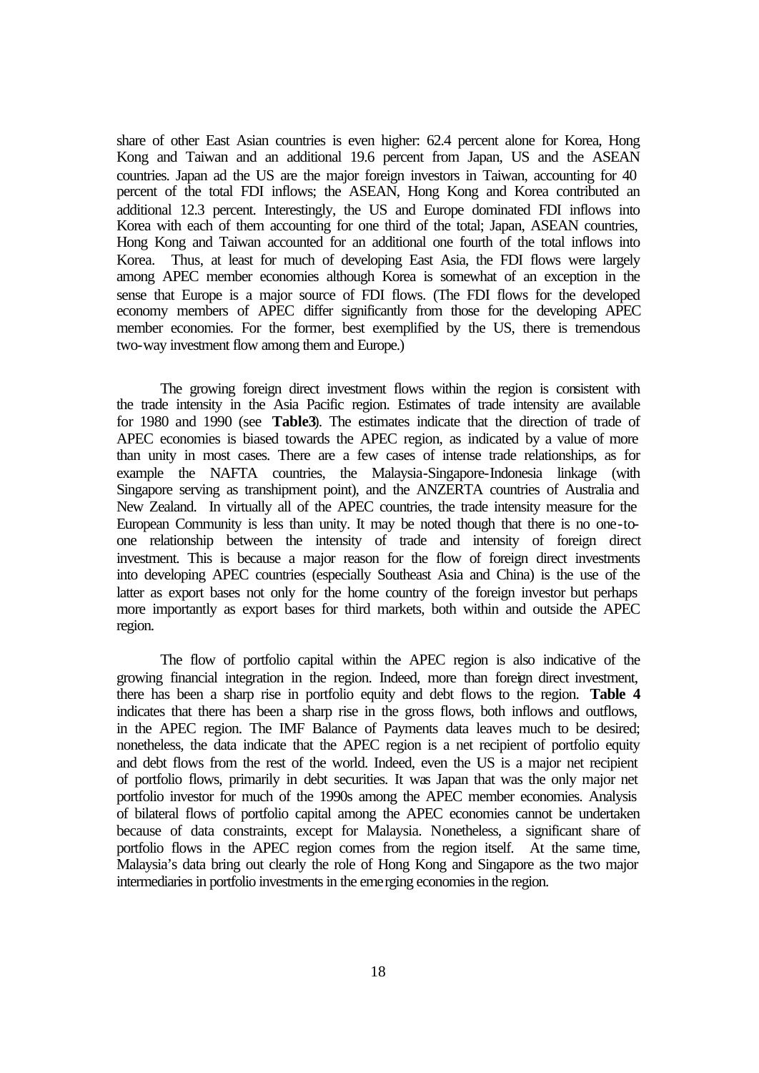share of other East Asian countries is even higher: 62.4 percent alone for Korea, Hong Kong and Taiwan and an additional 19.6 percent from Japan, US and the ASEAN countries. Japan ad the US are the major foreign investors in Taiwan, accounting for 40 percent of the total FDI inflows; the ASEAN, Hong Kong and Korea contributed an additional 12.3 percent. Interestingly, the US and Europe dominated FDI inflows into Korea with each of them accounting for one third of the total; Japan, ASEAN countries, Hong Kong and Taiwan accounted for an additional one fourth of the total inflows into Korea. Thus, at least for much of developing East Asia, the FDI flows were largely among APEC member economies although Korea is somewhat of an exception in the sense that Europe is a major source of FDI flows. (The FDI flows for the developed economy members of APEC differ significantly from those for the developing APEC member economies. For the former, best exemplified by the US, there is tremendous two-way investment flow among them and Europe.)

The growing foreign direct investment flows within the region is consistent with the trade intensity in the Asia Pacific region. Estimates of trade intensity are available for 1980 and 1990 (see **Table3**). The estimates indicate that the direction of trade of APEC economies is biased towards the APEC region, as indicated by a value of more than unity in most cases. There are a few cases of intense trade relationships, as for example the NAFTA countries, the Malaysia-Singapore-Indonesia linkage (with Singapore serving as transhipment point), and the ANZERTA countries of Australia and New Zealand. In virtually all of the APEC countries, the trade intensity measure for the European Community is less than unity. It may be noted though that there is no one-toone relationship between the intensity of trade and intensity of foreign direct investment. This is because a major reason for the flow of foreign direct investments into developing APEC countries (especially Southeast Asia and China) is the use of the latter as export bases not only for the home country of the foreign investor but perhaps more importantly as export bases for third markets, both within and outside the APEC region.

The flow of portfolio capital within the APEC region is also indicative of the growing financial integration in the region. Indeed, more than foreign direct investment, there has been a sharp rise in portfolio equity and debt flows to the region. **Table 4** indicates that there has been a sharp rise in the gross flows, both inflows and outflows, in the APEC region. The IMF Balance of Payments data leaves much to be desired; nonetheless, the data indicate that the APEC region is a net recipient of portfolio equity and debt flows from the rest of the world. Indeed, even the US is a major net recipient of portfolio flows, primarily in debt securities. It was Japan that was the only major net portfolio investor for much of the 1990s among the APEC member economies. Analysis of bilateral flows of portfolio capital among the APEC economies cannot be undertaken because of data constraints, except for Malaysia. Nonetheless, a significant share of portfolio flows in the APEC region comes from the region itself. At the same time, Malaysia's data bring out clearly the role of Hong Kong and Singapore as the two major intermediaries in portfolio investments in the emerging economies in the region.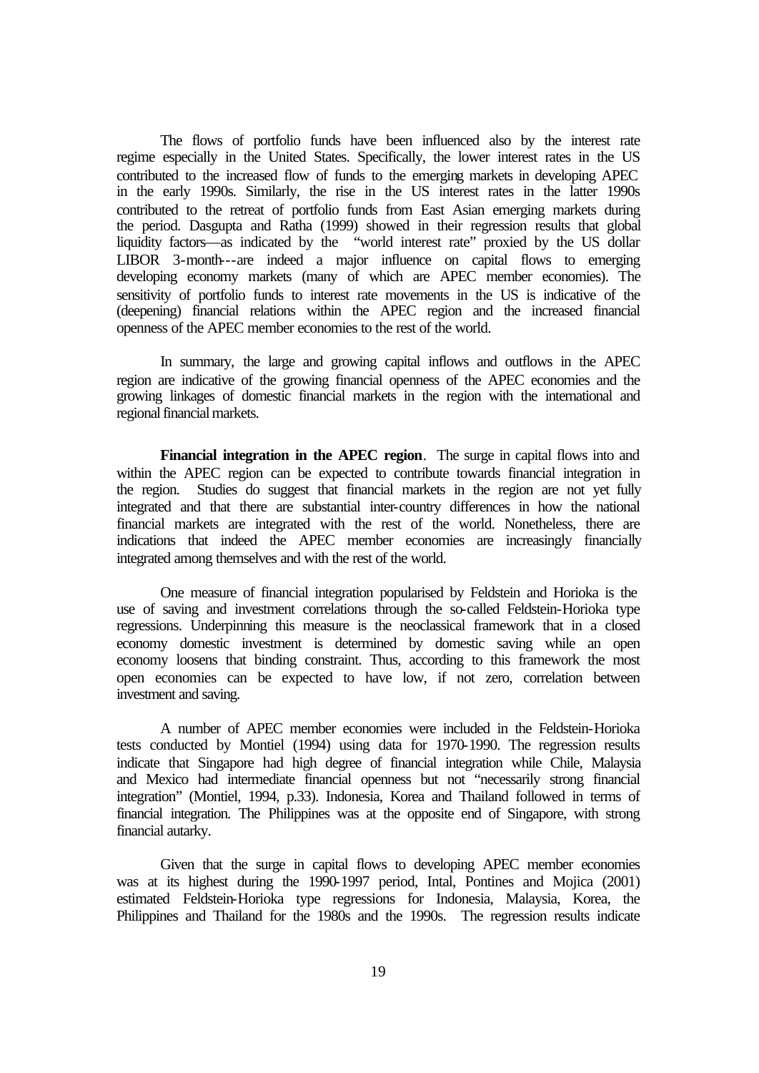The flows of portfolio funds have been influenced also by the interest rate regime especially in the United States. Specifically, the lower interest rates in the US contributed to the increased flow of funds to the emerging markets in developing APEC in the early 1990s. Similarly, the rise in the US interest rates in the latter 1990s contributed to the retreat of portfolio funds from East Asian emerging markets during the period. Dasgupta and Ratha (1999) showed in their regression results that global liquidity factors—as indicated by the "world interest rate" proxied by the US dollar LIBOR 3-month--are indeed a major influence on capital flows to emerging developing economy markets (many of which are APEC member economies). The sensitivity of portfolio funds to interest rate movements in the US is indicative of the (deepening) financial relations within the APEC region and the increased financial openness of the APEC member economies to the rest of the world.

In summary, the large and growing capital inflows and outflows in the APEC region are indicative of the growing financial openness of the APEC economies and the growing linkages of domestic financial markets in the region with the international and regional financial markets.

**Financial integration in the APEC region**. The surge in capital flows into and within the APEC region can be expected to contribute towards financial integration in the region. Studies do suggest that financial markets in the region are not yet fully integrated and that there are substantial inter-country differences in how the national financial markets are integrated with the rest of the world. Nonetheless, there are indications that indeed the APEC member economies are increasingly financially integrated among themselves and with the rest of the world.

One measure of financial integration popularised by Feldstein and Horioka is the use of saving and investment correlations through the so-called Feldstein-Horioka type regressions. Underpinning this measure is the neoclassical framework that in a closed economy domestic investment is determined by domestic saving while an open economy loosens that binding constraint. Thus, according to this framework the most open economies can be expected to have low, if not zero, correlation between investment and saving.

A number of APEC member economies were included in the Feldstein-Horioka tests conducted by Montiel (1994) using data for 1970-1990. The regression results indicate that Singapore had high degree of financial integration while Chile, Malaysia and Mexico had intermediate financial openness but not "necessarily strong financial integration" (Montiel, 1994, p.33). Indonesia, Korea and Thailand followed in terms of financial integration. The Philippines was at the opposite end of Singapore, with strong financial autarky.

Given that the surge in capital flows to developing APEC member economies was at its highest during the 1990-1997 period, Intal, Pontines and Mojica (2001) estimated Feldstein-Horioka type regressions for Indonesia, Malaysia, Korea, the Philippines and Thailand for the 1980s and the 1990s. The regression results indicate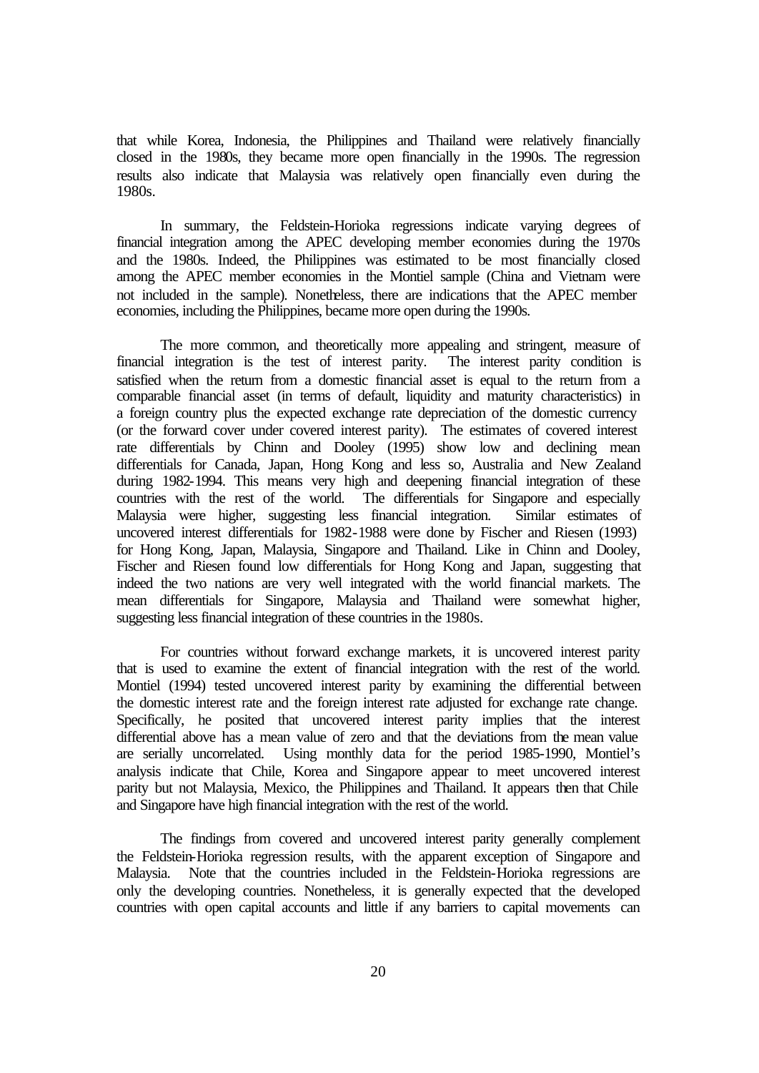that while Korea, Indonesia, the Philippines and Thailand were relatively financially closed in the 1980s, they became more open financially in the 1990s. The regression results also indicate that Malaysia was relatively open financially even during the 1980s.

In summary, the Feldstein-Horioka regressions indicate varying degrees of financial integration among the APEC developing member economies during the 1970s and the 1980s. Indeed, the Philippines was estimated to be most financially closed among the APEC member economies in the Montiel sample (China and Vietnam were not included in the sample). Nonetheless, there are indications that the APEC member economies, including the Philippines, became more open during the 1990s.

The more common, and theoretically more appealing and stringent, measure of financial integration is the test of interest parity. The interest parity condition is satisfied when the return from a domestic financial asset is equal to the return from a comparable financial asset (in terms of default, liquidity and maturity characteristics) in a foreign country plus the expected exchange rate depreciation of the domestic currency (or the forward cover under covered interest parity). The estimates of covered interest rate differentials by Chinn and Dooley (1995) show low and declining mean differentials for Canada, Japan, Hong Kong and less so, Australia and New Zealand during 1982-1994. This means very high and deepening financial integration of these countries with the rest of the world. The differentials for Singapore and especially Malaysia were higher, suggesting less financial integration. Similar estimates of uncovered interest differentials for 1982-1988 were done by Fischer and Riesen (1993) for Hong Kong, Japan, Malaysia, Singapore and Thailand. Like in Chinn and Dooley, Fischer and Riesen found low differentials for Hong Kong and Japan, suggesting that indeed the two nations are very well integrated with the world financial markets. The mean differentials for Singapore, Malaysia and Thailand were somewhat higher, suggesting less financial integration of these countries in the 1980s.

For countries without forward exchange markets, it is uncovered interest parity that is used to examine the extent of financial integration with the rest of the world. Montiel (1994) tested uncovered interest parity by examining the differential between the domestic interest rate and the foreign interest rate adjusted for exchange rate change. Specifically, he posited that uncovered interest parity implies that the interest differential above has a mean value of zero and that the deviations from the mean value are serially uncorrelated. Using monthly data for the period 1985-1990, Montiel's analysis indicate that Chile, Korea and Singapore appear to meet uncovered interest parity but not Malaysia, Mexico, the Philippines and Thailand. It appears then that Chile and Singapore have high financial integration with the rest of the world.

The findings from covered and uncovered interest parity generally complement the Feldstein-Horioka regression results, with the apparent exception of Singapore and Malaysia. Note that the countries included in the Feldstein-Horioka regressions are only the developing countries. Nonetheless, it is generally expected that the developed countries with open capital accounts and little if any barriers to capital movements can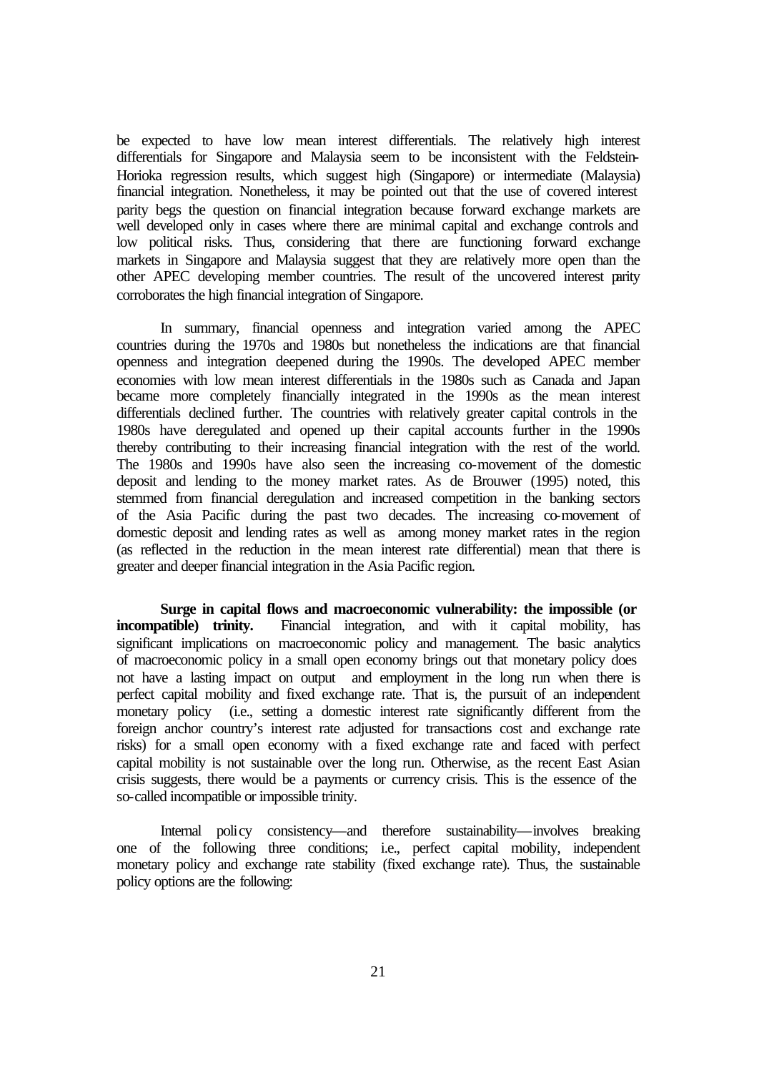be expected to have low mean interest differentials. The relatively high interest differentials for Singapore and Malaysia seem to be inconsistent with the Feldstein-Horioka regression results, which suggest high (Singapore) or intermediate (Malaysia) financial integration. Nonetheless, it may be pointed out that the use of covered interest parity begs the question on financial integration because forward exchange markets are well developed only in cases where there are minimal capital and exchange controls and low political risks. Thus, considering that there are functioning forward exchange markets in Singapore and Malaysia suggest that they are relatively more open than the other APEC developing member countries. The result of the uncovered interest parity corroborates the high financial integration of Singapore.

In summary, financial openness and integration varied among the APEC countries during the 1970s and 1980s but nonetheless the indications are that financial openness and integration deepened during the 1990s. The developed APEC member economies with low mean interest differentials in the 1980s such as Canada and Japan became more completely financially integrated in the 1990s as the mean interest differentials declined further. The countries with relatively greater capital controls in the 1980s have deregulated and opened up their capital accounts further in the 1990s thereby contributing to their increasing financial integration with the rest of the world. The 1980s and 1990s have also seen the increasing co-movement of the domestic deposit and lending to the money market rates. As de Brouwer (1995) noted, this stemmed from financial deregulation and increased competition in the banking sectors of the Asia Pacific during the past two decades. The increasing co-movement of domestic deposit and lending rates as well as among money market rates in the region (as reflected in the reduction in the mean interest rate differential) mean that there is greater and deeper financial integration in the Asia Pacific region.

**Surge in capital flows and macroeconomic vulnerability: the impossible (or incompatible) trinity.** Financial integration, and with it capital mobility, has significant implications on macroeconomic policy and management. The basic analytics of macroeconomic policy in a small open economy brings out that monetary policy does not have a lasting impact on output and employment in the long run when there is perfect capital mobility and fixed exchange rate. That is, the pursuit of an independent monetary policy (i.e., setting a domestic interest rate significantly different from the foreign anchor country's interest rate adjusted for transactions cost and exchange rate risks) for a small open economy with a fixed exchange rate and faced with perfect capital mobility is not sustainable over the long run. Otherwise, as the recent East Asian crisis suggests, there would be a payments or currency crisis. This is the essence of the so-called incompatible or impossible trinity.

Internal policy consistency—and therefore sustainability—involves breaking one of the following three conditions; i.e., perfect capital mobility, independent monetary policy and exchange rate stability (fixed exchange rate). Thus, the sustainable policy options are the following: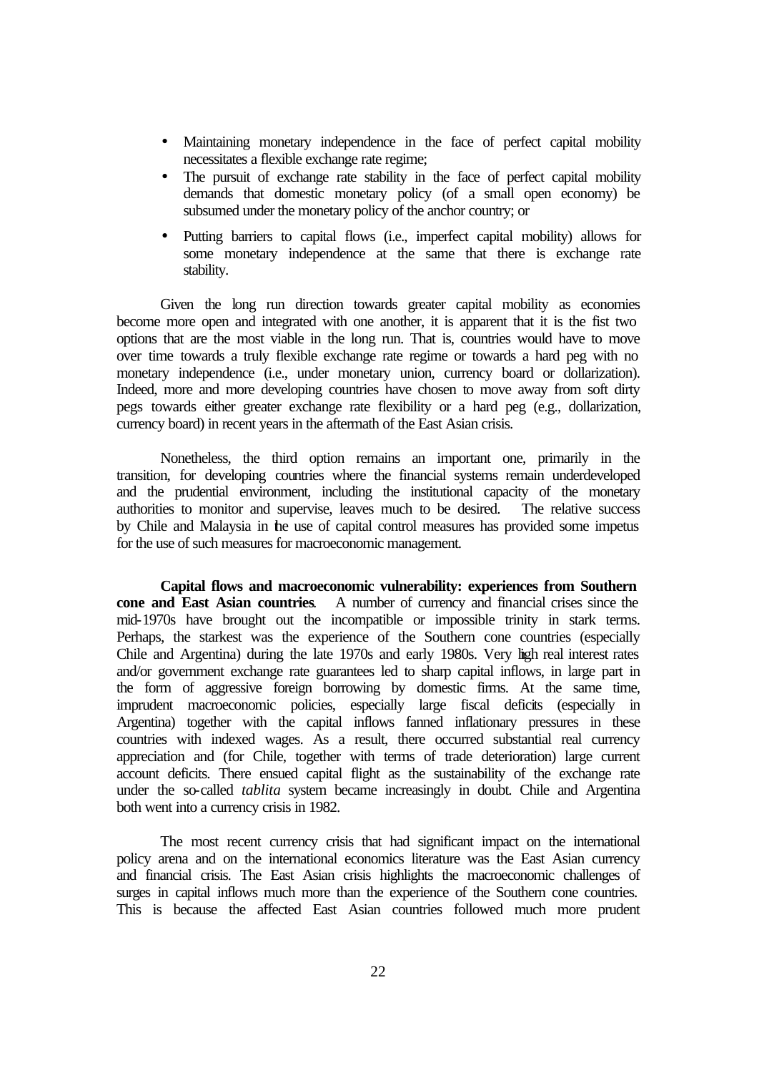- Maintaining monetary independence in the face of perfect capital mobility necessitates a flexible exchange rate regime;
- The pursuit of exchange rate stability in the face of perfect capital mobility demands that domestic monetary policy (of a small open economy) be subsumed under the monetary policy of the anchor country; or
- Putting barriers to capital flows (i.e., imperfect capital mobility) allows for some monetary independence at the same that there is exchange rate stability.

Given the long run direction towards greater capital mobility as economies become more open and integrated with one another, it is apparent that it is the fist two options that are the most viable in the long run. That is, countries would have to move over time towards a truly flexible exchange rate regime or towards a hard peg with no monetary independence (i.e., under monetary union, currency board or dollarization). Indeed, more and more developing countries have chosen to move away from soft dirty pegs towards either greater exchange rate flexibility or a hard peg (e.g., dollarization, currency board) in recent years in the aftermath of the East Asian crisis.

Nonetheless, the third option remains an important one, primarily in the transition, for developing countries where the financial systems remain underdeveloped and the prudential environment, including the institutional capacity of the monetary authorities to monitor and supervise, leaves much to be desired. The relative success by Chile and Malaysia in the use of capital control measures has provided some impetus for the use of such measures for macroeconomic management.

**Capital flows and macroeconomic vulnerability: experiences from Southern cone and East Asian countries**. A number of currency and financial crises since the mid-1970s have brought out the incompatible or impossible trinity in stark terms. Perhaps, the starkest was the experience of the Southern cone countries (especially Chile and Argentina) during the late 1970s and early 1980s. Very high real interest rates and/or government exchange rate guarantees led to sharp capital inflows, in large part in the form of aggressive foreign borrowing by domestic firms. At the same time, imprudent macroeconomic policies, especially large fiscal deficits (especially in Argentina) together with the capital inflows fanned inflationary pressures in these countries with indexed wages. As a result, there occurred substantial real currency appreciation and (for Chile, together with terms of trade deterioration) large current account deficits. There ensued capital flight as the sustainability of the exchange rate under the so-called *tablita* system became increasingly in doubt. Chile and Argentina both went into a currency crisis in 1982.

The most recent currency crisis that had significant impact on the international policy arena and on the international economics literature was the East Asian currency and financial crisis. The East Asian crisis highlights the macroeconomic challenges of surges in capital inflows much more than the experience of the Southern cone countries. This is because the affected East Asian countries followed much more prudent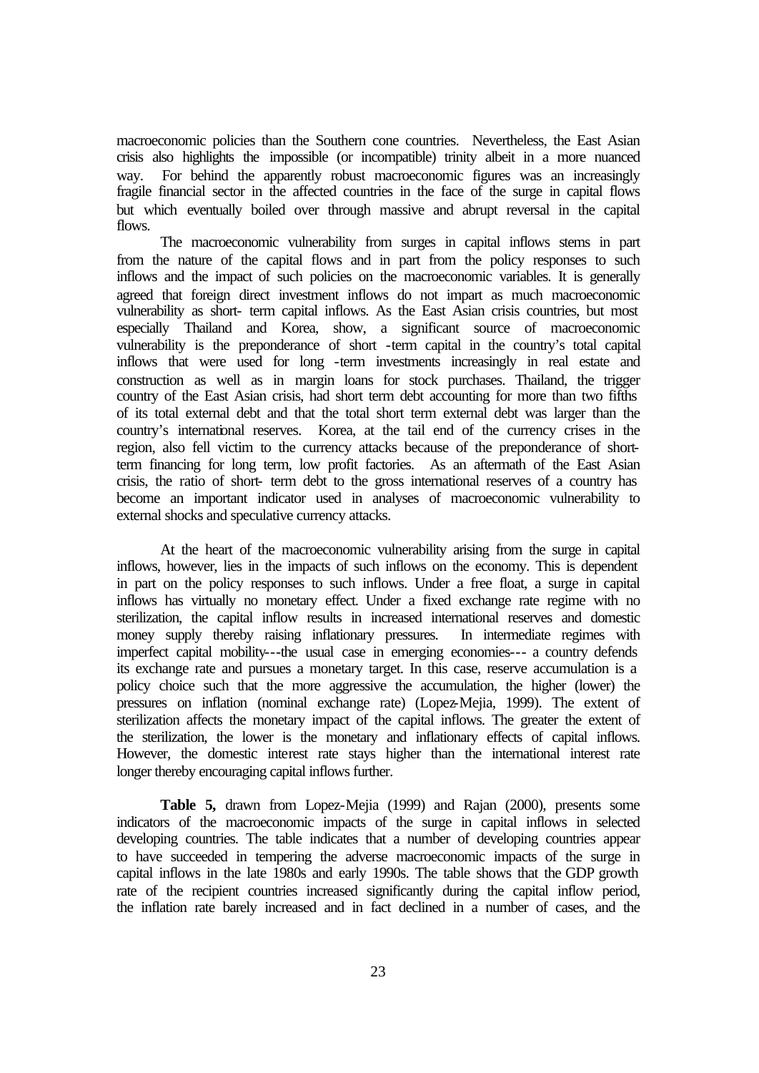macroeconomic policies than the Southern cone countries. Nevertheless, the East Asian crisis also highlights the impossible (or incompatible) trinity albeit in a more nuanced way. For behind the apparently robust macroeconomic figures was an increasingly fragile financial sector in the affected countries in the face of the surge in capital flows but which eventually boiled over through massive and abrupt reversal in the capital flows.

The macroeconomic vulnerability from surges in capital inflows stems in part from the nature of the capital flows and in part from the policy responses to such inflows and the impact of such policies on the macroeconomic variables. It is generally agreed that foreign direct investment inflows do not impart as much macroeconomic vulnerability as short- term capital inflows. As the East Asian crisis countries, but most especially Thailand and Korea, show, a significant source of macroeconomic vulnerability is the preponderance of short -term capital in the country's total capital inflows that were used for long -term investments increasingly in real estate and construction as well as in margin loans for stock purchases. Thailand, the trigger country of the East Asian crisis, had short term debt accounting for more than two fifths of its total external debt and that the total short term external debt was larger than the country's international reserves. Korea, at the tail end of the currency crises in the region, also fell victim to the currency attacks because of the preponderance of shortterm financing for long term, low profit factories. As an aftermath of the East Asian crisis, the ratio of short- term debt to the gross international reserves of a country has become an important indicator used in analyses of macroeconomic vulnerability to external shocks and speculative currency attacks.

At the heart of the macroeconomic vulnerability arising from the surge in capital inflows, however, lies in the impacts of such inflows on the economy. This is dependent in part on the policy responses to such inflows. Under a free float, a surge in capital inflows has virtually no monetary effect. Under a fixed exchange rate regime with no sterilization, the capital inflow results in increased international reserves and domestic money supply thereby raising inflationary pressures. In intermediate regimes with imperfect capital mobility---the usual case in emerging economies--- a country defends its exchange rate and pursues a monetary target. In this case, reserve accumulation is a policy choice such that the more aggressive the accumulation, the higher (lower) the pressures on inflation (nominal exchange rate) (Lopez-Mejia, 1999). The extent of sterilization affects the monetary impact of the capital inflows. The greater the extent of the sterilization, the lower is the monetary and inflationary effects of capital inflows. However, the domestic interest rate stays higher than the international interest rate longer thereby encouraging capital inflows further.

**Table 5,** drawn from Lopez-Mejia (1999) and Rajan (2000), presents some indicators of the macroeconomic impacts of the surge in capital inflows in selected developing countries. The table indicates that a number of developing countries appear to have succeeded in tempering the adverse macroeconomic impacts of the surge in capital inflows in the late 1980s and early 1990s. The table shows that the GDP growth rate of the recipient countries increased significantly during the capital inflow period, the inflation rate barely increased and in fact declined in a number of cases, and the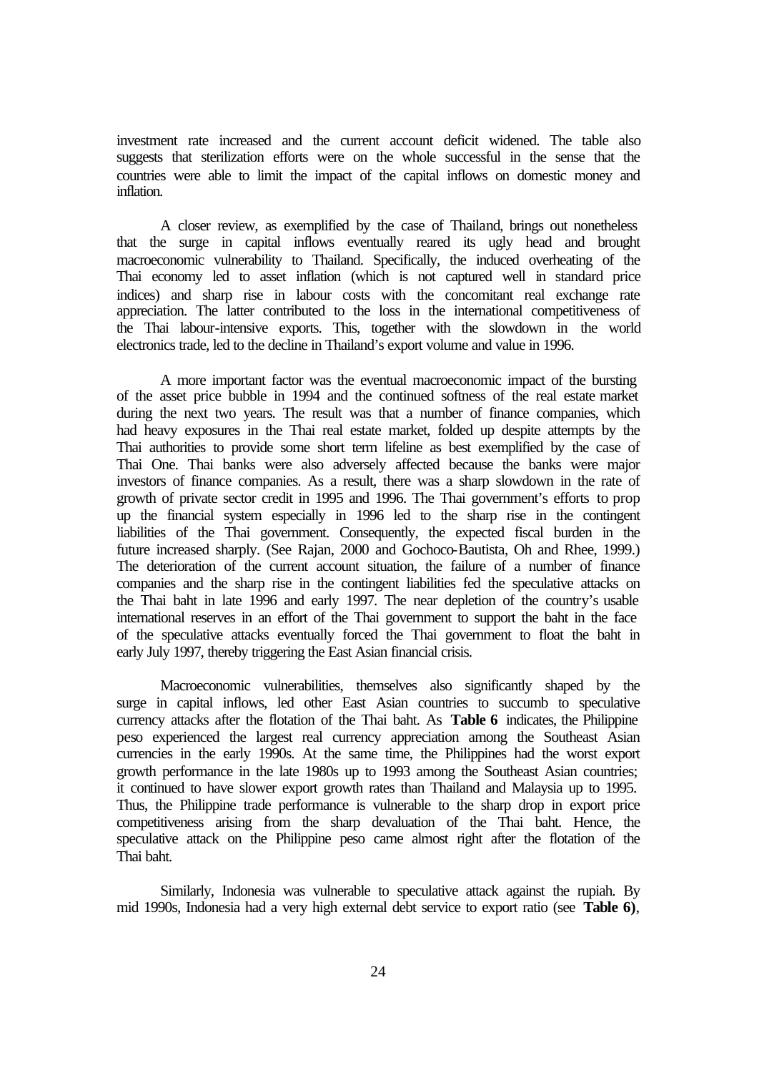investment rate increased and the current account deficit widened. The table also suggests that sterilization efforts were on the whole successful in the sense that the countries were able to limit the impact of the capital inflows on domestic money and inflation.

A closer review, as exemplified by the case of Thailand, brings out nonetheless that the surge in capital inflows eventually reared its ugly head and brought macroeconomic vulnerability to Thailand. Specifically, the induced overheating of the Thai economy led to asset inflation (which is not captured well in standard price indices) and sharp rise in labour costs with the concomitant real exchange rate appreciation. The latter contributed to the loss in the international competitiveness of the Thai labour-intensive exports. This, together with the slowdown in the world electronics trade, led to the decline in Thailand's export volume and value in 1996.

A more important factor was the eventual macroeconomic impact of the bursting of the asset price bubble in 1994 and the continued softness of the real estate market during the next two years. The result was that a number of finance companies, which had heavy exposures in the Thai real estate market, folded up despite attempts by the Thai authorities to provide some short term lifeline as best exemplified by the case of Thai One. Thai banks were also adversely affected because the banks were major investors of finance companies. As a result, there was a sharp slowdown in the rate of growth of private sector credit in 1995 and 1996. The Thai government's efforts to prop up the financial system especially in 1996 led to the sharp rise in the contingent liabilities of the Thai government. Consequently, the expected fiscal burden in the future increased sharply. (See Rajan, 2000 and Gochoco-Bautista, Oh and Rhee, 1999.) The deterioration of the current account situation, the failure of a number of finance companies and the sharp rise in the contingent liabilities fed the speculative attacks on the Thai baht in late 1996 and early 1997. The near depletion of the country's usable international reserves in an effort of the Thai government to support the baht in the face of the speculative attacks eventually forced the Thai government to float the baht in early July 1997, thereby triggering the East Asian financial crisis.

Macroeconomic vulnerabilities, themselves also significantly shaped by the surge in capital inflows, led other East Asian countries to succumb to speculative currency attacks after the flotation of the Thai baht. As **Table 6** indicates, the Philippine peso experienced the largest real currency appreciation among the Southeast Asian currencies in the early 1990s. At the same time, the Philippines had the worst export growth performance in the late 1980s up to 1993 among the Southeast Asian countries; it continued to have slower export growth rates than Thailand and Malaysia up to 1995. Thus, the Philippine trade performance is vulnerable to the sharp drop in export price competitiveness arising from the sharp devaluation of the Thai baht. Hence, the speculative attack on the Philippine peso came almost right after the flotation of the Thai baht.

Similarly, Indonesia was vulnerable to speculative attack against the rupiah. By mid 1990s, Indonesia had a very high external debt service to export ratio (see **Table 6)**,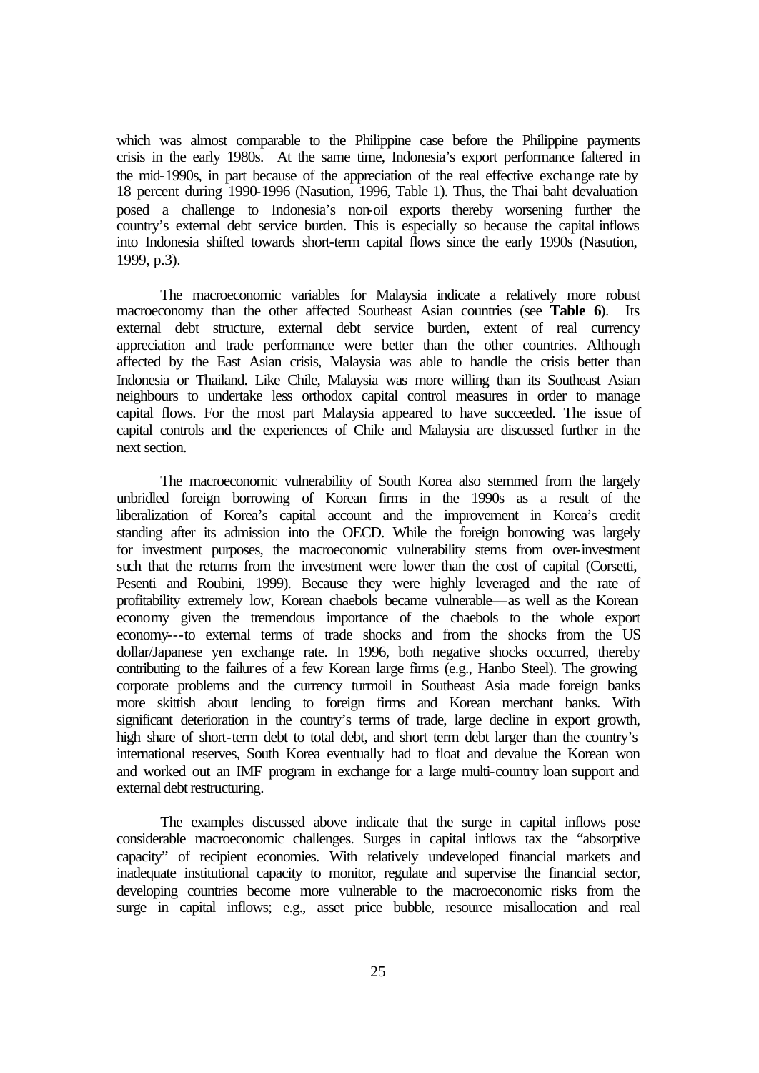which was almost comparable to the Philippine case before the Philippine payments crisis in the early 1980s. At the same time, Indonesia's export performance faltered in the mid-1990s, in part because of the appreciation of the real effective exchange rate by 18 percent during 1990-1996 (Nasution, 1996, Table 1). Thus, the Thai baht devaluation posed a challenge to Indonesia's non-oil exports thereby worsening further the country's external debt service burden. This is especially so because the capital inflows into Indonesia shifted towards short-term capital flows since the early 1990s (Nasution, 1999, p.3).

The macroeconomic variables for Malaysia indicate a relatively more robust macroeconomy than the other affected Southeast Asian countries (see **Table 6**). Its external debt structure, external debt service burden, extent of real currency appreciation and trade performance were better than the other countries. Although affected by the East Asian crisis, Malaysia was able to handle the crisis better than Indonesia or Thailand. Like Chile, Malaysia was more willing than its Southeast Asian neighbours to undertake less orthodox capital control measures in order to manage capital flows. For the most part Malaysia appeared to have succeeded. The issue of capital controls and the experiences of Chile and Malaysia are discussed further in the next section.

The macroeconomic vulnerability of South Korea also stemmed from the largely unbridled foreign borrowing of Korean firms in the 1990s as a result of the liberalization of Korea's capital account and the improvement in Korea's credit standing after its admission into the OECD. While the foreign borrowing was largely for investment purposes, the macroeconomic vulnerability stems from over-investment such that the returns from the investment were lower than the cost of capital (Corsetti, Pesenti and Roubini, 1999). Because they were highly leveraged and the rate of profitability extremely low, Korean chaebols became vulnerable—as well as the Korean economy given the tremendous importance of the chaebols to the whole export economy---to external terms of trade shocks and from the shocks from the US dollar/Japanese yen exchange rate. In 1996, both negative shocks occurred, thereby contributing to the failures of a few Korean large firms (e.g., Hanbo Steel). The growing corporate problems and the currency turmoil in Southeast Asia made foreign banks more skittish about lending to foreign firms and Korean merchant banks. With significant deterioration in the country's terms of trade, large decline in export growth, high share of short-term debt to total debt, and short term debt larger than the country's international reserves, South Korea eventually had to float and devalue the Korean won and worked out an IMF program in exchange for a large multi-country loan support and external debt restructuring.

The examples discussed above indicate that the surge in capital inflows pose considerable macroeconomic challenges. Surges in capital inflows tax the "absorptive capacity" of recipient economies. With relatively undeveloped financial markets and inadequate institutional capacity to monitor, regulate and supervise the financial sector, developing countries become more vulnerable to the macroeconomic risks from the surge in capital inflows; e.g., asset price bubble, resource misallocation and real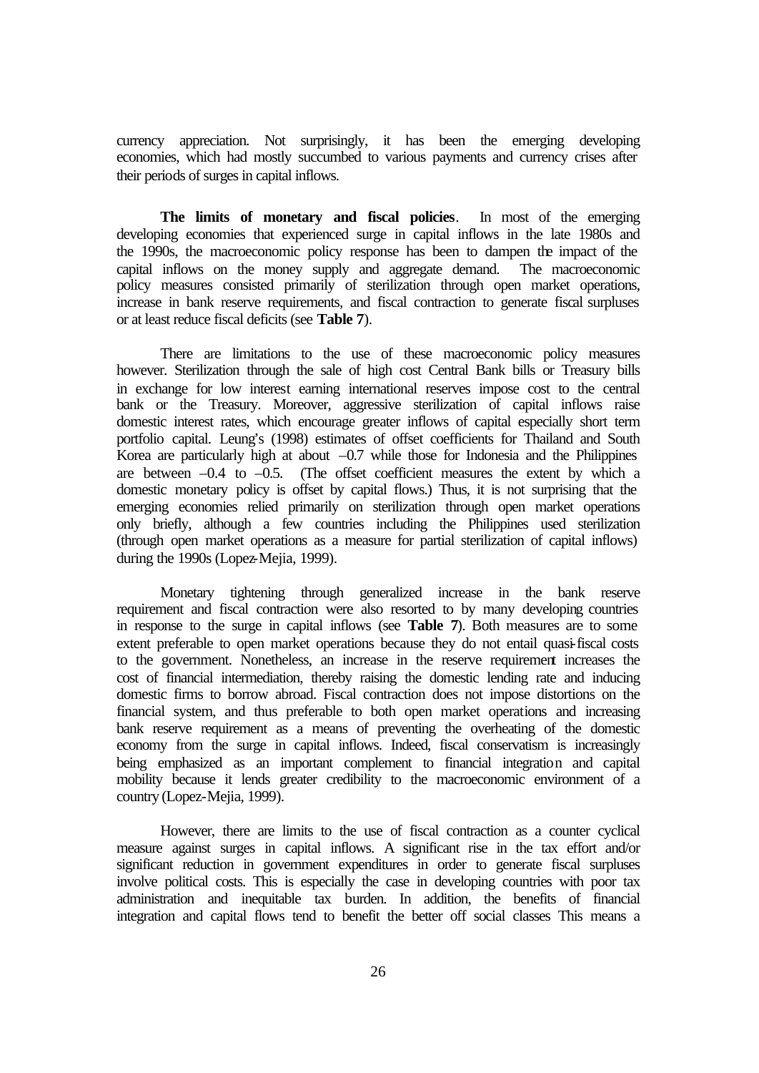currency appreciation. Not surprisingly, it has been the emerging developing economies, which had mostly succumbed to various payments and currency crises after their periods of surges in capital inflows.

**The limits of monetary and fiscal policies**. In most of the emerging developing economies that experienced surge in capital inflows in the late 1980s and the 1990s, the macroeconomic policy response has been to dampen the impact of the capital inflows on the money supply and aggregate demand. The macroeconomic policy measures consisted primarily of sterilization through open market operations, increase in bank reserve requirements, and fiscal contraction to generate fiscal surpluses or at least reduce fiscal deficits (see **Table 7**).

There are limitations to the use of these macroeconomic policy measures however. Sterilization through the sale of high cost Central Bank bills or Treasury bills in exchange for low interest earning international reserves impose cost to the central bank or the Treasury. Moreover, aggressive sterilization of capital inflows raise domestic interest rates, which encourage greater inflows of capital especially short term portfolio capital. Leung's (1998) estimates of offset coefficients for Thailand and South Korea are particularly high at about  $-0.7$  while those for Indonesia and the Philippines are between  $-0.4$  to  $-0.5$ . (The offset coefficient measures the extent by which a domestic monetary policy is offset by capital flows.) Thus, it is not surprising that the emerging economies relied primarily on sterilization through open market operations only briefly, although a few countries including the Philippines used sterilization (through open market operations as a measure for partial sterilization of capital inflows) during the 1990s (Lopez-Mejia, 1999).

Monetary tightening through generalized increase in the bank reserve requirement and fiscal contraction were also resorted to by many developing countries in response to the surge in capital inflows (see **Table 7**). Both measures are to some extent preferable to open market operations because they do not entail quasi-fiscal costs to the government. Nonetheless, an increase in the reserve requirement increases the cost of financial intermediation, thereby raising the domestic lending rate and inducing domestic firms to borrow abroad. Fiscal contraction does not impose distortions on the financial system, and thus preferable to both open market operations and increasing bank reserve requirement as a means of preventing the overheating of the domestic economy from the surge in capital inflows. Indeed, fiscal conservatism is increasingly being emphasized as an important complement to financial integration and capital mobility because it lends greater credibility to the macroeconomic environment of a country (Lopez-Mejia, 1999).

However, there are limits to the use of fiscal contraction as a counter cyclical measure against surges in capital inflows. A significant rise in the tax effort and/or significant reduction in government expenditures in order to generate fiscal surpluses involve political costs. This is especially the case in developing countries with poor tax administration and inequitable tax burden. In addition, the benefits of financial integration and capital flows tend to benefit the better off social classes This means a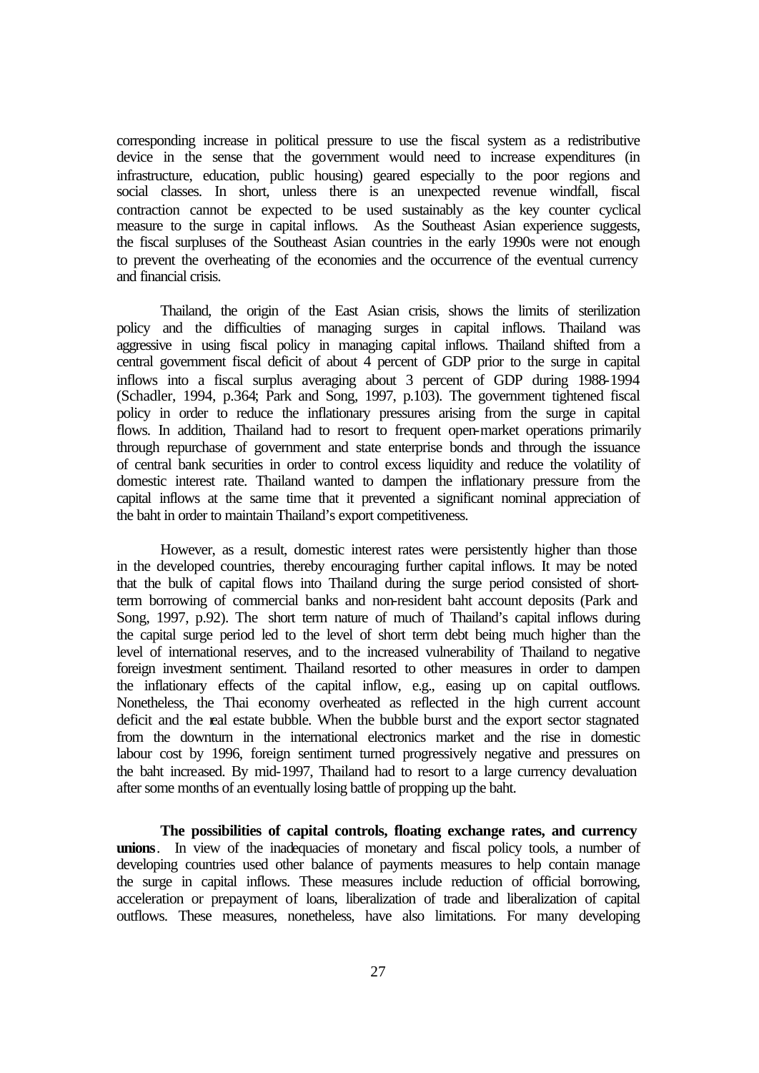corresponding increase in political pressure to use the fiscal system as a redistributive device in the sense that the government would need to increase expenditures (in infrastructure, education, public housing) geared especially to the poor regions and social classes. In short, unless there is an unexpected revenue windfall, fiscal contraction cannot be expected to be used sustainably as the key counter cyclical measure to the surge in capital inflows. As the Southeast Asian experience suggests, the fiscal surpluses of the Southeast Asian countries in the early 1990s were not enough to prevent the overheating of the economies and the occurrence of the eventual currency and financial crisis.

Thailand, the origin of the East Asian crisis, shows the limits of sterilization policy and the difficulties of managing surges in capital inflows. Thailand was aggressive in using fiscal policy in managing capital inflows. Thailand shifted from a central government fiscal deficit of about 4 percent of GDP prior to the surge in capital inflows into a fiscal surplus averaging about 3 percent of GDP during 1988-1994 (Schadler, 1994, p.364; Park and Song, 1997, p.103). The government tightened fiscal policy in order to reduce the inflationary pressures arising from the surge in capital flows. In addition, Thailand had to resort to frequent open-market operations primarily through repurchase of government and state enterprise bonds and through the issuance of central bank securities in order to control excess liquidity and reduce the volatility of domestic interest rate. Thailand wanted to dampen the inflationary pressure from the capital inflows at the same time that it prevented a significant nominal appreciation of the baht in order to maintain Thailand's export competitiveness.

However, as a result, domestic interest rates were persistently higher than those in the developed countries, thereby encouraging further capital inflows. It may be noted that the bulk of capital flows into Thailand during the surge period consisted of shortterm borrowing of commercial banks and non-resident baht account deposits (Park and Song, 1997, p.92). The short term nature of much of Thailand's capital inflows during the capital surge period led to the level of short term debt being much higher than the level of international reserves, and to the increased vulnerability of Thailand to negative foreign investment sentiment. Thailand resorted to other measures in order to dampen the inflationary effects of the capital inflow, e.g., easing up on capital outflows. Nonetheless, the Thai economy overheated as reflected in the high current account deficit and the real estate bubble. When the bubble burst and the export sector stagnated from the downturn in the international electronics market and the rise in domestic labour cost by 1996, foreign sentiment turned progressively negative and pressures on the baht increased. By mid-1997, Thailand had to resort to a large currency devaluation after some months of an eventually losing battle of propping up the baht.

**The possibilities of capital controls, floating exchange rates, and currency unions**. In view of the inadequacies of monetary and fiscal policy tools, a number of developing countries used other balance of payments measures to help contain manage the surge in capital inflows. These measures include reduction of official borrowing, acceleration or prepayment of loans, liberalization of trade and liberalization of capital outflows. These measures, nonetheless, have also limitations. For many developing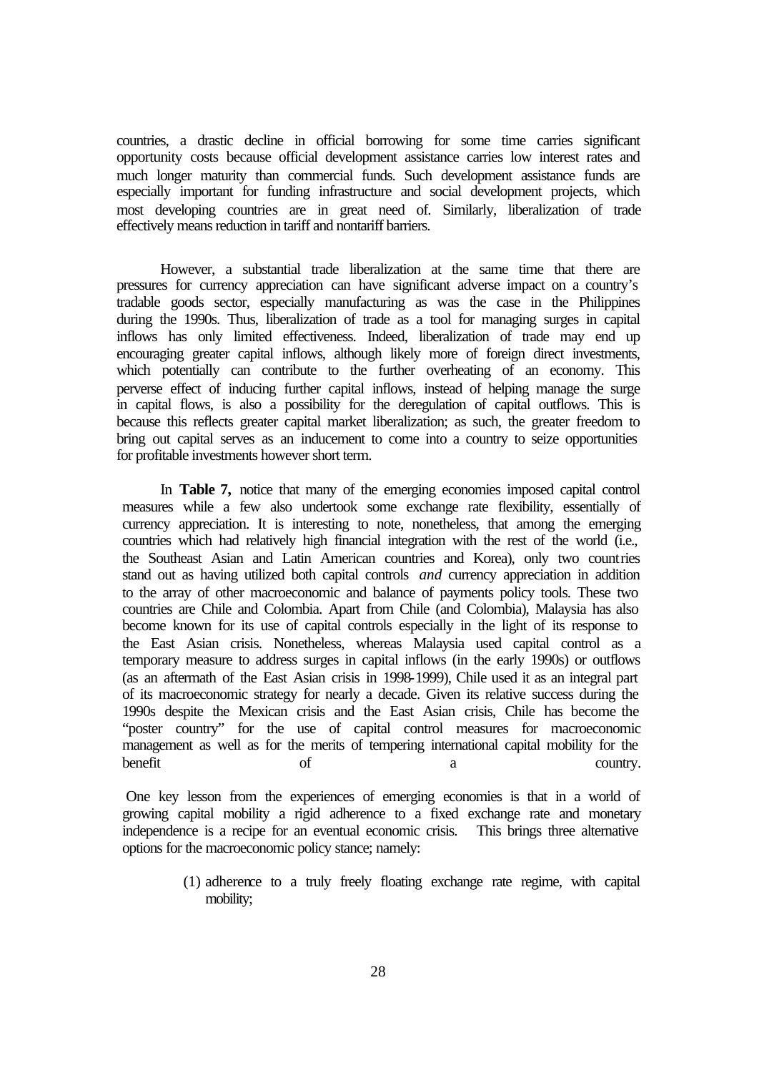countries, a drastic decline in official borrowing for some time carries significant opportunity costs because official development assistance carries low interest rates and much longer maturity than commercial funds. Such development assistance funds are especially important for funding infrastructure and social development projects, which most developing countries are in great need of. Similarly, liberalization of trade effectively means reduction in tariff and nontariff barriers.

However, a substantial trade liberalization at the same time that there are pressures for currency appreciation can have significant adverse impact on a country's tradable goods sector, especially manufacturing as was the case in the Philippines during the 1990s. Thus, liberalization of trade as a tool for managing surges in capital inflows has only limited effectiveness. Indeed, liberalization of trade may end up encouraging greater capital inflows, although likely more of foreign direct investments, which potentially can contribute to the further overheating of an economy. This perverse effect of inducing further capital inflows, instead of helping manage the surge in capital flows, is also a possibility for the deregulation of capital outflows. This is because this reflects greater capital market liberalization; as such, the greater freedom to bring out capital serves as an inducement to come into a country to seize opportunities for profitable investments however short term.

In **Table 7,** notice that many of the emerging economies imposed capital control measures while a few also undertook some exchange rate flexibility, essentially of currency appreciation. It is interesting to note, nonetheless, that among the emerging countries which had relatively high financial integration with the rest of the world (i.e., the Southeast Asian and Latin American countries and Korea), only two countries stand out as having utilized both capital controls *and* currency appreciation in addition to the array of other macroeconomic and balance of payments policy tools. These two countries are Chile and Colombia. Apart from Chile (and Colombia), Malaysia has also become known for its use of capital controls especially in the light of its response to the East Asian crisis. Nonetheless, whereas Malaysia used capital control as a temporary measure to address surges in capital inflows (in the early 1990s) or outflows (as an aftermath of the East Asian crisis in 1998-1999), Chile used it as an integral part of its macroeconomic strategy for nearly a decade. Given its relative success during the 1990s despite the Mexican crisis and the East Asian crisis, Chile has become the "poster country" for the use of capital control measures for macroeconomic management as well as for the merits of tempering international capital mobility for the benefit of a country.

 One key lesson from the experiences of emerging economies is that in a world of growing capital mobility a rigid adherence to a fixed exchange rate and monetary independence is a recipe for an eventual economic crisis. This brings three alternative options for the macroeconomic policy stance; namely:

> (1) adherence to a truly freely floating exchange rate regime, with capital mobility;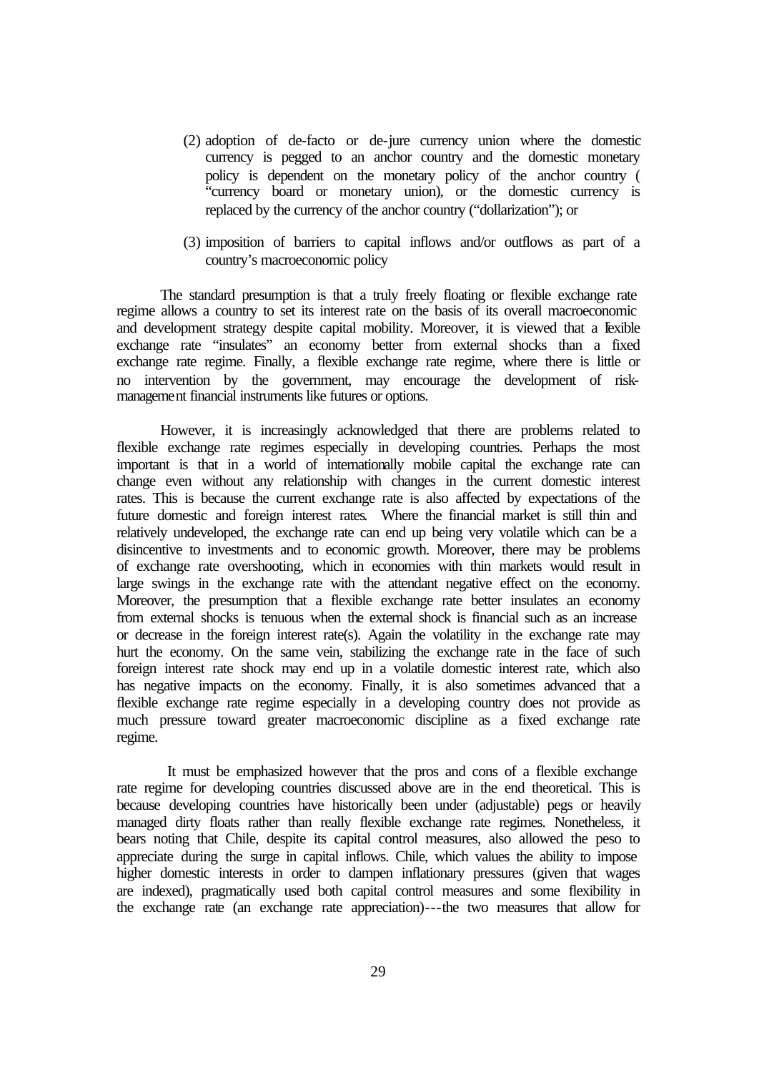- (2) adoption of de-facto or de-jure currency union where the domestic currency is pegged to an anchor country and the domestic monetary policy is dependent on the monetary policy of the anchor country ( "currency board or monetary union), or the domestic currency is replaced by the currency of the anchor country ("dollarization"); or
- (3) imposition of barriers to capital inflows and/or outflows as part of a country's macroeconomic policy

The standard presumption is that a truly freely floating or flexible exchange rate regime allows a country to set its interest rate on the basis of its overall macroeconomic and development strategy despite capital mobility. Moreover, it is viewed that a fexible exchange rate "insulates" an economy better from external shocks than a fixed exchange rate regime. Finally, a flexible exchange rate regime, where there is little or no intervention by the government, may encourage the development of riskmanagement financial instruments like futures or options.

However, it is increasingly acknowledged that there are problems related to flexible exchange rate regimes especially in developing countries. Perhaps the most important is that in a world of internationally mobile capital the exchange rate can change even without any relationship with changes in the current domestic interest rates. This is because the current exchange rate is also affected by expectations of the future domestic and foreign interest rates. Where the financial market is still thin and relatively undeveloped, the exchange rate can end up being very volatile which can be a disincentive to investments and to economic growth. Moreover, there may be problems of exchange rate overshooting, which in economies with thin markets would result in large swings in the exchange rate with the attendant negative effect on the economy. Moreover, the presumption that a flexible exchange rate better insulates an economy from external shocks is tenuous when the external shock is financial such as an increase or decrease in the foreign interest rate(s). Again the volatility in the exchange rate may hurt the economy. On the same vein, stabilizing the exchange rate in the face of such foreign interest rate shock may end up in a volatile domestic interest rate, which also has negative impacts on the economy. Finally, it is also sometimes advanced that a flexible exchange rate regime especially in a developing country does not provide as much pressure toward greater macroeconomic discipline as a fixed exchange rate regime.

 It must be emphasized however that the pros and cons of a flexible exchange rate regime for developing countries discussed above are in the end theoretical. This is because developing countries have historically been under (adjustable) pegs or heavily managed dirty floats rather than really flexible exchange rate regimes. Nonetheless, it bears noting that Chile, despite its capital control measures, also allowed the peso to appreciate during the surge in capital inflows. Chile, which values the ability to impose higher domestic interests in order to dampen inflationary pressures (given that wages are indexed), pragmatically used both capital control measures and some flexibility in the exchange rate (an exchange rate appreciation)---the two measures that allow for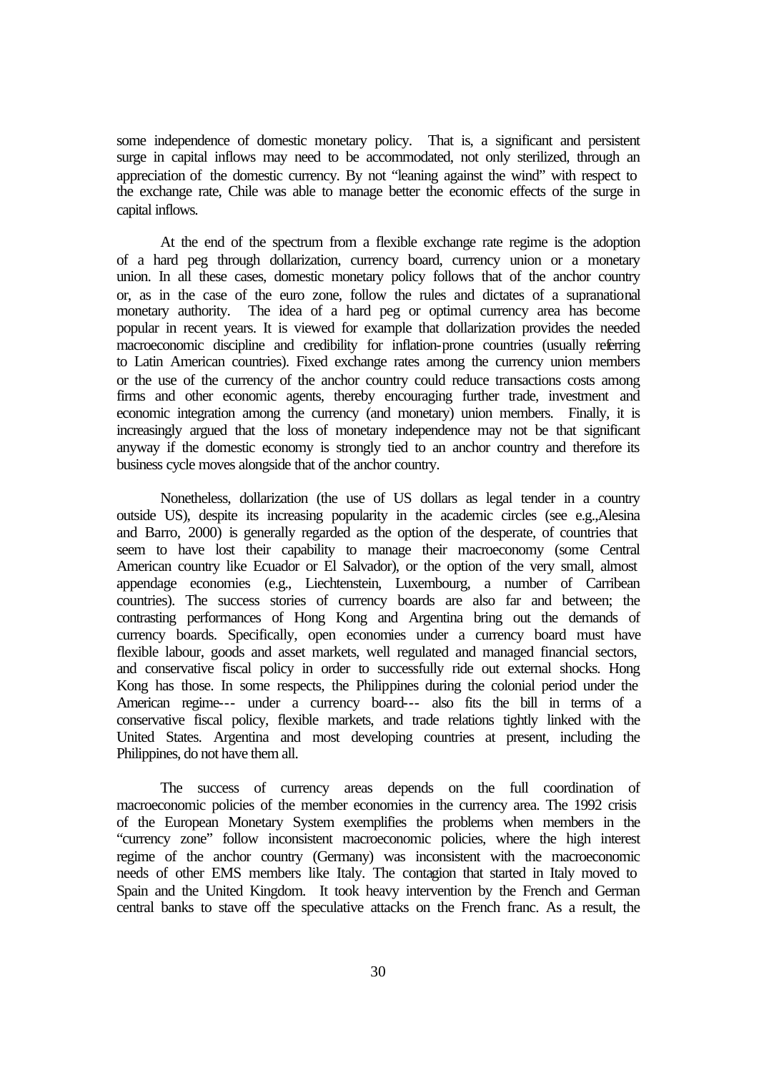some independence of domestic monetary policy. That is, a significant and persistent surge in capital inflows may need to be accommodated, not only sterilized, through an appreciation of the domestic currency. By not "leaning against the wind" with respect to the exchange rate, Chile was able to manage better the economic effects of the surge in capital inflows.

At the end of the spectrum from a flexible exchange rate regime is the adoption of a hard peg through dollarization, currency board, currency union or a monetary union. In all these cases, domestic monetary policy follows that of the anchor country or, as in the case of the euro zone, follow the rules and dictates of a supranational monetary authority. The idea of a hard peg or optimal currency area has become popular in recent years. It is viewed for example that dollarization provides the needed macroeconomic discipline and credibility for inflation-prone countries (usually referring to Latin American countries). Fixed exchange rates among the currency union members or the use of the currency of the anchor country could reduce transactions costs among firms and other economic agents, thereby encouraging further trade, investment and economic integration among the currency (and monetary) union members. Finally, it is increasingly argued that the loss of monetary independence may not be that significant anyway if the domestic economy is strongly tied to an anchor country and therefore its business cycle moves alongside that of the anchor country.

Nonetheless, dollarization (the use of US dollars as legal tender in a country outside US), despite its increasing popularity in the academic circles (see e.g.,Alesina and Barro, 2000) is generally regarded as the option of the desperate, of countries that seem to have lost their capability to manage their macroeconomy (some Central American country like Ecuador or El Salvador), or the option of the very small, almost appendage economies (e.g., Liechtenstein, Luxembourg, a number of Carribean countries). The success stories of currency boards are also far and between; the contrasting performances of Hong Kong and Argentina bring out the demands of currency boards. Specifically, open economies under a currency board must have flexible labour, goods and asset markets, well regulated and managed financial sectors, and conservative fiscal policy in order to successfully ride out external shocks. Hong Kong has those. In some respects, the Philippines during the colonial period under the American regime--- under a currency board--- also fits the bill in terms of a conservative fiscal policy, flexible markets, and trade relations tightly linked with the United States. Argentina and most developing countries at present, including the Philippines, do not have them all.

The success of currency areas depends on the full coordination of macroeconomic policies of the member economies in the currency area. The 1992 crisis of the European Monetary System exemplifies the problems when members in the "currency zone" follow inconsistent macroeconomic policies, where the high interest regime of the anchor country (Germany) was inconsistent with the macroeconomic needs of other EMS members like Italy. The contagion that started in Italy moved to Spain and the United Kingdom. It took heavy intervention by the French and German central banks to stave off the speculative attacks on the French franc. As a result, the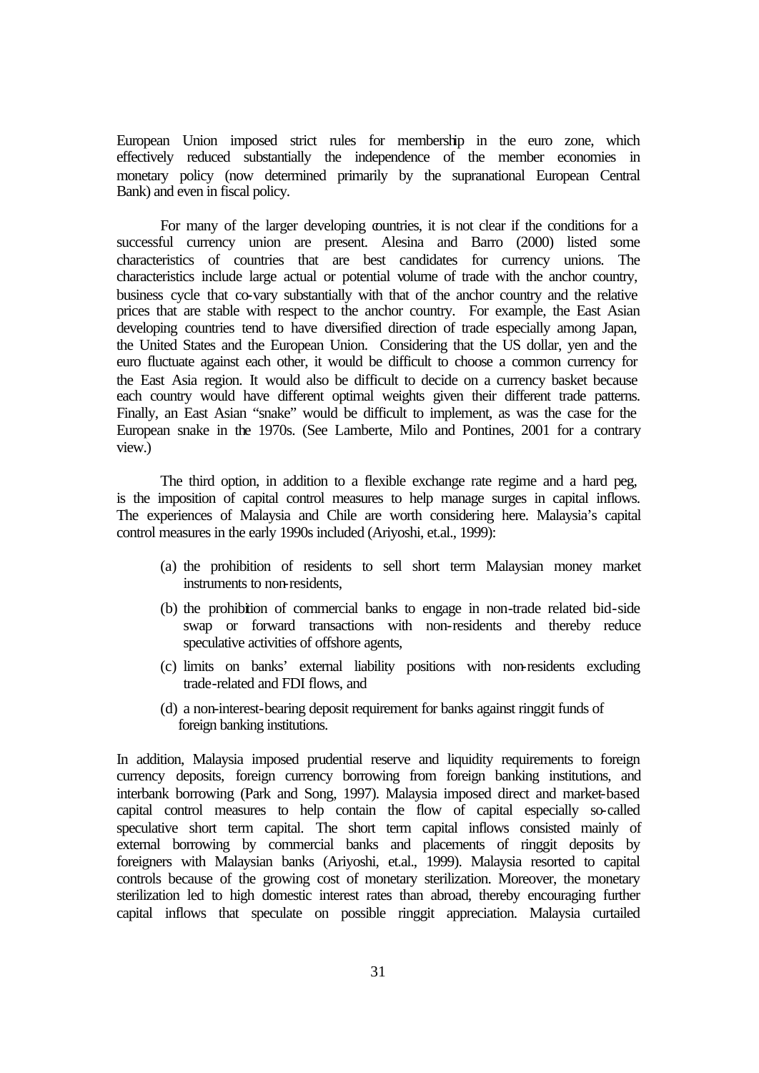European Union imposed strict rules for membership in the euro zone, which effectively reduced substantially the independence of the member economies in monetary policy (now determined primarily by the supranational European Central Bank) and even in fiscal policy.

For many of the larger developing countries, it is not clear if the conditions for a successful currency union are present. Alesina and Barro (2000) listed some characteristics of countries that are best candidates for currency unions. The characteristics include large actual or potential volume of trade with the anchor country, business cycle that co-vary substantially with that of the anchor country and the relative prices that are stable with respect to the anchor country. For example, the East Asian developing countries tend to have diversified direction of trade especially among Japan, the United States and the European Union. Considering that the US dollar, yen and the euro fluctuate against each other, it would be difficult to choose a common currency for the East Asia region. It would also be difficult to decide on a currency basket because each country would have different optimal weights given their different trade patterns. Finally, an East Asian "snake" would be difficult to implement, as was the case for the European snake in the 1970s. (See Lamberte, Milo and Pontines, 2001 for a contrary view.)

The third option, in addition to a flexible exchange rate regime and a hard peg, is the imposition of capital control measures to help manage surges in capital inflows. The experiences of Malaysia and Chile are worth considering here. Malaysia's capital control measures in the early 1990s included (Ariyoshi, et.al., 1999):

- (a) the prohibition of residents to sell short term Malaysian money market instruments to non-residents,
- (b) the prohibition of commercial banks to engage in non-trade related bid-side swap or forward transactions with non-residents and thereby reduce speculative activities of offshore agents,
- (c) limits on banks' external liability positions with non-residents excluding trade-related and FDI flows, and
- (d) a non-interest-bearing deposit requirement for banks against ringgit funds of foreign banking institutions.

In addition, Malaysia imposed prudential reserve and liquidity requirements to foreign currency deposits, foreign currency borrowing from foreign banking institutions, and interbank borrowing (Park and Song, 1997). Malaysia imposed direct and market-based capital control measures to help contain the flow of capital especially so-called speculative short term capital. The short term capital inflows consisted mainly of external borrowing by commercial banks and placements of ringgit deposits by foreigners with Malaysian banks (Ariyoshi, et.al., 1999). Malaysia resorted to capital controls because of the growing cost of monetary sterilization. Moreover, the monetary sterilization led to high domestic interest rates than abroad, thereby encouraging further capital inflows that speculate on possible ringgit appreciation. Malaysia curtailed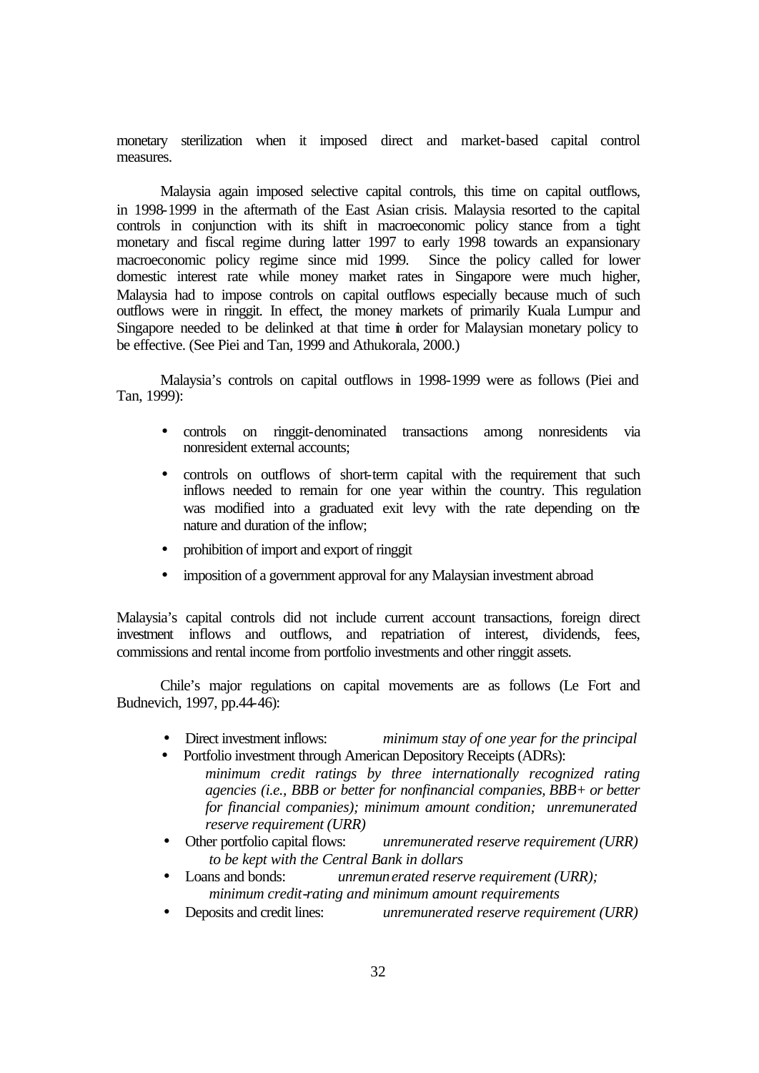monetary sterilization when it imposed direct and market-based capital control measures.

Malaysia again imposed selective capital controls, this time on capital outflows, in 1998-1999 in the aftermath of the East Asian crisis. Malaysia resorted to the capital controls in conjunction with its shift in macroeconomic policy stance from a tight monetary and fiscal regime during latter 1997 to early 1998 towards an expansionary macroeconomic policy regime since mid 1999. Since the policy called for lower domestic interest rate while money market rates in Singapore were much higher, Malaysia had to impose controls on capital outflows especially because much of such outflows were in ringgit. In effect, the money markets of primarily Kuala Lumpur and Singapore needed to be delinked at that time in order for Malaysian monetary policy to be effective. (See Piei and Tan, 1999 and Athukorala, 2000.)

Malaysia's controls on capital outflows in 1998-1999 were as follows (Piei and Tan, 1999):

- controls on ringgit-denominated transactions among nonresidents via nonresident external accounts;
- controls on outflows of short-term capital with the requirement that such inflows needed to remain for one year within the country. This regulation was modified into a graduated exit levy with the rate depending on the nature and duration of the inflow;
- prohibition of import and export of ringgit
- imposition of a government approval for any Malaysian investment abroad

Malaysia's capital controls did not include current account transactions, foreign direct investment inflows and outflows, and repatriation of interest, dividends, fees, commissions and rental income from portfolio investments and other ringgit assets.

Chile's major regulations on capital movements are as follows (Le Fort and Budnevich, 1997, pp.44-46):

- Direct investment inflows: *minimum stay of one year for the principal*
- Portfolio investment through American Depository Receipts (ADRs): *minimum credit ratings by three internationally recognized rating agencies (i.e., BBB or better for nonfinancial companies, BBB+ or better for financial companies); minimum amount condition; unremunerated reserve requirement (URR)*
- Other portfolio capital flows: *unremunerated reserve requirement (URR) to be kept with the Central Bank in dollars*
- Loans and bonds: *unremunerated reserve requirement (URR); minimum credit-rating and minimum amount requirements*
- Deposits and credit lines: *unremunerated reserve requirement (URR)*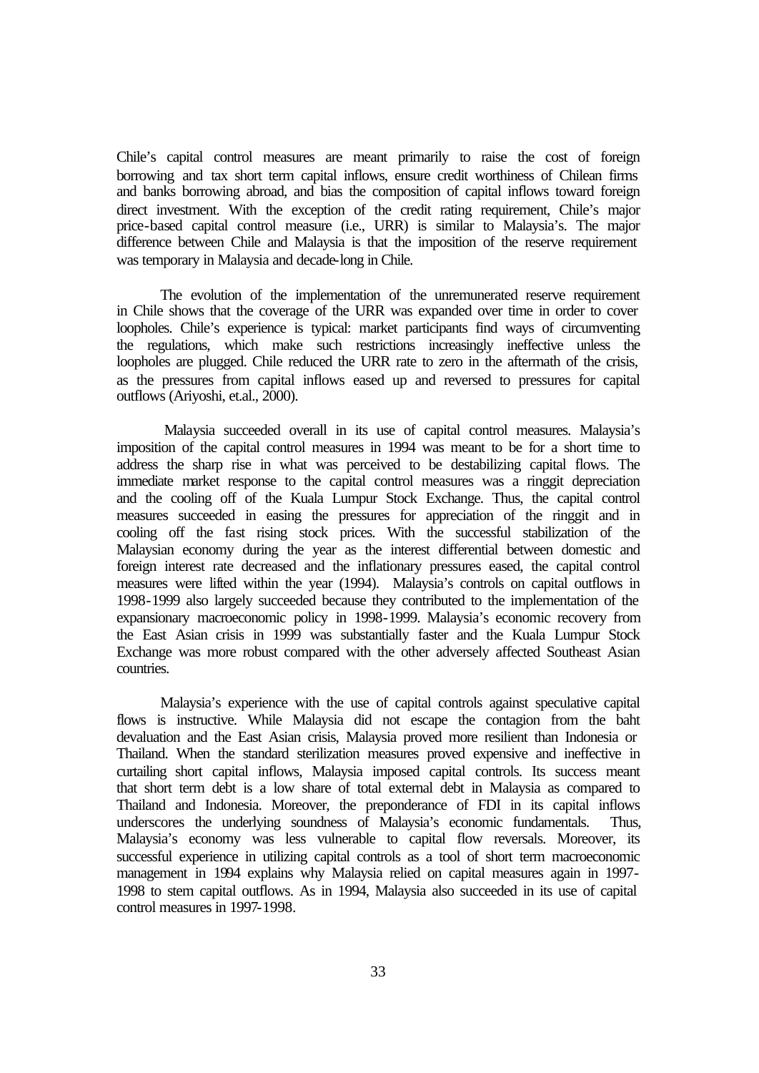Chile's capital control measures are meant primarily to raise the cost of foreign borrowing and tax short term capital inflows, ensure credit worthiness of Chilean firms and banks borrowing abroad, and bias the composition of capital inflows toward foreign direct investment. With the exception of the credit rating requirement, Chile's major price-based capital control measure (i.e., URR) is similar to Malaysia's. The major difference between Chile and Malaysia is that the imposition of the reserve requirement was temporary in Malaysia and decade-long in Chile.

The evolution of the implementation of the unremunerated reserve requirement in Chile shows that the coverage of the URR was expanded over time in order to cover loopholes. Chile's experience is typical: market participants find ways of circumventing the regulations, which make such restrictions increasingly ineffective unless the loopholes are plugged. Chile reduced the URR rate to zero in the aftermath of the crisis, as the pressures from capital inflows eased up and reversed to pressures for capital outflows (Ariyoshi, et.al., 2000).

 Malaysia succeeded overall in its use of capital control measures. Malaysia's imposition of the capital control measures in 1994 was meant to be for a short time to address the sharp rise in what was perceived to be destabilizing capital flows. The immediate market response to the capital control measures was a ringgit depreciation and the cooling off of the Kuala Lumpur Stock Exchange. Thus, the capital control measures succeeded in easing the pressures for appreciation of the ringgit and in cooling off the fast rising stock prices. With the successful stabilization of the Malaysian economy during the year as the interest differential between domestic and foreign interest rate decreased and the inflationary pressures eased, the capital control measures were lifted within the year (1994). Malaysia's controls on capital outflows in 1998-1999 also largely succeeded because they contributed to the implementation of the expansionary macroeconomic policy in 1998-1999. Malaysia's economic recovery from the East Asian crisis in 1999 was substantially faster and the Kuala Lumpur Stock Exchange was more robust compared with the other adversely affected Southeast Asian countries.

Malaysia's experience with the use of capital controls against speculative capital flows is instructive. While Malaysia did not escape the contagion from the baht devaluation and the East Asian crisis, Malaysia proved more resilient than Indonesia or Thailand. When the standard sterilization measures proved expensive and ineffective in curtailing short capital inflows, Malaysia imposed capital controls. Its success meant that short term debt is a low share of total external debt in Malaysia as compared to Thailand and Indonesia. Moreover, the preponderance of FDI in its capital inflows underscores the underlying soundness of Malaysia's economic fundamentals. Thus, Malaysia's economy was less vulnerable to capital flow reversals. Moreover, its successful experience in utilizing capital controls as a tool of short term macroeconomic management in 1994 explains why Malaysia relied on capital measures again in 1997- 1998 to stem capital outflows. As in 1994, Malaysia also succeeded in its use of capital control measures in 1997-1998.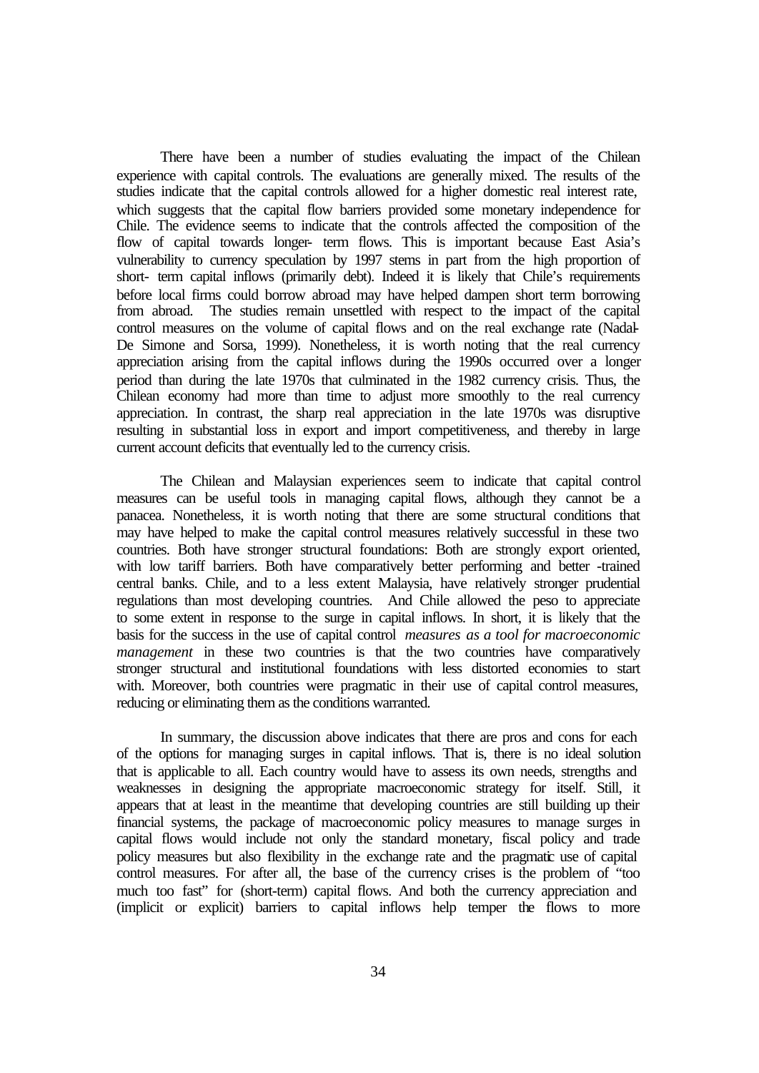There have been a number of studies evaluating the impact of the Chilean experience with capital controls. The evaluations are generally mixed. The results of the studies indicate that the capital controls allowed for a higher domestic real interest rate, which suggests that the capital flow barriers provided some monetary independence for Chile. The evidence seems to indicate that the controls affected the composition of the flow of capital towards longer- term flows. This is important because East Asia's vulnerability to currency speculation by 1997 stems in part from the high proportion of short- term capital inflows (primarily debt). Indeed it is likely that Chile's requirements before local firms could borrow abroad may have helped dampen short term borrowing from abroad. The studies remain unsettled with respect to the impact of the capital control measures on the volume of capital flows and on the real exchange rate (Nadal-De Simone and Sorsa, 1999). Nonetheless, it is worth noting that the real currency appreciation arising from the capital inflows during the 1990s occurred over a longer period than during the late 1970s that culminated in the 1982 currency crisis. Thus, the Chilean economy had more than time to adjust more smoothly to the real currency appreciation. In contrast, the sharp real appreciation in the late 1970s was disruptive resulting in substantial loss in export and import competitiveness, and thereby in large current account deficits that eventually led to the currency crisis.

The Chilean and Malaysian experiences seem to indicate that capital control measures can be useful tools in managing capital flows, although they cannot be a panacea. Nonetheless, it is worth noting that there are some structural conditions that may have helped to make the capital control measures relatively successful in these two countries. Both have stronger structural foundations: Both are strongly export oriented, with low tariff barriers. Both have comparatively better performing and better -trained central banks. Chile, and to a less extent Malaysia, have relatively stronger prudential regulations than most developing countries. And Chile allowed the peso to appreciate to some extent in response to the surge in capital inflows. In short, it is likely that the basis for the success in the use of capital control *measures as a tool for macroeconomic management* in these two countries is that the two countries have comparatively stronger structural and institutional foundations with less distorted economies to start with. Moreover, both countries were pragmatic in their use of capital control measures, reducing or eliminating them as the conditions warranted.

In summary, the discussion above indicates that there are pros and cons for each of the options for managing surges in capital inflows. That is, there is no ideal solution that is applicable to all. Each country would have to assess its own needs, strengths and weaknesses in designing the appropriate macroeconomic strategy for itself. Still, it appears that at least in the meantime that developing countries are still building up their financial systems, the package of macroeconomic policy measures to manage surges in capital flows would include not only the standard monetary, fiscal policy and trade policy measures but also flexibility in the exchange rate and the pragmatic use of capital control measures. For after all, the base of the currency crises is the problem of "too much too fast" for (short-term) capital flows. And both the currency appreciation and (implicit or explicit) barriers to capital inflows help temper the flows to more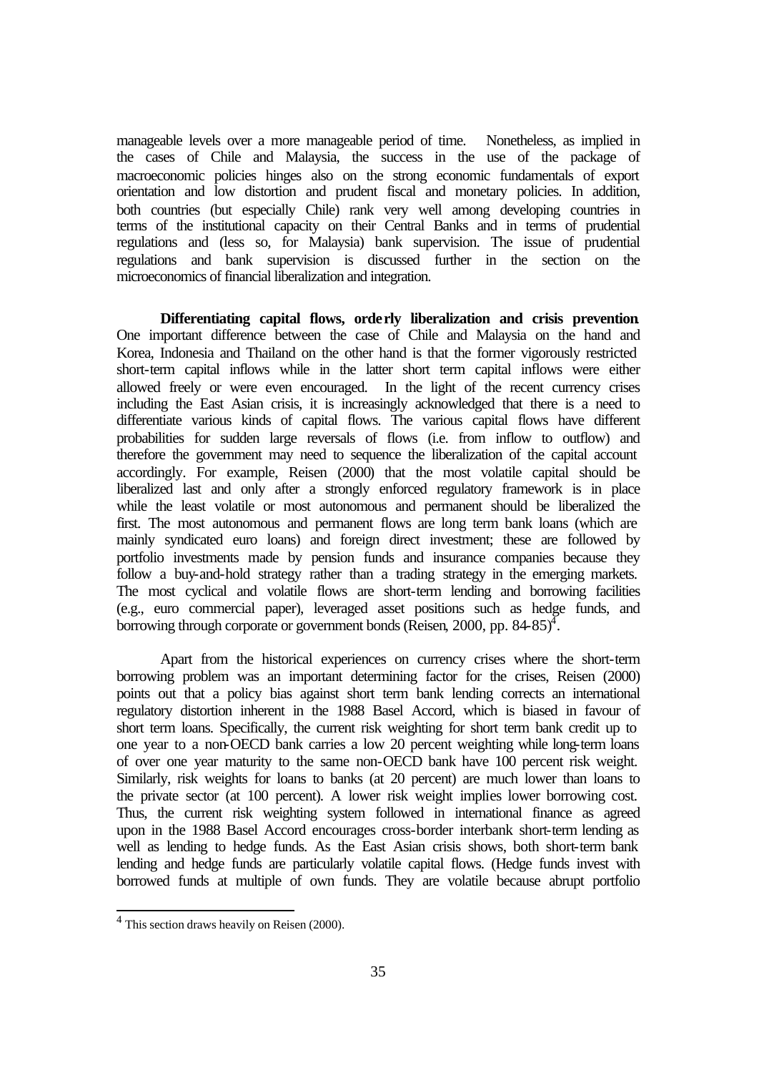manageable levels over a more manageable period of time. Nonetheless, as implied in the cases of Chile and Malaysia, the success in the use of the package of macroeconomic policies hinges also on the strong economic fundamentals of export orientation and low distortion and prudent fiscal and monetary policies. In addition, both countries (but especially Chile) rank very well among developing countries in terms of the institutional capacity on their Central Banks and in terms of prudential regulations and (less so, for Malaysia) bank supervision. The issue of prudential regulations and bank supervision is discussed further in the section on the microeconomics of financial liberalization and integration.

**Differentiating capital flows, orderly liberalization and crisis prevention**. One important difference between the case of Chile and Malaysia on the hand and Korea, Indonesia and Thailand on the other hand is that the former vigorously restricted short-term capital inflows while in the latter short term capital inflows were either allowed freely or were even encouraged. In the light of the recent currency crises including the East Asian crisis, it is increasingly acknowledged that there is a need to differentiate various kinds of capital flows. The various capital flows have different probabilities for sudden large reversals of flows (i.e. from inflow to outflow) and therefore the government may need to sequence the liberalization of the capital account accordingly. For example, Reisen (2000) that the most volatile capital should be liberalized last and only after a strongly enforced regulatory framework is in place while the least volatile or most autonomous and permanent should be liberalized the first. The most autonomous and permanent flows are long term bank loans (which are mainly syndicated euro loans) and foreign direct investment; these are followed by portfolio investments made by pension funds and insurance companies because they follow a buy-and-hold strategy rather than a trading strategy in the emerging markets. The most cyclical and volatile flows are short-term lending and borrowing facilities (e.g., euro commercial paper), leveraged asset positions such as hedge funds, and borrowing through corporate or government bonds (Reisen, 2000, pp.  $84-85$ )<sup> $\text{+}$ </sup>.

Apart from the historical experiences on currency crises where the short-term borrowing problem was an important determining factor for the crises, Reisen (2000) points out that a policy bias against short term bank lending corrects an international regulatory distortion inherent in the 1988 Basel Accord, which is biased in favour of short term loans. Specifically, the current risk weighting for short term bank credit up to one year to a non-OECD bank carries a low 20 percent weighting while long-term loans of over one year maturity to the same non-OECD bank have 100 percent risk weight. Similarly, risk weights for loans to banks (at 20 percent) are much lower than loans to the private sector (at 100 percent). A lower risk weight implies lower borrowing cost. Thus, the current risk weighting system followed in international finance as agreed upon in the 1988 Basel Accord encourages cross-border interbank short-term lending as well as lending to hedge funds. As the East Asian crisis shows, both short-term bank lending and hedge funds are particularly volatile capital flows. (Hedge funds invest with borrowed funds at multiple of own funds. They are volatile because abrupt portfolio

l

<sup>&</sup>lt;sup>4</sup> This section draws heavily on Reisen (2000).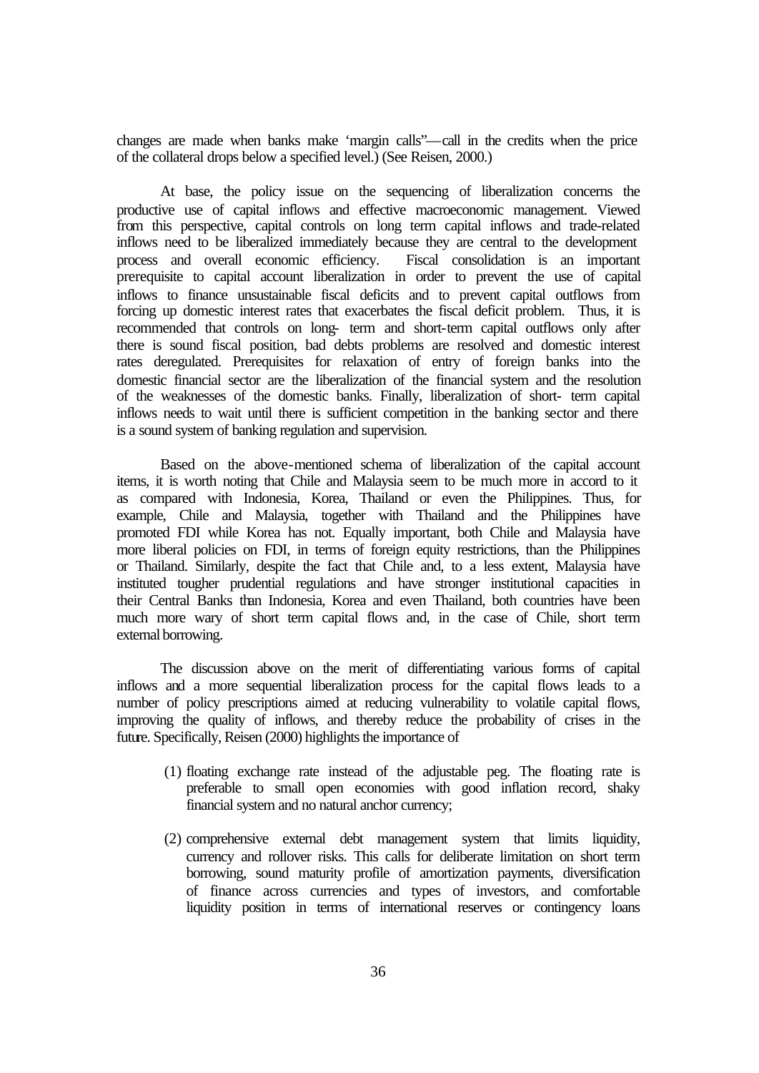changes are made when banks make 'margin calls"—call in the credits when the price of the collateral drops below a specified level.) (See Reisen, 2000.)

At base, the policy issue on the sequencing of liberalization concerns the productive use of capital inflows and effective macroeconomic management. Viewed from this perspective, capital controls on long term capital inflows and trade-related inflows need to be liberalized immediately because they are central to the development process and overall economic efficiency. Fiscal consolidation is an important prerequisite to capital account liberalization in order to prevent the use of capital inflows to finance unsustainable fiscal deficits and to prevent capital outflows from forcing up domestic interest rates that exacerbates the fiscal deficit problem. Thus, it is recommended that controls on long- term and short-term capital outflows only after there is sound fiscal position, bad debts problems are resolved and domestic interest rates deregulated. Prerequisites for relaxation of entry of foreign banks into the domestic financial sector are the liberalization of the financial system and the resolution of the weaknesses of the domestic banks. Finally, liberalization of short- term capital inflows needs to wait until there is sufficient competition in the banking sector and there is a sound system of banking regulation and supervision.

Based on the above-mentioned schema of liberalization of the capital account items, it is worth noting that Chile and Malaysia seem to be much more in accord to it as compared with Indonesia, Korea, Thailand or even the Philippines. Thus, for example, Chile and Malaysia, together with Thailand and the Philippines have promoted FDI while Korea has not. Equally important, both Chile and Malaysia have more liberal policies on FDI, in terms of foreign equity restrictions, than the Philippines or Thailand. Similarly, despite the fact that Chile and, to a less extent, Malaysia have instituted tougher prudential regulations and have stronger institutional capacities in their Central Banks than Indonesia, Korea and even Thailand, both countries have been much more wary of short term capital flows and, in the case of Chile, short term external borrowing.

The discussion above on the merit of differentiating various forms of capital inflows and a more sequential liberalization process for the capital flows leads to a number of policy prescriptions aimed at reducing vulnerability to volatile capital flows, improving the quality of inflows, and thereby reduce the probability of crises in the future. Specifically, Reisen (2000) highlights the importance of

- (1) floating exchange rate instead of the adjustable peg. The floating rate is preferable to small open economies with good inflation record, shaky financial system and no natural anchor currency;
- (2) comprehensive external debt management system that limits liquidity, currency and rollover risks. This calls for deliberate limitation on short term borrowing, sound maturity profile of amortization payments, diversification of finance across currencies and types of investors, and comfortable liquidity position in terms of international reserves or contingency loans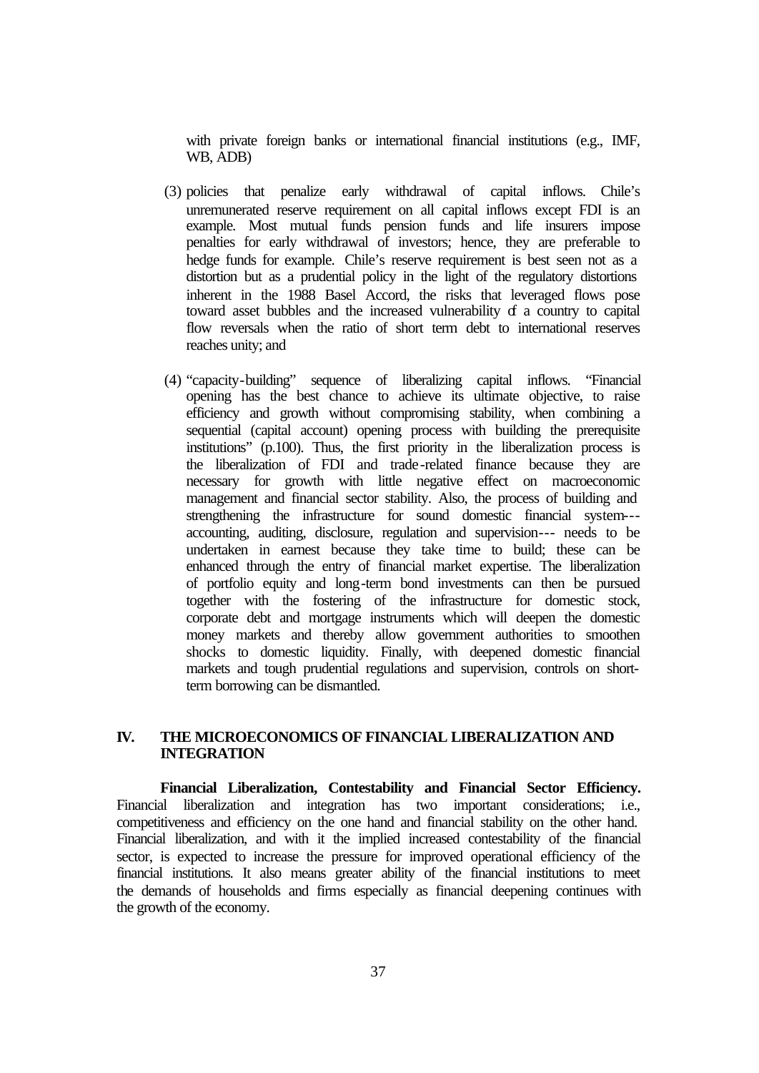with private foreign banks or international financial institutions (e.g., IMF, WB, ADB)

- (3) policies that penalize early withdrawal of capital inflows. Chile's unremunerated reserve requirement on all capital inflows except FDI is an example. Most mutual funds pension funds and life insurers impose penalties for early withdrawal of investors; hence, they are preferable to hedge funds for example. Chile's reserve requirement is best seen not as a distortion but as a prudential policy in the light of the regulatory distortions inherent in the 1988 Basel Accord, the risks that leveraged flows pose toward asset bubbles and the increased vulnerability of a country to capital flow reversals when the ratio of short term debt to international reserves reaches unity; and
- (4) "capacity-building" sequence of liberalizing capital inflows. "Financial opening has the best chance to achieve its ultimate objective, to raise efficiency and growth without compromising stability, when combining a sequential (capital account) opening process with building the prerequisite institutions" (p.100). Thus, the first priority in the liberalization process is the liberalization of FDI and trade-related finance because they are necessary for growth with little negative effect on macroeconomic management and financial sector stability. Also, the process of building and strengthening the infrastructure for sound domestic financial system-- accounting, auditing, disclosure, regulation and supervision--- needs to be undertaken in earnest because they take time to build; these can be enhanced through the entry of financial market expertise. The liberalization of portfolio equity and long-term bond investments can then be pursued together with the fostering of the infrastructure for domestic stock, corporate debt and mortgage instruments which will deepen the domestic money markets and thereby allow government authorities to smoothen shocks to domestic liquidity. Finally, with deepened domestic financial markets and tough prudential regulations and supervision, controls on shortterm borrowing can be dismantled.

### **IV. THE MICROECONOMICS OF FINANCIAL LIBERALIZATION AND INTEGRATION**

**Financial Liberalization, Contestability and Financial Sector Efficiency.**  Financial liberalization and integration has two important considerations; i.e., competitiveness and efficiency on the one hand and financial stability on the other hand. Financial liberalization, and with it the implied increased contestability of the financial sector, is expected to increase the pressure for improved operational efficiency of the financial institutions. It also means greater ability of the financial institutions to meet the demands of households and firms especially as financial deepening continues with the growth of the economy.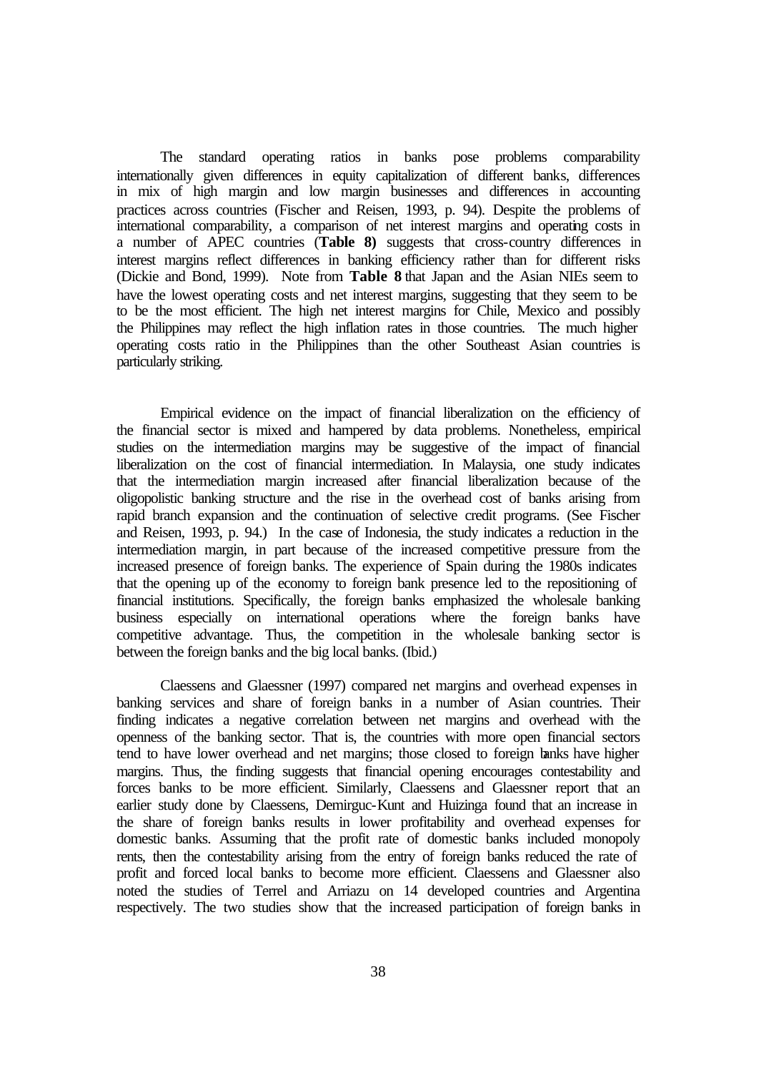The standard operating ratios in banks pose problems comparability internationally given differences in equity capitalization of different banks, differences in mix of high margin and low margin businesses and differences in accounting practices across countries (Fischer and Reisen, 1993, p. 94). Despite the problems of international comparability, a comparison of net interest margins and operating costs in a number of APEC countries (**Table 8)** suggests that cross-country differences in interest margins reflect differences in banking efficiency rather than for different risks (Dickie and Bond, 1999). Note from **Table 8** that Japan and the Asian NIEs seem to have the lowest operating costs and net interest margins, suggesting that they seem to be to be the most efficient. The high net interest margins for Chile, Mexico and possibly the Philippines may reflect the high inflation rates in those countries. The much higher operating costs ratio in the Philippines than the other Southeast Asian countries is particularly striking.

Empirical evidence on the impact of financial liberalization on the efficiency of the financial sector is mixed and hampered by data problems. Nonetheless, empirical studies on the intermediation margins may be suggestive of the impact of financial liberalization on the cost of financial intermediation. In Malaysia, one study indicates that the intermediation margin increased after financial liberalization because of the oligopolistic banking structure and the rise in the overhead cost of banks arising from rapid branch expansion and the continuation of selective credit programs. (See Fischer and Reisen, 1993, p. 94.) In the case of Indonesia, the study indicates a reduction in the intermediation margin, in part because of the increased competitive pressure from the increased presence of foreign banks. The experience of Spain during the 1980s indicates that the opening up of the economy to foreign bank presence led to the repositioning of financial institutions. Specifically, the foreign banks emphasized the wholesale banking business especially on international operations where the foreign banks have competitive advantage. Thus, the competition in the wholesale banking sector is between the foreign banks and the big local banks. (Ibid.)

Claessens and Glaessner (1997) compared net margins and overhead expenses in banking services and share of foreign banks in a number of Asian countries. Their finding indicates a negative correlation between net margins and overhead with the openness of the banking sector. That is, the countries with more open financial sectors tend to have lower overhead and net margins; those closed to foreign banks have higher margins. Thus, the finding suggests that financial opening encourages contestability and forces banks to be more efficient. Similarly, Claessens and Glaessner report that an earlier study done by Claessens, Demirguc-Kunt and Huizinga found that an increase in the share of foreign banks results in lower profitability and overhead expenses for domestic banks. Assuming that the profit rate of domestic banks included monopoly rents, then the contestability arising from the entry of foreign banks reduced the rate of profit and forced local banks to become more efficient. Claessens and Glaessner also noted the studies of Terrel and Arriazu on 14 developed countries and Argentina respectively. The two studies show that the increased participation of foreign banks in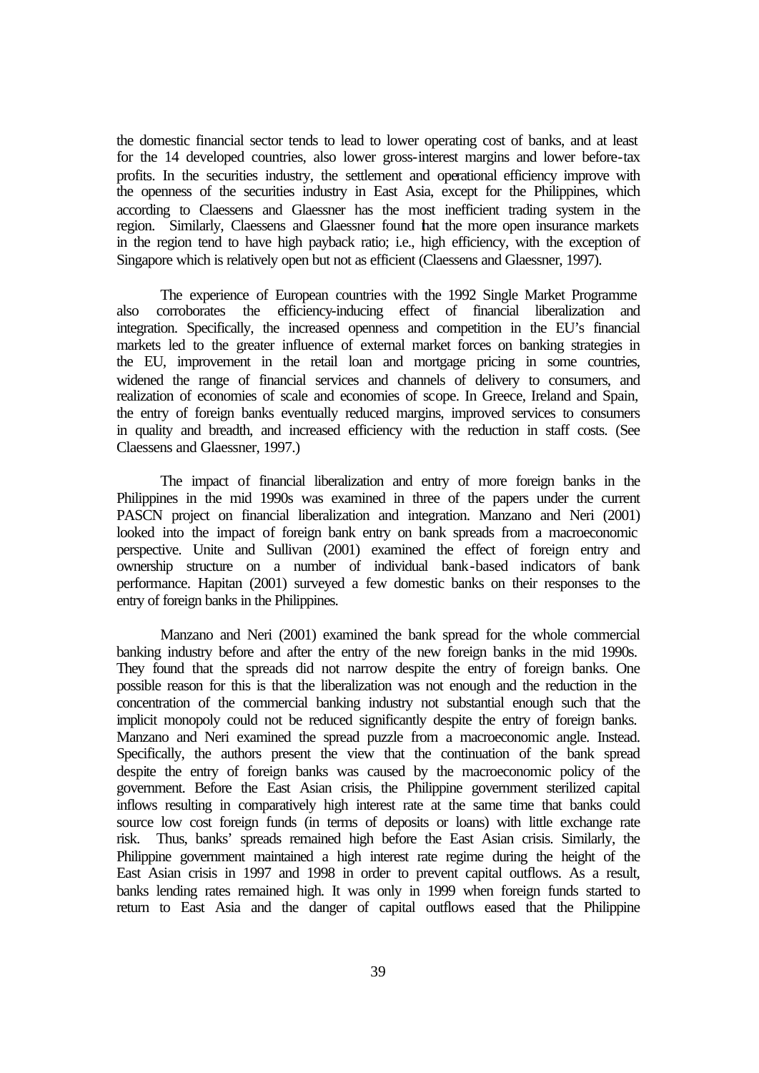the domestic financial sector tends to lead to lower operating cost of banks, and at least for the 14 developed countries, also lower gross-interest margins and lower before-tax profits. In the securities industry, the settlement and operational efficiency improve with the openness of the securities industry in East Asia, except for the Philippines, which according to Claessens and Glaessner has the most inefficient trading system in the region. Similarly, Claessens and Glaessner found that the more open insurance markets in the region tend to have high payback ratio; i.e., high efficiency, with the exception of Singapore which is relatively open but not as efficient (Claessens and Glaessner, 1997).

 The experience of European countries with the 1992 Single Market Programme also corroborates the efficiency-inducing effect of financial liberalization and integration. Specifically, the increased openness and competition in the EU's financial markets led to the greater influence of external market forces on banking strategies in the EU, improvement in the retail loan and mortgage pricing in some countries, widened the range of financial services and channels of delivery to consumers, and realization of economies of scale and economies of scope. In Greece, Ireland and Spain, the entry of foreign banks eventually reduced margins, improved services to consumers in quality and breadth, and increased efficiency with the reduction in staff costs. (See Claessens and Glaessner, 1997.)

The impact of financial liberalization and entry of more foreign banks in the Philippines in the mid 1990s was examined in three of the papers under the current PASCN project on financial liberalization and integration. Manzano and Neri (2001) looked into the impact of foreign bank entry on bank spreads from a macroeconomic perspective. Unite and Sullivan (2001) examined the effect of foreign entry and ownership structure on a number of individual bank-based indicators of bank performance. Hapitan (2001) surveyed a few domestic banks on their responses to the entry of foreign banks in the Philippines.

Manzano and Neri (2001) examined the bank spread for the whole commercial banking industry before and after the entry of the new foreign banks in the mid 1990s. They found that the spreads did not narrow despite the entry of foreign banks. One possible reason for this is that the liberalization was not enough and the reduction in the concentration of the commercial banking industry not substantial enough such that the implicit monopoly could not be reduced significantly despite the entry of foreign banks. Manzano and Neri examined the spread puzzle from a macroeconomic angle. Instead. Specifically, the authors present the view that the continuation of the bank spread despite the entry of foreign banks was caused by the macroeconomic policy of the government. Before the East Asian crisis, the Philippine government sterilized capital inflows resulting in comparatively high interest rate at the same time that banks could source low cost foreign funds (in terms of deposits or loans) with little exchange rate risk. Thus, banks' spreads remained high before the East Asian crisis. Similarly, the Philippine government maintained a high interest rate regime during the height of the East Asian crisis in 1997 and 1998 in order to prevent capital outflows. As a result, banks lending rates remained high. It was only in 1999 when foreign funds started to return to East Asia and the danger of capital outflows eased that the Philippine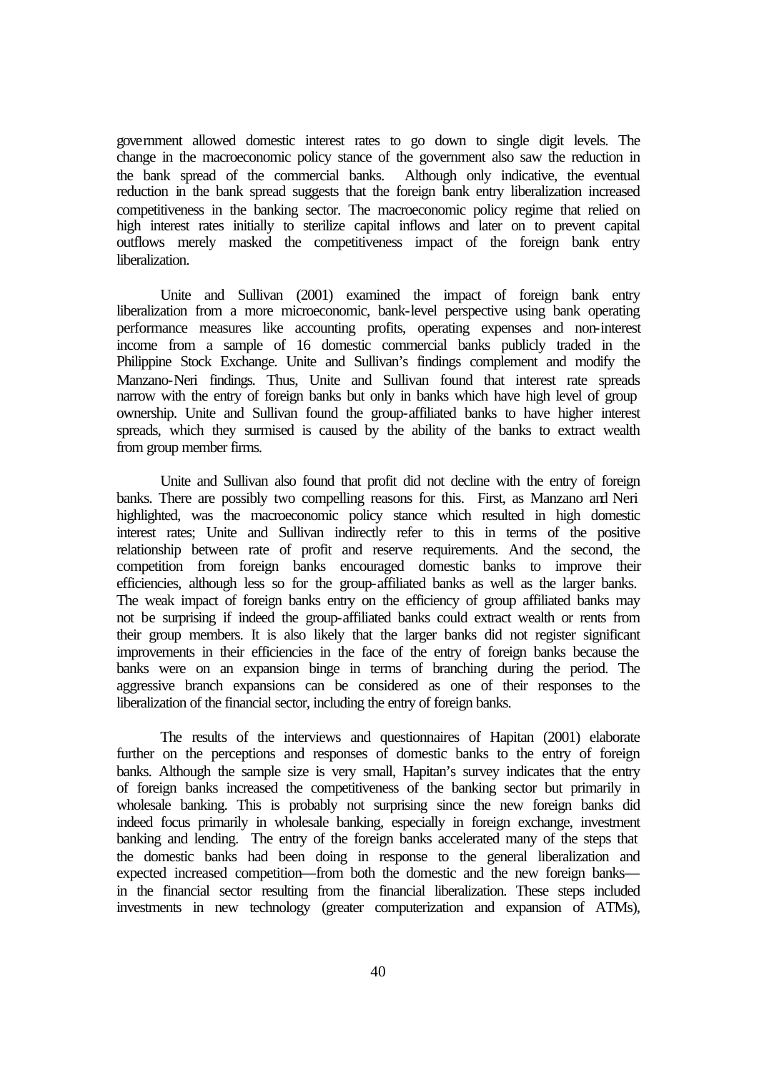government allowed domestic interest rates to go down to single digit levels. The change in the macroeconomic policy stance of the government also saw the reduction in the bank spread of the commercial banks. Although only indicative, the eventual reduction in the bank spread suggests that the foreign bank entry liberalization increased competitiveness in the banking sector. The macroeconomic policy regime that relied on high interest rates initially to sterilize capital inflows and later on to prevent capital outflows merely masked the competitiveness impact of the foreign bank entry liberalization.

Unite and Sullivan (2001) examined the impact of foreign bank entry liberalization from a more microeconomic, bank-level perspective using bank operating performance measures like accounting profits, operating expenses and non-interest income from a sample of 16 domestic commercial banks publicly traded in the Philippine Stock Exchange. Unite and Sullivan's findings complement and modify the Manzano-Neri findings. Thus, Unite and Sullivan found that interest rate spreads narrow with the entry of foreign banks but only in banks which have high level of group ownership. Unite and Sullivan found the group-affiliated banks to have higher interest spreads, which they surmised is caused by the ability of the banks to extract wealth from group member firms.

Unite and Sullivan also found that profit did not decline with the entry of foreign banks. There are possibly two compelling reasons for this. First, as Manzano and Neri highlighted, was the macroeconomic policy stance which resulted in high domestic interest rates; Unite and Sullivan indirectly refer to this in terms of the positive relationship between rate of profit and reserve requirements. And the second, the competition from foreign banks encouraged domestic banks to improve their efficiencies, although less so for the group-affiliated banks as well as the larger banks. The weak impact of foreign banks entry on the efficiency of group affiliated banks may not be surprising if indeed the group-affiliated banks could extract wealth or rents from their group members. It is also likely that the larger banks did not register significant improvements in their efficiencies in the face of the entry of foreign banks because the banks were on an expansion binge in terms of branching during the period. The aggressive branch expansions can be considered as one of their responses to the liberalization of the financial sector, including the entry of foreign banks.

The results of the interviews and questionnaires of Hapitan (2001) elaborate further on the perceptions and responses of domestic banks to the entry of foreign banks. Although the sample size is very small, Hapitan's survey indicates that the entry of foreign banks increased the competitiveness of the banking sector but primarily in wholesale banking. This is probably not surprising since the new foreign banks did indeed focus primarily in wholesale banking, especially in foreign exchange, investment banking and lending. The entry of the foreign banks accelerated many of the steps that the domestic banks had been doing in response to the general liberalization and expected increased competition—from both the domestic and the new foreign banks in the financial sector resulting from the financial liberalization. These steps included investments in new technology (greater computerization and expansion of ATMs),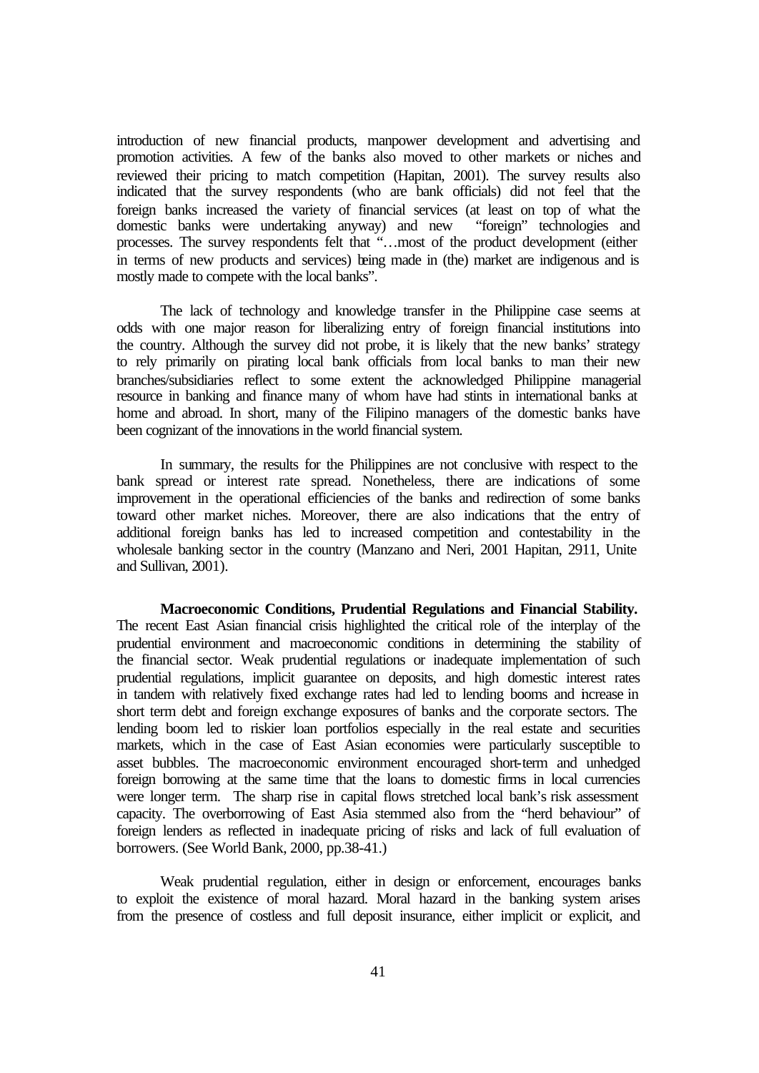introduction of new financial products, manpower development and advertising and promotion activities. A few of the banks also moved to other markets or niches and reviewed their pricing to match competition (Hapitan, 2001). The survey results also indicated that the survey respondents (who are bank officials) did not feel that the foreign banks increased the variety of financial services (at least on top of what the domestic banks were undertaking anyway) and new "foreign" technologies and processes. The survey respondents felt that "…most of the product development (either in terms of new products and services) being made in (the) market are indigenous and is mostly made to compete with the local banks".

The lack of technology and knowledge transfer in the Philippine case seems at odds with one major reason for liberalizing entry of foreign financial institutions into the country. Although the survey did not probe, it is likely that the new banks' strategy to rely primarily on pirating local bank officials from local banks to man their new branches/subsidiaries reflect to some extent the acknowledged Philippine managerial resource in banking and finance many of whom have had stints in international banks at home and abroad. In short, many of the Filipino managers of the domestic banks have been cognizant of the innovations in the world financial system.

In summary, the results for the Philippines are not conclusive with respect to the bank spread or interest rate spread. Nonetheless, there are indications of some improvement in the operational efficiencies of the banks and redirection of some banks toward other market niches. Moreover, there are also indications that the entry of additional foreign banks has led to increased competition and contestability in the wholesale banking sector in the country (Manzano and Neri, 2001 Hapitan, 2911, Unite and Sullivan, 2001).

**Macroeconomic Conditions, Prudential Regulations and Financial Stability.**  The recent East Asian financial crisis highlighted the critical role of the interplay of the prudential environment and macroeconomic conditions in determining the stability of the financial sector. Weak prudential regulations or inadequate implementation of such prudential regulations, implicit guarantee on deposits, and high domestic interest rates in tandem with relatively fixed exchange rates had led to lending booms and increase in short term debt and foreign exchange exposures of banks and the corporate sectors. The lending boom led to riskier loan portfolios especially in the real estate and securities markets, which in the case of East Asian economies were particularly susceptible to asset bubbles. The macroeconomic environment encouraged short-term and unhedged foreign borrowing at the same time that the loans to domestic firms in local currencies were longer term. The sharp rise in capital flows stretched local bank's risk assessment capacity. The overborrowing of East Asia stemmed also from the "herd behaviour" of foreign lenders as reflected in inadequate pricing of risks and lack of full evaluation of borrowers. (See World Bank, 2000, pp.38-41.)

Weak prudential regulation, either in design or enforcement, encourages banks to exploit the existence of moral hazard. Moral hazard in the banking system arises from the presence of costless and full deposit insurance, either implicit or explicit, and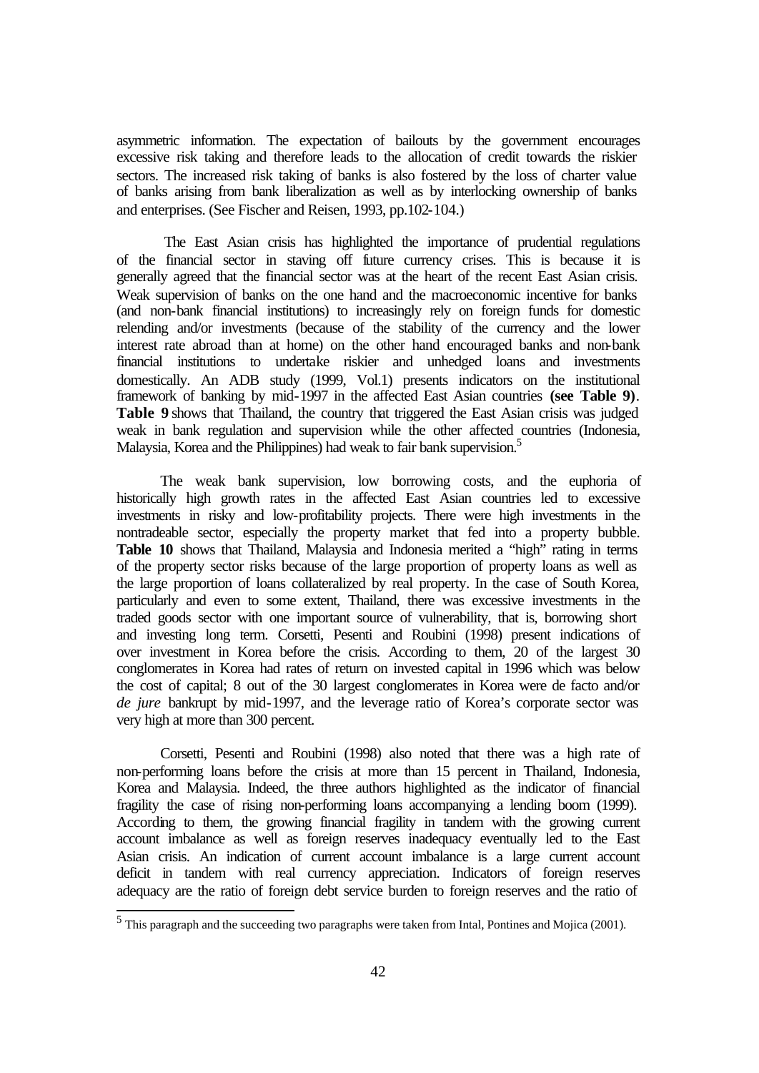asymmetric information. The expectation of bailouts by the government encourages excessive risk taking and therefore leads to the allocation of credit towards the riskier sectors. The increased risk taking of banks is also fostered by the loss of charter value of banks arising from bank liberalization as well as by interlocking ownership of banks and enterprises. (See Fischer and Reisen, 1993, pp.102-104.)

 The East Asian crisis has highlighted the importance of prudential regulations of the financial sector in staving off future currency crises. This is because it is generally agreed that the financial sector was at the heart of the recent East Asian crisis. Weak supervision of banks on the one hand and the macroeconomic incentive for banks (and non-bank financial institutions) to increasingly rely on foreign funds for domestic relending and/or investments (because of the stability of the currency and the lower interest rate abroad than at home) on the other hand encouraged banks and non-bank financial institutions to undertake riskier and unhedged loans and investments domestically. An ADB study (1999, Vol.1) presents indicators on the institutional framework of banking by mid-1997 in the affected East Asian countries **(see Table 9)**. **Table 9** shows that Thailand, the country that triggered the East Asian crisis was judged weak in bank regulation and supervision while the other affected countries (Indonesia, Malaysia, Korea and the Philippines) had weak to fair bank supervision.<sup>5</sup>

The weak bank supervision, low borrowing costs, and the euphoria of historically high growth rates in the affected East Asian countries led to excessive investments in risky and low-profitability projects. There were high investments in the nontradeable sector, especially the property market that fed into a property bubble. **Table 10** shows that Thailand, Malaysia and Indonesia merited a "high" rating in terms of the property sector risks because of the large proportion of property loans as well as the large proportion of loans collateralized by real property. In the case of South Korea, particularly and even to some extent, Thailand, there was excessive investments in the traded goods sector with one important source of vulnerability, that is, borrowing short and investing long term. Corsetti, Pesenti and Roubini (1998) present indications of over investment in Korea before the crisis. According to them, 20 of the largest 30 conglomerates in Korea had rates of return on invested capital in 1996 which was below the cost of capital; 8 out of the 30 largest conglomerates in Korea were de facto and/or *de jure* bankrupt by mid-1997, and the leverage ratio of Korea's corporate sector was very high at more than 300 percent.

Corsetti, Pesenti and Roubini (1998) also noted that there was a high rate of non-performing loans before the crisis at more than 15 percent in Thailand, Indonesia, Korea and Malaysia. Indeed, the three authors highlighted as the indicator of financial fragility the case of rising non-performing loans accompanying a lending boom (1999). According to them, the growing financial fragility in tandem with the growing current account imbalance as well as foreign reserves inadequacy eventually led to the East Asian crisis. An indication of current account imbalance is a large current account deficit in tandem with real currency appreciation. Indicators of foreign reserves adequacy are the ratio of foreign debt service burden to foreign reserves and the ratio of

 5 This paragraph and the succeeding two paragraphs were taken from Intal, Pontines and Mojica (2001).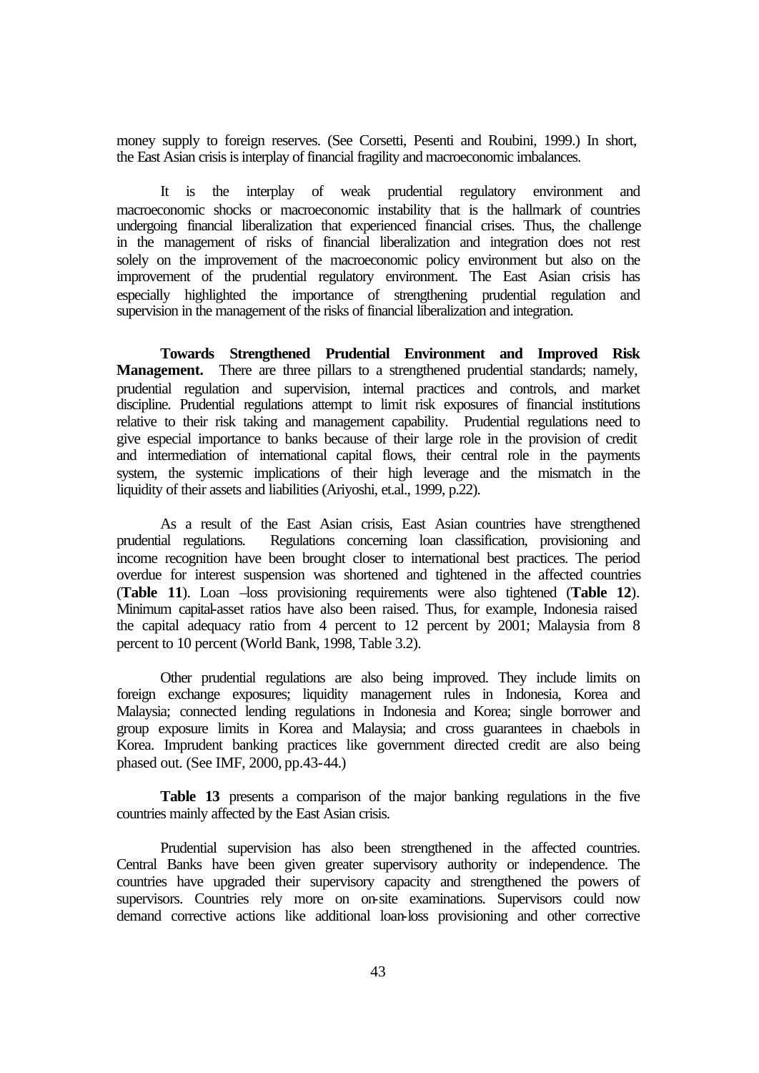money supply to foreign reserves. (See Corsetti, Pesenti and Roubini, 1999.) In short, the East Asian crisis is interplay of financial fragility and macroeconomic imbalances.

It is the interplay of weak prudential regulatory environment and macroeconomic shocks or macroeconomic instability that is the hallmark of countries undergoing financial liberalization that experienced financial crises. Thus, the challenge in the management of risks of financial liberalization and integration does not rest solely on the improvement of the macroeconomic policy environment but also on the improvement of the prudential regulatory environment. The East Asian crisis has especially highlighted the importance of strengthening prudential regulation and supervision in the management of the risks of financial liberalization and integration.

**Towards Strengthened Prudential Environment and Improved Risk Management.** There are three pillars to a strengthened prudential standards; namely, prudential regulation and supervision, internal practices and controls, and market discipline. Prudential regulations attempt to limit risk exposures of financial institutions relative to their risk taking and management capability. Prudential regulations need to give especial importance to banks because of their large role in the provision of credit and intermediation of international capital flows, their central role in the payments system, the systemic implications of their high leverage and the mismatch in the liquidity of their assets and liabilities (Ariyoshi, et.al., 1999, p.22).

As a result of the East Asian crisis, East Asian countries have strengthened prudential regulations. Regulations concerning loan classification, provisioning and income recognition have been brought closer to international best practices. The period overdue for interest suspension was shortened and tightened in the affected countries (**Table 11**). Loan –loss provisioning requirements were also tightened (**Table 12**). Minimum capital-asset ratios have also been raised. Thus, for example, Indonesia raised the capital adequacy ratio from 4 percent to 12 percent by 2001; Malaysia from 8 percent to 10 percent (World Bank, 1998, Table 3.2).

Other prudential regulations are also being improved. They include limits on foreign exchange exposures; liquidity management rules in Indonesia, Korea and Malaysia; connected lending regulations in Indonesia and Korea; single borrower and group exposure limits in Korea and Malaysia; and cross guarantees in chaebols in Korea. Imprudent banking practices like government directed credit are also being phased out. (See IMF, 2000, pp.43-44.)

**Table 13** presents a comparison of the major banking regulations in the five countries mainly affected by the East Asian crisis.

Prudential supervision has also been strengthened in the affected countries. Central Banks have been given greater supervisory authority or independence. The countries have upgraded their supervisory capacity and strengthened the powers of supervisors. Countries rely more on on-site examinations. Supervisors could now demand corrective actions like additional loan-loss provisioning and other corrective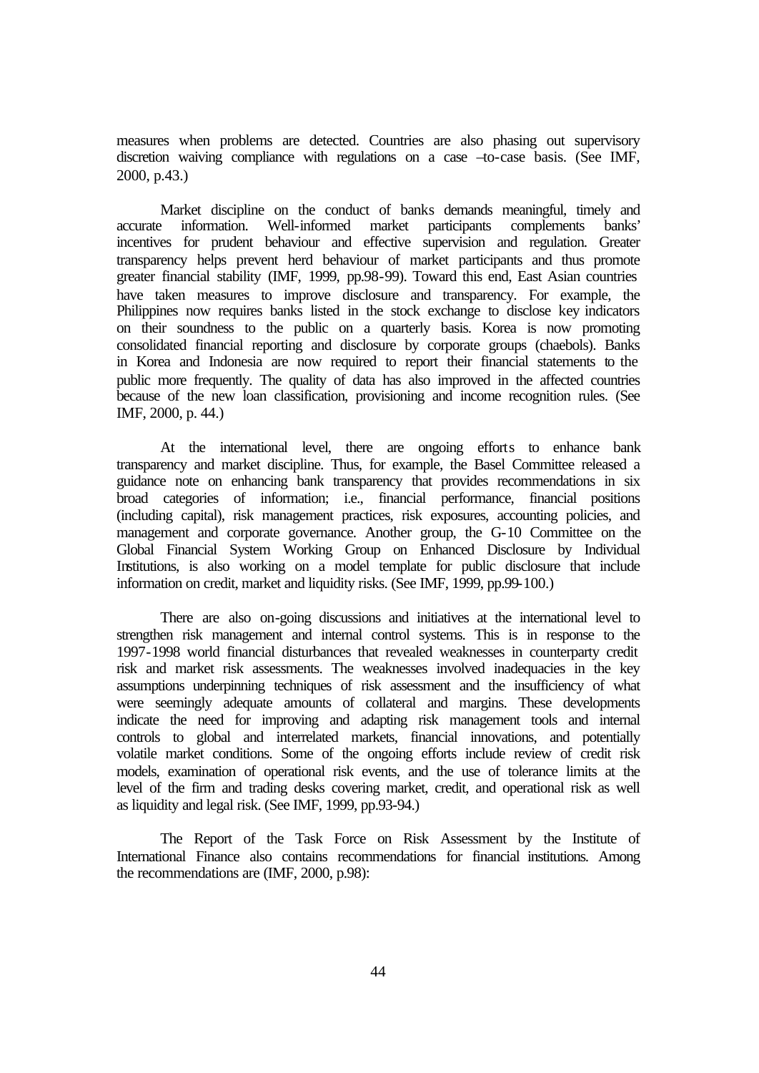measures when problems are detected. Countries are also phasing out supervisory discretion waiving compliance with regulations on a case –to-case basis. (See IMF, 2000, p.43.)

Market discipline on the conduct of banks demands meaningful, timely and accurate information. Well-informed market participants complements banks' incentives for prudent behaviour and effective supervision and regulation. Greater transparency helps prevent herd behaviour of market participants and thus promote greater financial stability (IMF, 1999, pp.98-99). Toward this end, East Asian countries have taken measures to improve disclosure and transparency. For example, the Philippines now requires banks listed in the stock exchange to disclose key indicators on their soundness to the public on a quarterly basis. Korea is now promoting consolidated financial reporting and disclosure by corporate groups (chaebols). Banks in Korea and Indonesia are now required to report their financial statements to the public more frequently. The quality of data has also improved in the affected countries because of the new loan classification, provisioning and income recognition rules. (See IMF, 2000, p. 44.)

At the international level, there are ongoing efforts to enhance bank transparency and market discipline. Thus, for example, the Basel Committee released a guidance note on enhancing bank transparency that provides recommendations in six broad categories of information; i.e., financial performance, financial positions (including capital), risk management practices, risk exposures, accounting policies, and management and corporate governance. Another group, the G-10 Committee on the Global Financial System Working Group on Enhanced Disclosure by Individual Institutions, is also working on a model template for public disclosure that include information on credit, market and liquidity risks. (See IMF, 1999, pp.99-100.)

There are also on-going discussions and initiatives at the international level to strengthen risk management and internal control systems. This is in response to the 1997-1998 world financial disturbances that revealed weaknesses in counterparty credit risk and market risk assessments. The weaknesses involved inadequacies in the key assumptions underpinning techniques of risk assessment and the insufficiency of what were seemingly adequate amounts of collateral and margins. These developments indicate the need for improving and adapting risk management tools and internal controls to global and interrelated markets, financial innovations, and potentially volatile market conditions. Some of the ongoing efforts include review of credit risk models, examination of operational risk events, and the use of tolerance limits at the level of the firm and trading desks covering market, credit, and operational risk as well as liquidity and legal risk. (See IMF, 1999, pp.93-94.)

The Report of the Task Force on Risk Assessment by the Institute of International Finance also contains recommendations for financial institutions. Among the recommendations are (IMF, 2000, p.98):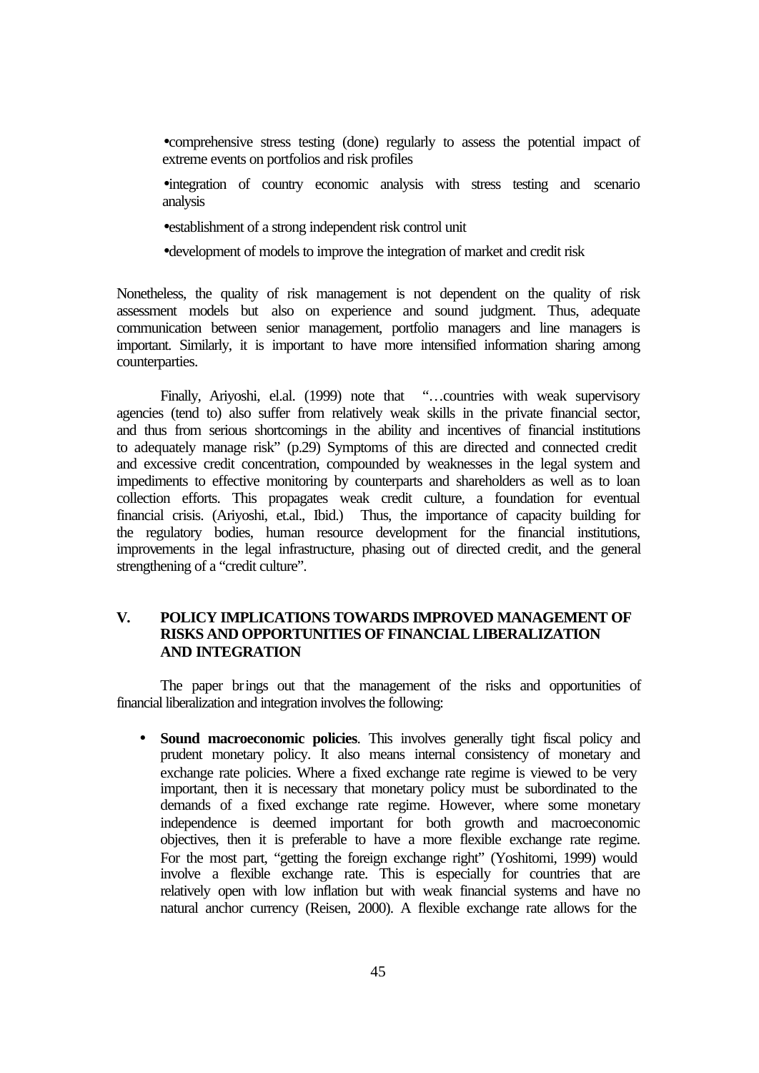•comprehensive stress testing (done) regularly to assess the potential impact of extreme events on portfolios and risk profiles

•integration of country economic analysis with stress testing and scenario analysis

•establishment of a strong independent risk control unit

•development of models to improve the integration of market and credit risk

Nonetheless, the quality of risk management is not dependent on the quality of risk assessment models but also on experience and sound judgment. Thus, adequate communication between senior management, portfolio managers and line managers is important. Similarly, it is important to have more intensified information sharing among counterparties.

Finally, Ariyoshi, el.al. (1999) note that "…countries with weak supervisory agencies (tend to) also suffer from relatively weak skills in the private financial sector, and thus from serious shortcomings in the ability and incentives of financial institutions to adequately manage risk" (p.29) Symptoms of this are directed and connected credit and excessive credit concentration, compounded by weaknesses in the legal system and impediments to effective monitoring by counterparts and shareholders as well as to loan collection efforts. This propagates weak credit culture, a foundation for eventual financial crisis. (Ariyoshi, et.al., Ibid.) Thus, the importance of capacity building for the regulatory bodies, human resource development for the financial institutions, improvements in the legal infrastructure, phasing out of directed credit, and the general strengthening of a "credit culture".

## **V. POLICY IMPLICATIONS TOWARDS IMPROVED MANAGEMENT OF RISKS AND OPPORTUNITIES OF FINANCIAL LIBERALIZATION AND INTEGRATION**

The paper brings out that the management of the risks and opportunities of financial liberalization and integration involves the following:

• **Sound macroeconomic policies**. This involves generally tight fiscal policy and prudent monetary policy. It also means internal consistency of monetary and exchange rate policies. Where a fixed exchange rate regime is viewed to be very important, then it is necessary that monetary policy must be subordinated to the demands of a fixed exchange rate regime. However, where some monetary independence is deemed important for both growth and macroeconomic objectives, then it is preferable to have a more flexible exchange rate regime. For the most part, "getting the foreign exchange right" (Yoshitomi, 1999) would involve a flexible exchange rate. This is especially for countries that are relatively open with low inflation but with weak financial systems and have no natural anchor currency (Reisen, 2000). A flexible exchange rate allows for the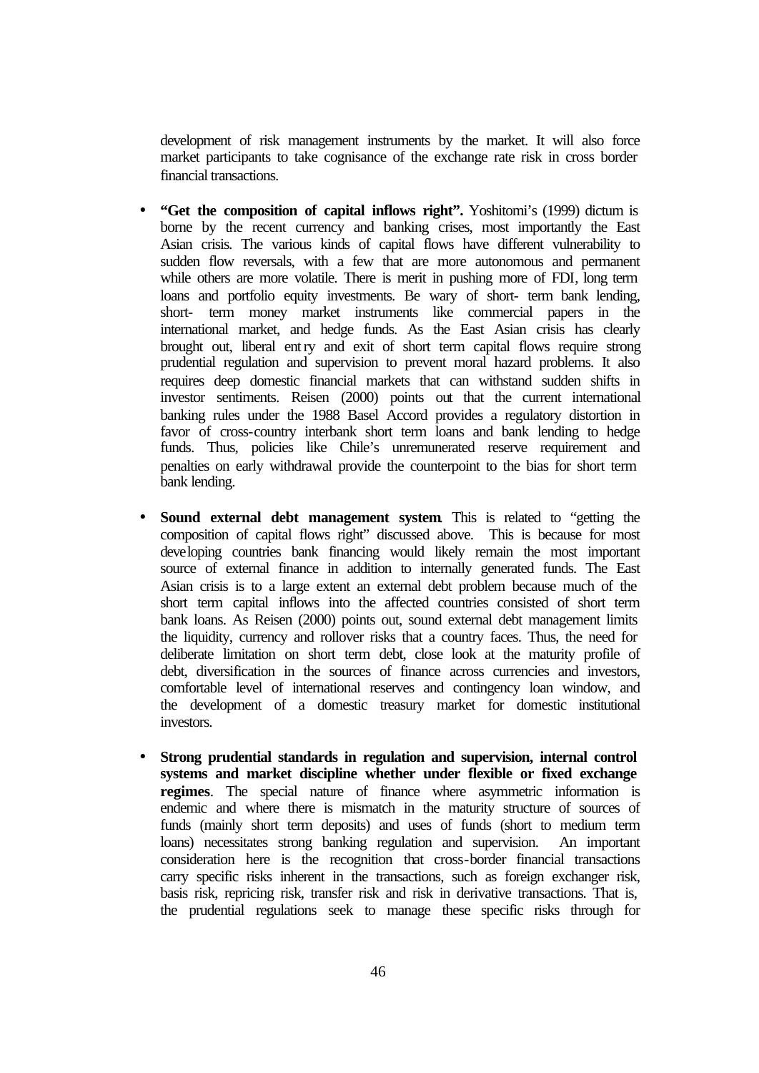development of risk management instruments by the market. It will also force market participants to take cognisance of the exchange rate risk in cross border financial transactions.

- **"Get the composition of capital inflows right".** Yoshitomi's (1999) dictum is borne by the recent currency and banking crises, most importantly the East Asian crisis. The various kinds of capital flows have different vulnerability to sudden flow reversals, with a few that are more autonomous and permanent while others are more volatile. There is merit in pushing more of FDI, long term loans and portfolio equity investments. Be wary of short- term bank lending, short- term money market instruments like commercial papers in the international market, and hedge funds. As the East Asian crisis has clearly brought out, liberal entry and exit of short term capital flows require strong prudential regulation and supervision to prevent moral hazard problems. It also requires deep domestic financial markets that can withstand sudden shifts in investor sentiments. Reisen (2000) points out that the current international banking rules under the 1988 Basel Accord provides a regulatory distortion in favor of cross-country interbank short term loans and bank lending to hedge funds. Thus, policies like Chile's unremunerated reserve requirement and penalties on early withdrawal provide the counterpoint to the bias for short term bank lending.
- **Sound external debt management system**. This is related to "getting the composition of capital flows right" discussed above. This is because for most developing countries bank financing would likely remain the most important source of external finance in addition to internally generated funds. The East Asian crisis is to a large extent an external debt problem because much of the short term capital inflows into the affected countries consisted of short term bank loans. As Reisen (2000) points out, sound external debt management limits the liquidity, currency and rollover risks that a country faces. Thus, the need for deliberate limitation on short term debt, close look at the maturity profile of debt, diversification in the sources of finance across currencies and investors, comfortable level of international reserves and contingency loan window, and the development of a domestic treasury market for domestic institutional investors.
- **Strong prudential standards in regulation and supervision, internal control systems and market discipline whether under flexible or fixed exchange regimes**. The special nature of finance where asymmetric information is endemic and where there is mismatch in the maturity structure of sources of funds (mainly short term deposits) and uses of funds (short to medium term loans) necessitates strong banking regulation and supervision. An important consideration here is the recognition that cross-border financial transactions carry specific risks inherent in the transactions, such as foreign exchanger risk, basis risk, repricing risk, transfer risk and risk in derivative transactions. That is, the prudential regulations seek to manage these specific risks through for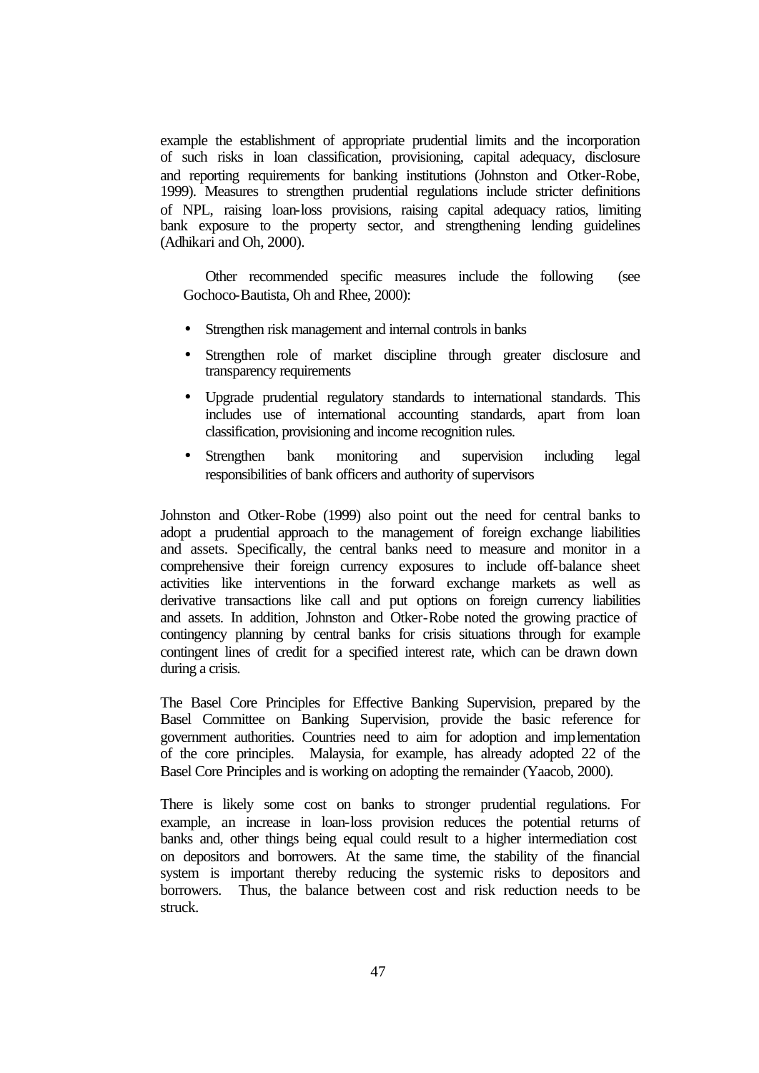example the establishment of appropriate prudential limits and the incorporation of such risks in loan classification, provisioning, capital adequacy, disclosure and reporting requirements for banking institutions (Johnston and Otker-Robe, 1999). Measures to strengthen prudential regulations include stricter definitions of NPL, raising loan-loss provisions, raising capital adequacy ratios, limiting bank exposure to the property sector, and strengthening lending guidelines (Adhikari and Oh, 2000).

Other recommended specific measures include the following (see Gochoco-Bautista, Oh and Rhee, 2000):

- Strengthen risk management and internal controls in banks
- Strengthen role of market discipline through greater disclosure and transparency requirements
- Upgrade prudential regulatory standards to international standards. This includes use of international accounting standards, apart from loan classification, provisioning and income recognition rules.
- Strengthen bank monitoring and supervision including legal responsibilities of bank officers and authority of supervisors

Johnston and Otker-Robe (1999) also point out the need for central banks to adopt a prudential approach to the management of foreign exchange liabilities and assets. Specifically, the central banks need to measure and monitor in a comprehensive their foreign currency exposures to include off-balance sheet activities like interventions in the forward exchange markets as well as derivative transactions like call and put options on foreign currency liabilities and assets. In addition, Johnston and Otker-Robe noted the growing practice of contingency planning by central banks for crisis situations through for example contingent lines of credit for a specified interest rate, which can be drawn down during a crisis.

The Basel Core Principles for Effective Banking Supervision, prepared by the Basel Committee on Banking Supervision, provide the basic reference for government authorities. Countries need to aim for adoption and implementation of the core principles. Malaysia, for example, has already adopted 22 of the Basel Core Principles and is working on adopting the remainder (Yaacob, 2000).

There is likely some cost on banks to stronger prudential regulations. For example, an increase in loan-loss provision reduces the potential returns of banks and, other things being equal could result to a higher intermediation cost on depositors and borrowers. At the same time, the stability of the financial system is important thereby reducing the systemic risks to depositors and borrowers. Thus, the balance between cost and risk reduction needs to be struck.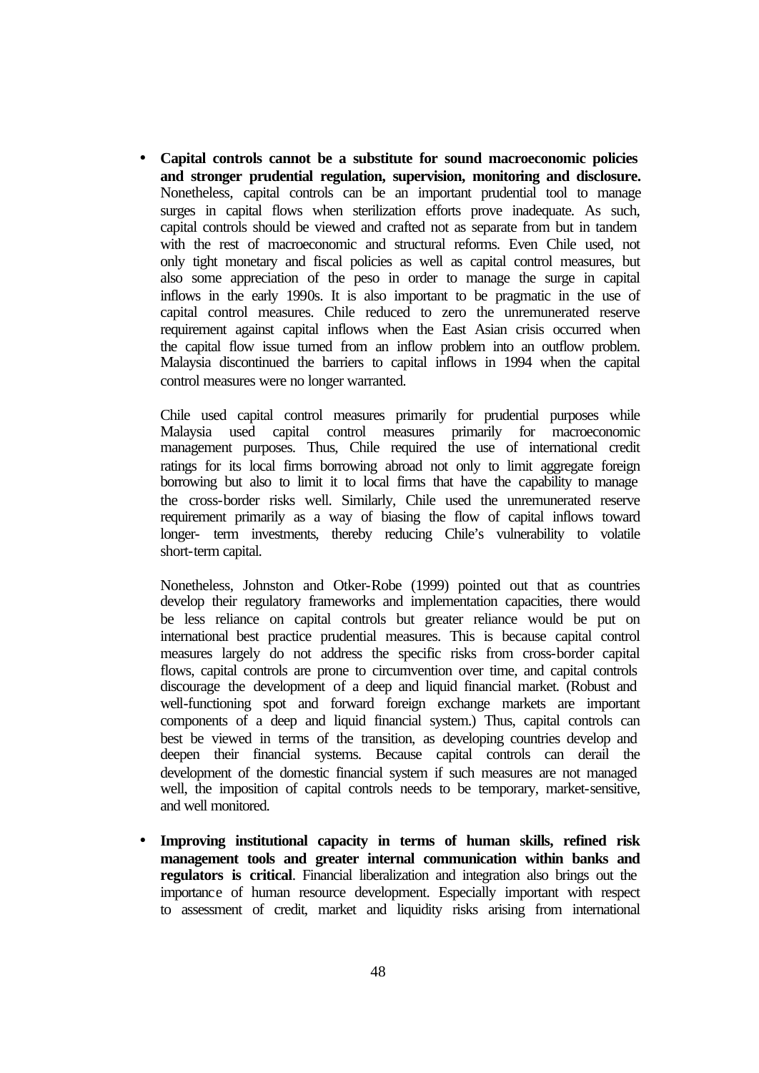• **Capital controls cannot be a substitute for sound macroeconomic policies and stronger prudential regulation, supervision, monitoring and disclosure.** Nonetheless, capital controls can be an important prudential tool to manage surges in capital flows when sterilization efforts prove inadequate. As such, capital controls should be viewed and crafted not as separate from but in tandem with the rest of macroeconomic and structural reforms. Even Chile used, not only tight monetary and fiscal policies as well as capital control measures, but also some appreciation of the peso in order to manage the surge in capital inflows in the early 1990s. It is also important to be pragmatic in the use of capital control measures. Chile reduced to zero the unremunerated reserve requirement against capital inflows when the East Asian crisis occurred when the capital flow issue turned from an inflow problem into an outflow problem. Malaysia discontinued the barriers to capital inflows in 1994 when the capital control measures were no longer warranted.

Chile used capital control measures primarily for prudential purposes while Malaysia used capital control measures primarily for macroeconomic management purposes. Thus, Chile required the use of international credit ratings for its local firms borrowing abroad not only to limit aggregate foreign borrowing but also to limit it to local firms that have the capability to manage the cross-border risks well. Similarly, Chile used the unremunerated reserve requirement primarily as a way of biasing the flow of capital inflows toward longer- term investments, thereby reducing Chile's vulnerability to volatile short-term capital.

Nonetheless, Johnston and Otker-Robe (1999) pointed out that as countries develop their regulatory frameworks and implementation capacities, there would be less reliance on capital controls but greater reliance would be put on international best practice prudential measures. This is because capital control measures largely do not address the specific risks from cross-border capital flows, capital controls are prone to circumvention over time, and capital controls discourage the development of a deep and liquid financial market. (Robust and well-functioning spot and forward foreign exchange markets are important components of a deep and liquid financial system.) Thus, capital controls can best be viewed in terms of the transition, as developing countries develop and deepen their financial systems. Because capital controls can derail the development of the domestic financial system if such measures are not managed well, the imposition of capital controls needs to be temporary, market-sensitive, and well monitored.

• **Improving institutional capacity in terms of human skills, refined risk management tools and greater internal communication within banks and regulators is critical**. Financial liberalization and integration also brings out the importance of human resource development. Especially important with respect to assessment of credit, market and liquidity risks arising from international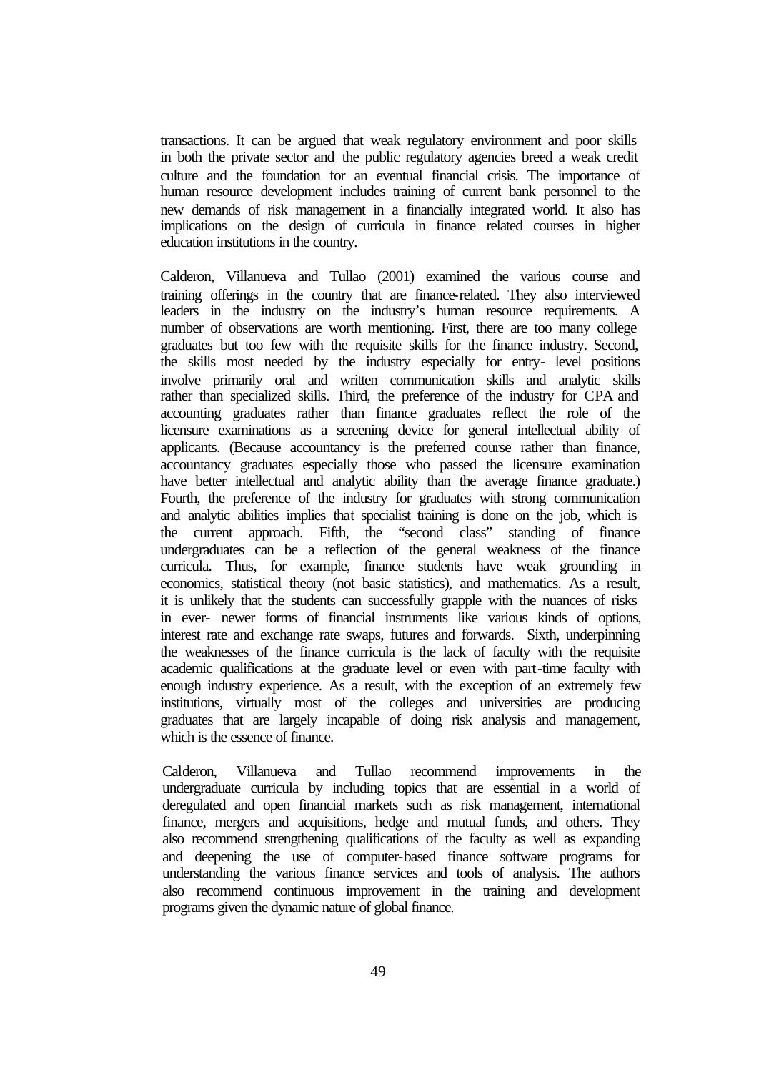transactions. It can be argued that weak regulatory environment and poor skills in both the private sector and the public regulatory agencies breed a weak credit culture and the foundation for an eventual financial crisis. The importance of human resource development includes training of current bank personnel to the new demands of risk management in a financially integrated world. It also has implications on the design of curricula in finance related courses in higher education institutions in the country.

Calderon, Villanueva and Tullao (2001) examined the various course and training offerings in the country that are finance-related. They also interviewed leaders in the industry on the industry's human resource requirements. A number of observations are worth mentioning. First, there are too many college graduates but too few with the requisite skills for the finance industry. Second, the skills most needed by the industry especially for entry- level positions involve primarily oral and written communication skills and analytic skills rather than specialized skills. Third, the preference of the industry for CPA and accounting graduates rather than finance graduates reflect the role of the licensure examinations as a screening device for general intellectual ability of applicants. (Because accountancy is the preferred course rather than finance, accountancy graduates especially those who passed the licensure examination have better intellectual and analytic ability than the average finance graduate.) Fourth, the preference of the industry for graduates with strong communication and analytic abilities implies that specialist training is done on the job, which is the current approach. Fifth, the "second class" standing of finance undergraduates can be a reflection of the general weakness of the finance curricula. Thus, for example, finance students have weak grounding in economics, statistical theory (not basic statistics), and mathematics. As a result, it is unlikely that the students can successfully grapple with the nuances of risks in ever- newer forms of financial instruments like various kinds of options, interest rate and exchange rate swaps, futures and forwards. Sixth, underpinning the weaknesses of the finance curricula is the lack of faculty with the requisite academic qualifications at the graduate level or even with part-time faculty with enough industry experience. As a result, with the exception of an extremely few institutions, virtually most of the colleges and universities are producing graduates that are largely incapable of doing risk analysis and management, which is the essence of finance.

Calderon, Villanueva and Tullao recommend improvements in the undergraduate curricula by including topics that are essential in a world of deregulated and open financial markets such as risk management, international finance, mergers and acquisitions, hedge and mutual funds, and others. They also recommend strengthening qualifications of the faculty as well as expanding and deepening the use of computer-based finance software programs for understanding the various finance services and tools of analysis. The authors also recommend continuous improvement in the training and development programs given the dynamic nature of global finance.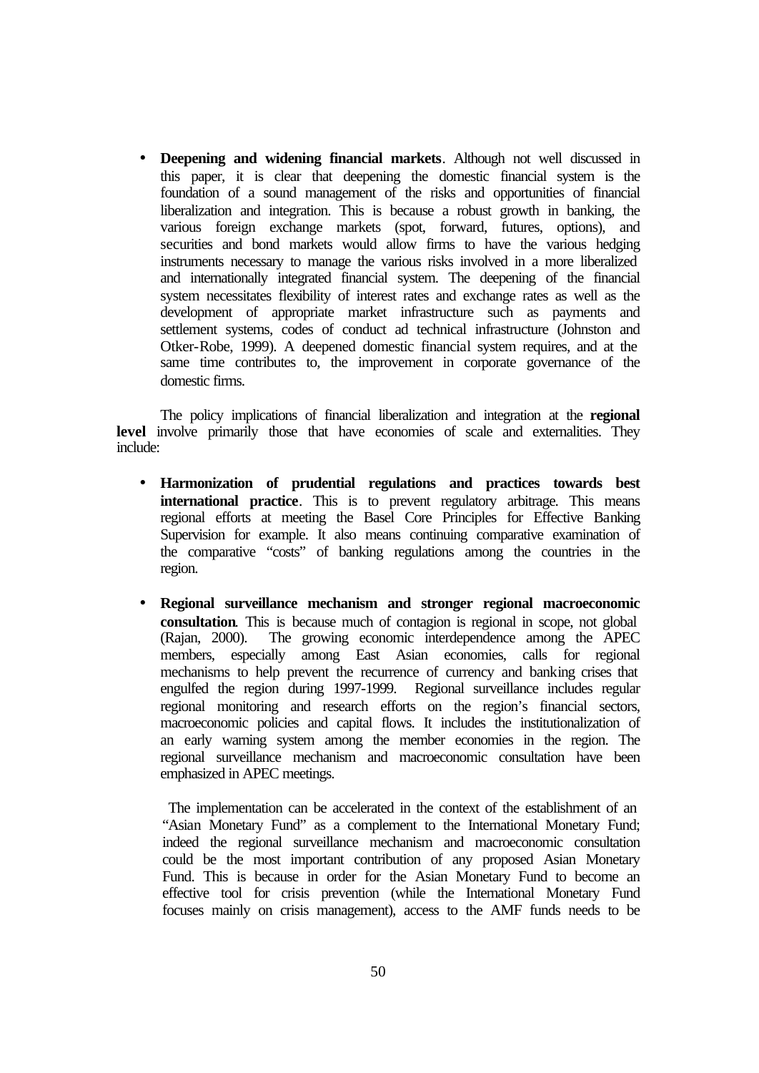• **Deepening and widening financial markets**. Although not well discussed in this paper, it is clear that deepening the domestic financial system is the foundation of a sound management of the risks and opportunities of financial liberalization and integration. This is because a robust growth in banking, the various foreign exchange markets (spot, forward, futures, options), and securities and bond markets would allow firms to have the various hedging instruments necessary to manage the various risks involved in a more liberalized and internationally integrated financial system. The deepening of the financial system necessitates flexibility of interest rates and exchange rates as well as the development of appropriate market infrastructure such as payments and settlement systems, codes of conduct ad technical infrastructure (Johnston and Otker-Robe, 1999). A deepened domestic financial system requires, and at the same time contributes to, the improvement in corporate governance of the domestic firms.

The policy implications of financial liberalization and integration at the **regional level** involve primarily those that have economies of scale and externalities. They include:

- **Harmonization of prudential regulations and practices towards best international practice**. This is to prevent regulatory arbitrage. This means regional efforts at meeting the Basel Core Principles for Effective Banking Supervision for example. It also means continuing comparative examination of the comparative "costs" of banking regulations among the countries in the region.
- **Regional surveillance mechanism and stronger regional macroeconomic consultation**. This is because much of contagion is regional in scope, not global (Rajan, 2000). The growing economic interdependence among the APEC members, especially among East Asian economies, calls for regional mechanisms to help prevent the recurrence of currency and banking crises that engulfed the region during 1997-1999. Regional surveillance includes regular regional monitoring and research efforts on the region's financial sectors, macroeconomic policies and capital flows. It includes the institutionalization of an early warning system among the member economies in the region. The regional surveillance mechanism and macroeconomic consultation have been emphasized in APEC meetings.

 The implementation can be accelerated in the context of the establishment of an "Asian Monetary Fund" as a complement to the International Monetary Fund; indeed the regional surveillance mechanism and macroeconomic consultation could be the most important contribution of any proposed Asian Monetary Fund. This is because in order for the Asian Monetary Fund to become an effective tool for crisis prevention (while the International Monetary Fund focuses mainly on crisis management), access to the AMF funds needs to be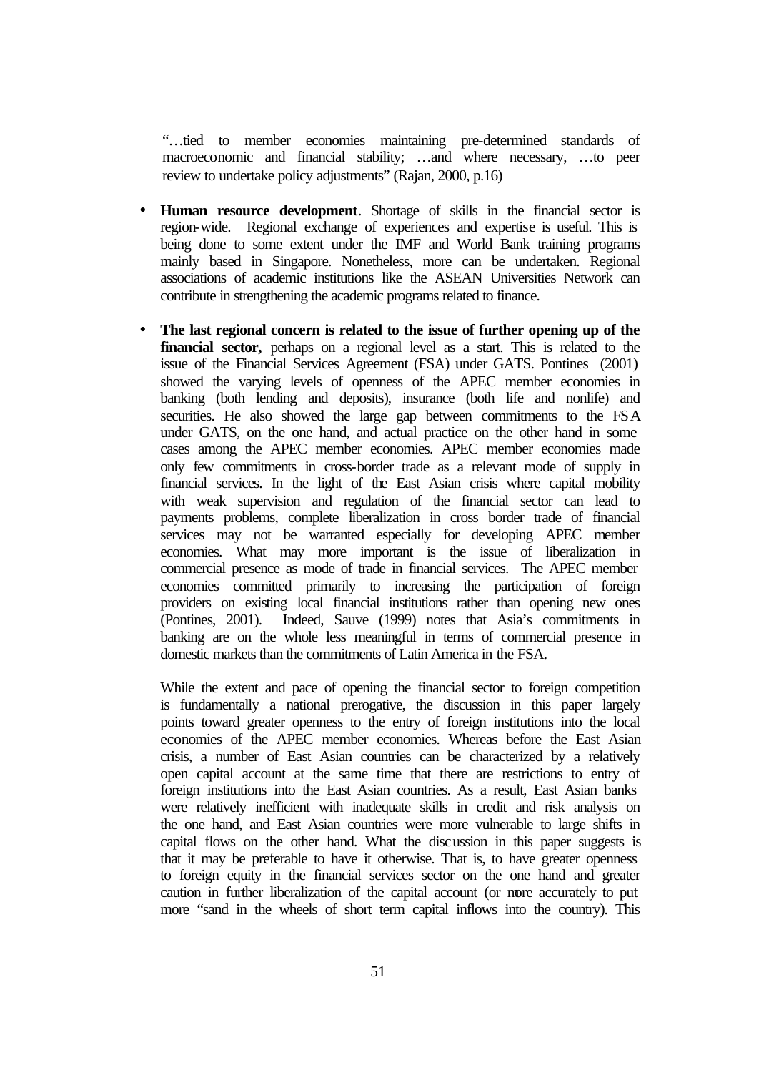"…tied to member economies maintaining pre-determined standards of macroeconomic and financial stability; …and where necessary, …to peer review to undertake policy adjustments" (Rajan, 2000, p.16)

- **Human resource development**. Shortage of skills in the financial sector is region-wide. Regional exchange of experiences and expertise is useful. This is being done to some extent under the IMF and World Bank training programs mainly based in Singapore. Nonetheless, more can be undertaken. Regional associations of academic institutions like the ASEAN Universities Network can contribute in strengthening the academic programs related to finance.
- **The last regional concern is related to the issue of further opening up of the financial sector,** perhaps on a regional level as a start. This is related to the issue of the Financial Services Agreement (FSA) under GATS. Pontines (2001) showed the varying levels of openness of the APEC member economies in banking (both lending and deposits), insurance (both life and nonlife) and securities. He also showed the large gap between commitments to the FSA under GATS, on the one hand, and actual practice on the other hand in some cases among the APEC member economies. APEC member economies made only few commitments in cross-border trade as a relevant mode of supply in financial services. In the light of the East Asian crisis where capital mobility with weak supervision and regulation of the financial sector can lead to payments problems, complete liberalization in cross border trade of financial services may not be warranted especially for developing APEC member economies. What may more important is the issue of liberalization in commercial presence as mode of trade in financial services. The APEC member economies committed primarily to increasing the participation of foreign providers on existing local financial institutions rather than opening new ones (Pontines, 2001). Indeed, Sauve (1999) notes that Asia's commitments in banking are on the whole less meaningful in terms of commercial presence in domestic markets than the commitments of Latin America in the FSA.

While the extent and pace of opening the financial sector to foreign competition is fundamentally a national prerogative, the discussion in this paper largely points toward greater openness to the entry of foreign institutions into the local economies of the APEC member economies. Whereas before the East Asian crisis, a number of East Asian countries can be characterized by a relatively open capital account at the same time that there are restrictions to entry of foreign institutions into the East Asian countries. As a result, East Asian banks were relatively inefficient with inadequate skills in credit and risk analysis on the one hand, and East Asian countries were more vulnerable to large shifts in capital flows on the other hand. What the discussion in this paper suggests is that it may be preferable to have it otherwise. That is, to have greater openness to foreign equity in the financial services sector on the one hand and greater caution in further liberalization of the capital account (or more accurately to put more "sand in the wheels of short term capital inflows into the country). This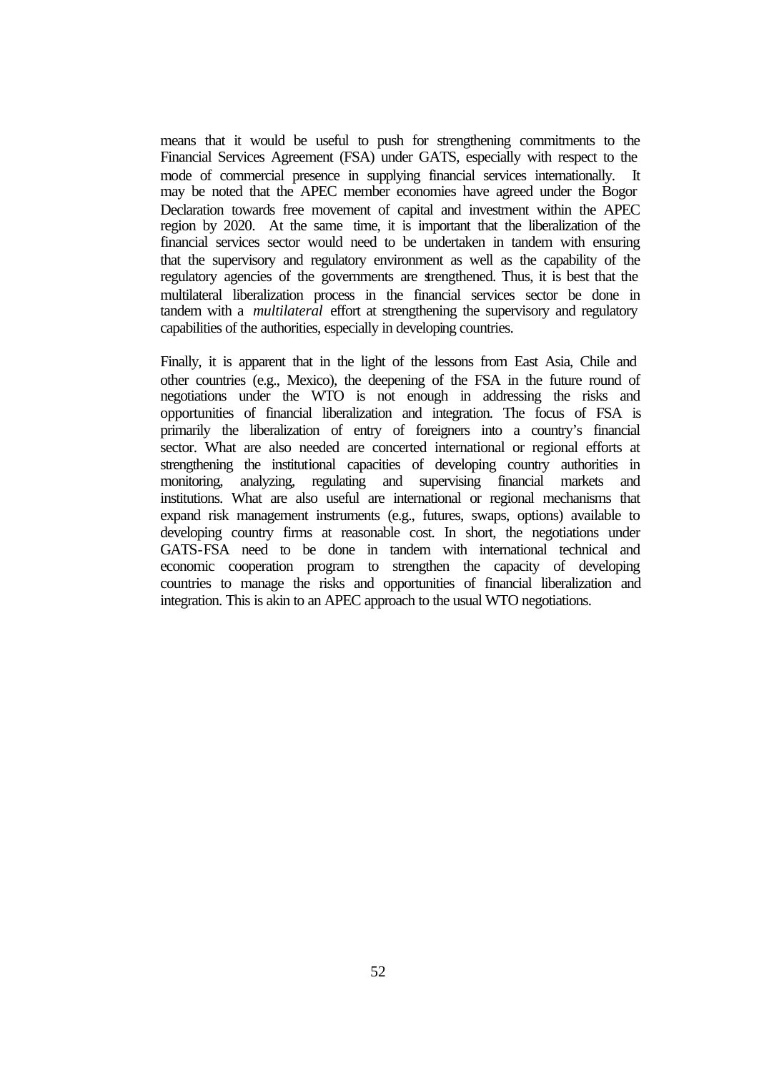means that it would be useful to push for strengthening commitments to the Financial Services Agreement (FSA) under GATS, especially with respect to the mode of commercial presence in supplying financial services internationally. It may be noted that the APEC member economies have agreed under the Bogor Declaration towards free movement of capital and investment within the APEC region by 2020. At the same time, it is important that the liberalization of the financial services sector would need to be undertaken in tandem with ensuring that the supervisory and regulatory environment as well as the capability of the regulatory agencies of the governments are strengthened. Thus, it is best that the multilateral liberalization process in the financial services sector be done in tandem with a *multilateral* effort at strengthening the supervisory and regulatory capabilities of the authorities, especially in developing countries.

Finally, it is apparent that in the light of the lessons from East Asia, Chile and other countries (e.g., Mexico), the deepening of the FSA in the future round of negotiations under the WTO is not enough in addressing the risks and opportunities of financial liberalization and integration. The focus of FSA is primarily the liberalization of entry of foreigners into a country's financial sector. What are also needed are concerted international or regional efforts at strengthening the institutional capacities of developing country authorities in monitoring, analyzing, regulating and supervising financial markets and institutions. What are also useful are international or regional mechanisms that expand risk management instruments (e.g., futures, swaps, options) available to developing country firms at reasonable cost. In short, the negotiations under GATS-FSA need to be done in tandem with international technical and economic cooperation program to strengthen the capacity of developing countries to manage the risks and opportunities of financial liberalization and integration. This is akin to an APEC approach to the usual WTO negotiations.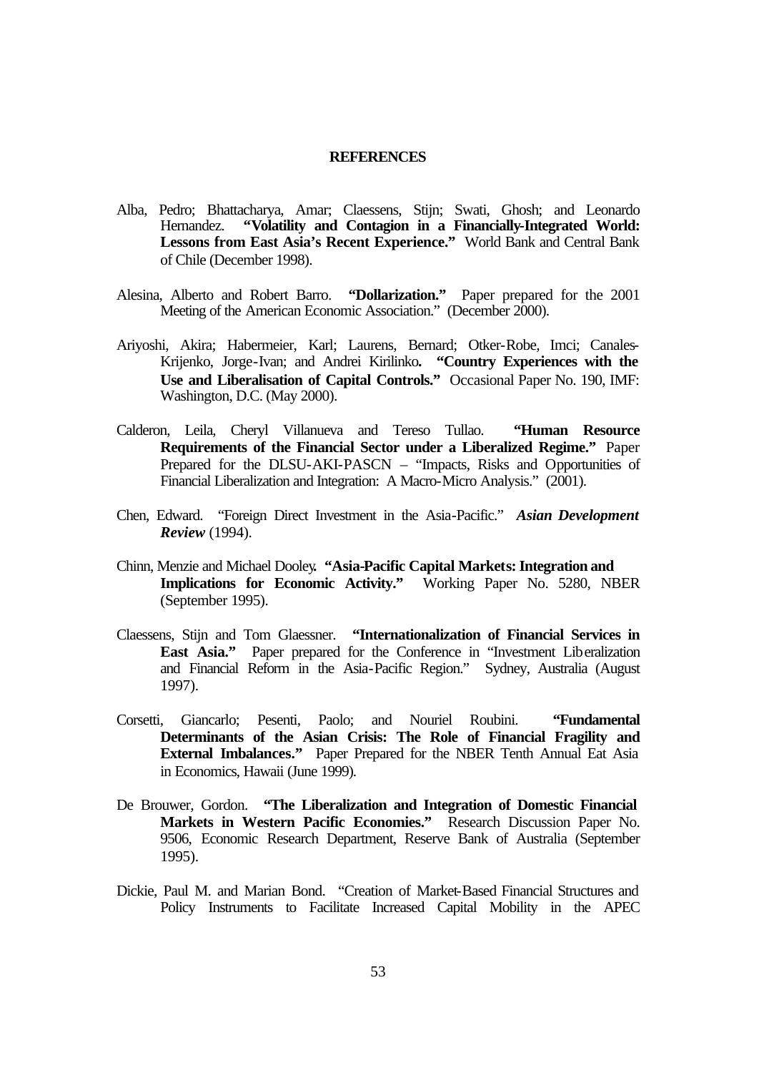#### **REFERENCES**

- Alba, Pedro; Bhattacharya, Amar; Claessens, Stijn; Swati, Ghosh; and Leonardo Hernandez. **"Volatility and Contagion in a Financially-Integrated World: Lessons from East Asia's Recent Experience."** World Bank and Central Bank of Chile (December 1998).
- Alesina, Alberto and Robert Barro. **"Dollarization."** Paper prepared for the 2001 Meeting of the American Economic Association." (December 2000).
- Ariyoshi, Akira; Habermeier, Karl; Laurens, Bernard; Otker-Robe, Imci; Canales-Krijenko, Jorge-Ivan; and Andrei Kirilinko**. "Country Experiences with the Use and Liberalisation of Capital Controls."** Occasional Paper No. 190, IMF: Washington, D.C. (May 2000).
- Calderon, Leila, Cheryl Villanueva and Tereso Tullao. **"Human Resource Requirements of the Financial Sector under a Liberalized Regime."** Paper Prepared for the DLSU-AKI-PASCN – "Impacts, Risks and Opportunities of Financial Liberalization and Integration: A Macro-Micro Analysis." (2001).
- Chen, Edward. "Foreign Direct Investment in the Asia-Pacific." *Asian Development Review* (1994).
- Chinn, Menzie and Michael Dooley**. "Asia-Pacific Capital Markets: Integration and Implications for Economic Activity."** Working Paper No. 5280, NBER (September 1995).
- Claessens, Stijn and Tom Glaessner. **"Internationalization of Financial Services in East Asia."** Paper prepared for the Conference in "Investment Liberalization and Financial Reform in the Asia-Pacific Region." Sydney, Australia (August 1997).
- Corsetti, Giancarlo; Pesenti, Paolo; and Nouriel Roubini. **"Fundamental Determinants of the Asian Crisis: The Role of Financial Fragility and External Imbalances."** Paper Prepared for the NBER Tenth Annual Eat Asia in Economics, Hawaii (June 1999).
- De Brouwer, Gordon. **"The Liberalization and Integration of Domestic Financial**  Markets in Western Pacific Economies." Research Discussion Paper No. 9506, Economic Research Department, Reserve Bank of Australia (September 1995).
- Dickie, Paul M. and Marian Bond. "Creation of Market-Based Financial Structures and Policy Instruments to Facilitate Increased Capital Mobility in the APEC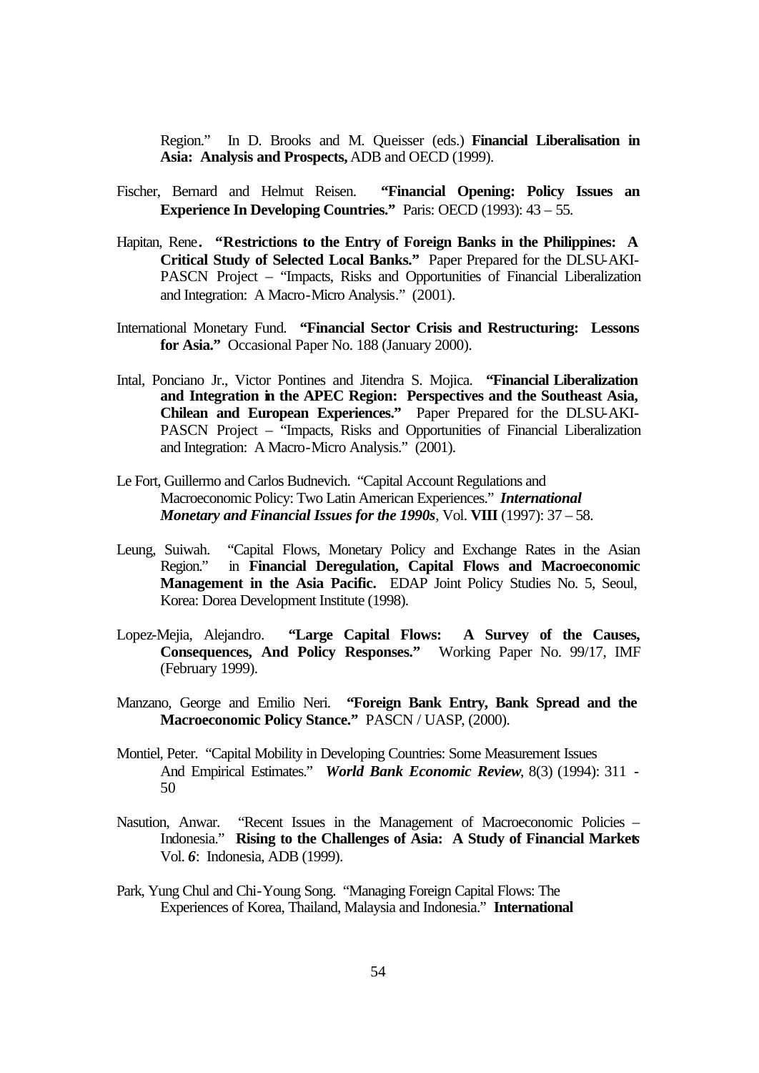Region." In D. Brooks and M. Queisser (eds.) **Financial Liberalisation in Asia: Analysis and Prospects,** ADB and OECD (1999).

- Fischer, Bernard and Helmut Reisen. **"Financial Opening: Policy Issues an Experience In Developing Countries."** Paris: OECD (1993): 43 – 55.
- Hapitan, Rene**. "Restrictions to the Entry of Foreign Banks in the Philippines: A Critical Study of Selected Local Banks."** Paper Prepared for the DLSU-AKI-PASCN Project – "Impacts, Risks and Opportunities of Financial Liberalization and Integration: A Macro-Micro Analysis." (2001).
- International Monetary Fund. **"Financial Sector Crisis and Restructuring: Lessons for Asia."** Occasional Paper No. 188 (January 2000).
- Intal, Ponciano Jr., Victor Pontines and Jitendra S. Mojica. **"Financial Liberalization and Integration in the APEC Region: Perspectives and the Southeast Asia, Chilean and European Experiences."** Paper Prepared for the DLSU-AKI-PASCN Project – "Impacts, Risks and Opportunities of Financial Liberalization and Integration: A Macro-Micro Analysis." (2001).
- Le Fort, Guillermo and Carlos Budnevich. "Capital Account Regulations and Macroeconomic Policy: Two Latin American Experiences." *International Monetary and Financial Issues for the 1990s*, Vol. **VIII** (1997): 37 – 58.
- Leung, Suiwah. "Capital Flows, Monetary Policy and Exchange Rates in the Asian Region." in **Financial Deregulation, Capital Flows and Macroeconomic Management in the Asia Pacific.** EDAP Joint Policy Studies No. 5, Seoul, Korea: Dorea Development Institute (1998).
- Lopez-Mejia, Alejandro. **"Large Capital Flows: A Survey of the Causes, Consequences, And Policy Responses."** Working Paper No. 99/17, IMF (February 1999).
- Manzano, George and Emilio Neri. **"Foreign Bank Entry, Bank Spread and the Macroeconomic Policy Stance."** PASCN / UASP, (2000).
- Montiel, Peter. "Capital Mobility in Developing Countries: Some Measurement Issues And Empirical Estimates." *World Bank Economic Review*, 8(3) (1994): 311 - 50
- Nasution, Anwar. "Recent Issues in the Management of Macroeconomic Policies Indonesia." **Rising to the Challenges of Asia: A Study of Financial Market***s* Vol. *6*: Indonesia, ADB (1999).
- Park, Yung Chul and Chi-Young Song. "Managing Foreign Capital Flows: The Experiences of Korea, Thailand, Malaysia and Indonesia." **International**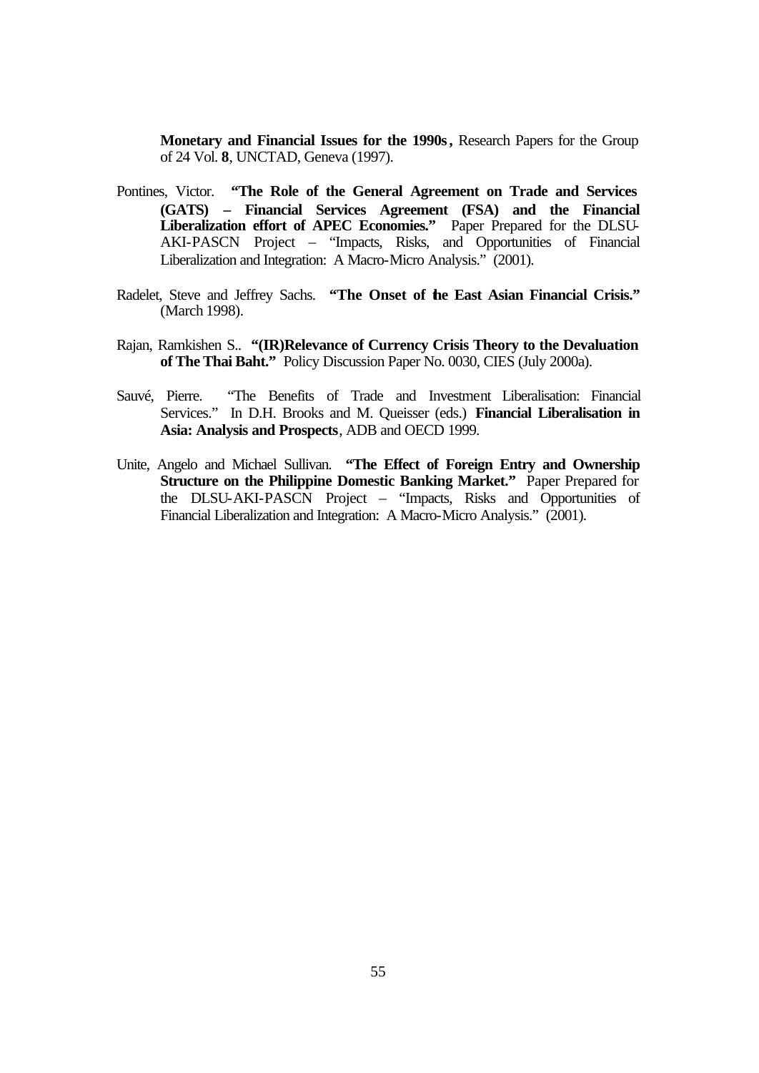**Monetary and Financial Issues for the 1990s***,* Research Papers for the Group of 24 Vol. **8**, UNCTAD, Geneva (1997).

- Pontines, Victor. **"The Role of the General Agreement on Trade and Services (GATS) – Financial Services Agreement (FSA) and the Financial Liberalization effort of APEC Economies."** Paper Prepared for the DLSU-AKI-PASCN Project – "Impacts, Risks, and Opportunities of Financial Liberalization and Integration: A Macro-Micro Analysis." (2001).
- Radelet, Steve and Jeffrey Sachs. **"The Onset of the East Asian Financial Crisis."** (March 1998).
- Rajan, Ramkishen S.. **"(IR)Relevance of Currency Crisis Theory to the Devaluation of The Thai Baht."** Policy Discussion Paper No. 0030, CIES (July 2000a).
- Sauvé, Pierre. "The Benefits of Trade and Investment Liberalisation: Financial Services." In D.H. Brooks and M. Queisser (eds.) **Financial Liberalisation in Asia: Analysis and Prospects**, ADB and OECD 1999.
- Unite, Angelo and Michael Sullivan. **"The Effect of Foreign Entry and Ownership Structure on the Philippine Domestic Banking Market."** Paper Prepared for the DLSU-AKI-PASCN Project – "Impacts, Risks and Opportunities of Financial Liberalization and Integration: A Macro-Micro Analysis." (2001).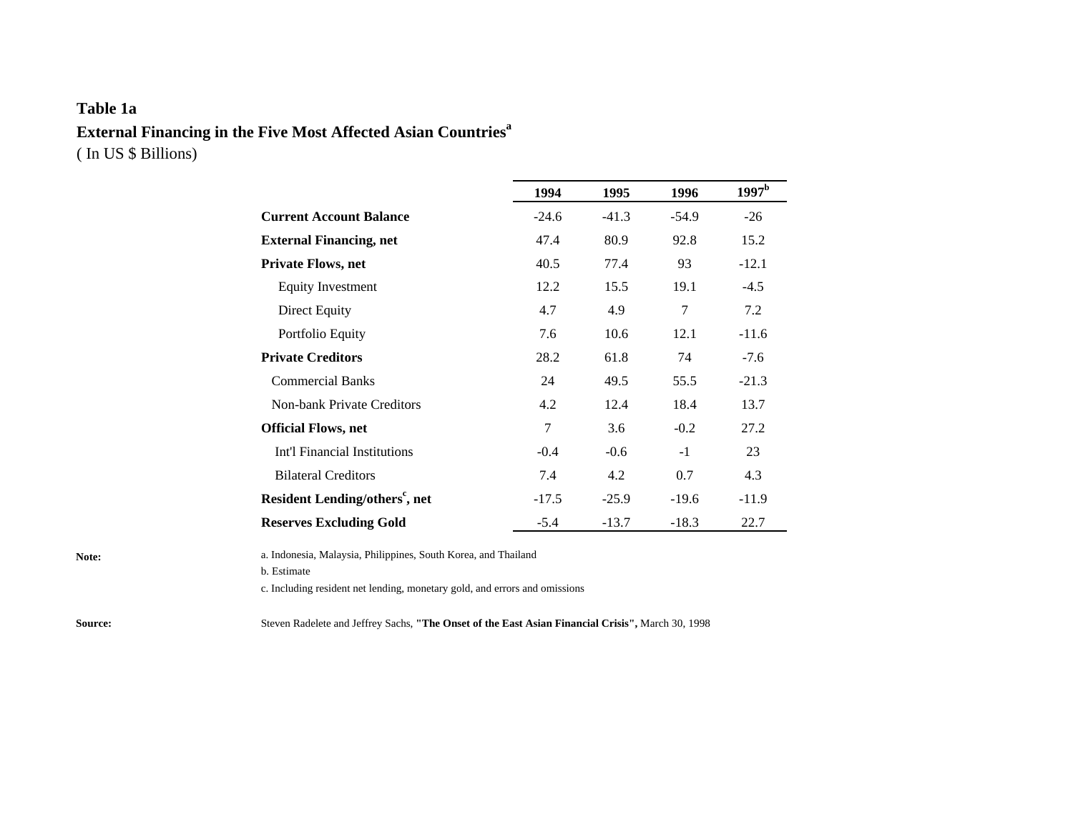## **Table 1a External Financing in the Five Most Affected Asian Countries<sup>a</sup>** ( In US \$ Billions)

|                                            | 1994    | 1995    | 1996    | $1997^{\rm b}$ |
|--------------------------------------------|---------|---------|---------|----------------|
| <b>Current Account Balance</b>             | $-24.6$ | $-41.3$ | $-54.9$ | $-26$          |
| <b>External Financing, net</b>             | 47.4    | 80.9    | 92.8    | 15.2           |
| <b>Private Flows, net</b>                  | 40.5    | 77.4    | 93      | $-12.1$        |
| <b>Equity Investment</b>                   | 12.2    | 15.5    | 19.1    | $-4.5$         |
| <b>Direct Equity</b>                       | 4.7     | 4.9     | 7       | 7.2            |
| Portfolio Equity                           | 7.6     | 10.6    | 12.1    | $-11.6$        |
| <b>Private Creditors</b>                   | 28.2    | 61.8    | 74      | $-7.6$         |
| <b>Commercial Banks</b>                    | 24      | 49.5    | 55.5    | $-21.3$        |
| Non-bank Private Creditors                 | 4.2     | 12.4    | 18.4    | 13.7           |
| <b>Official Flows, net</b>                 | 7       | 3.6     | $-0.2$  | 27.2           |
| Int'l Financial Institutions               | $-0.4$  | $-0.6$  | $-1$    | 23             |
| <b>Bilateral Creditors</b>                 | 7.4     | 4.2     | 0.7     | 4.3            |
| Resident Lending/others <sup>c</sup> , net | $-17.5$ | $-25.9$ | $-19.6$ | $-11.9$        |
| <b>Reserves Excluding Gold</b>             | $-5.4$  | $-13.7$ | $-18.3$ | 22.7           |

**Note:** a. Indonesia, Malaysia, Philippines, South Korea, and Thailand

b. Estimate

c. Including resident net lending, monetary gold, and errors and omissions

**Source:** Steven Radelete and Jeffrey Sachs, **"The Onset of the East Asian Financial Crisis",** March 30, 1998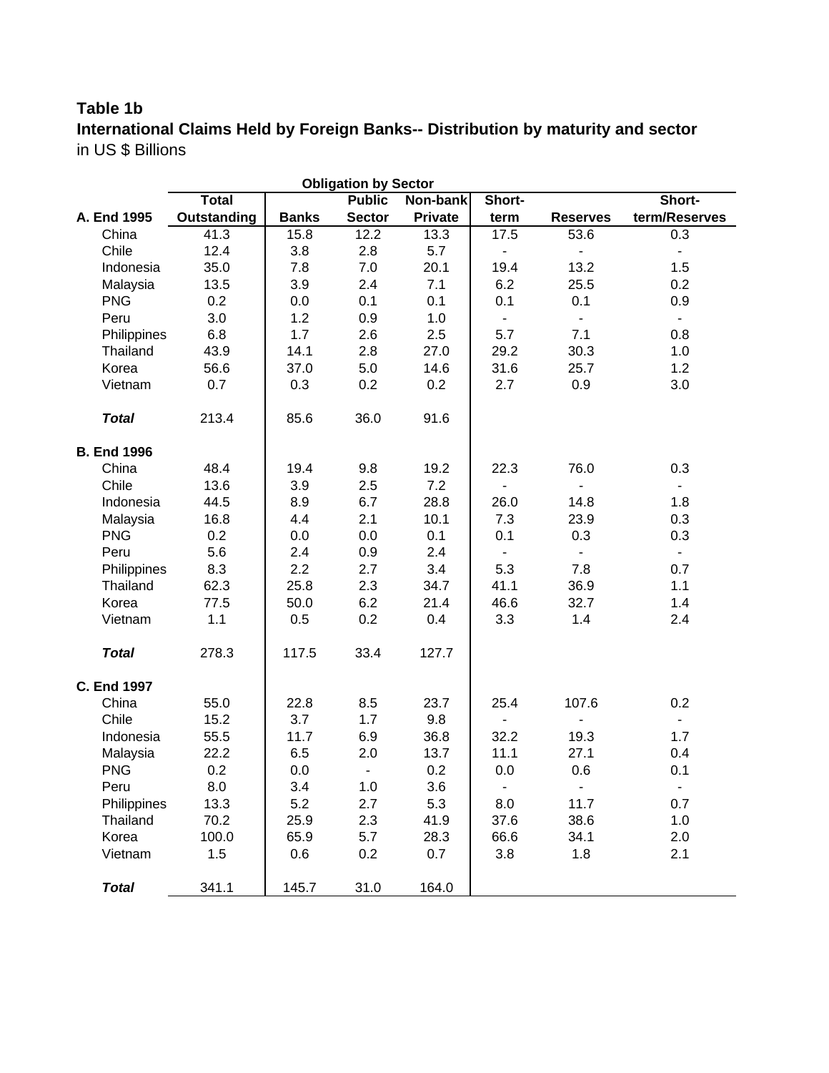# **Table 1b**

**International Claims Held by Foreign Banks-- Distribution by maturity and sector** in US \$ Billions

|                    | <b>Obligation by Sector</b> |              |                          |          |                          |                          |                          |  |  |
|--------------------|-----------------------------|--------------|--------------------------|----------|--------------------------|--------------------------|--------------------------|--|--|
|                    | <b>Total</b>                |              | <b>Public</b>            | Non-bank | Short-                   |                          | Short-                   |  |  |
| A. End 1995        | Outstanding                 | <b>Banks</b> | <b>Sector</b>            | Private  | term                     | <b>Reserves</b>          | term/Reserves            |  |  |
| China              | 41.3                        | 15.8         | 12.2                     | 13.3     | 17.5                     | 53.6                     | 0.3                      |  |  |
| Chile              | 12.4                        | 3.8          | 2.8                      | 5.7      | $\blacksquare$           | $\blacksquare$           | $\blacksquare$           |  |  |
| Indonesia          | 35.0                        | 7.8          | 7.0                      | 20.1     | 19.4                     | 13.2                     | 1.5                      |  |  |
| Malaysia           | 13.5                        | 3.9          | 2.4                      | 7.1      | 6.2                      | 25.5                     | 0.2                      |  |  |
| <b>PNG</b>         | 0.2                         | 0.0          | 0.1                      | 0.1      | 0.1                      | 0.1                      | 0.9                      |  |  |
| Peru               | 3.0                         | 1.2          | 0.9                      | 1.0      | $\blacksquare$           | $\blacksquare$           | $\blacksquare$           |  |  |
| Philippines        | 6.8                         | 1.7          | 2.6                      | 2.5      | 5.7                      | 7.1                      | 0.8                      |  |  |
| Thailand           | 43.9                        | 14.1         | 2.8                      | 27.0     | 29.2                     | 30.3                     | 1.0                      |  |  |
| Korea              | 56.6                        | 37.0         | 5.0                      | 14.6     | 31.6                     | 25.7                     | 1.2                      |  |  |
| Vietnam            | 0.7                         | 0.3          | 0.2                      | 0.2      | 2.7                      | 0.9                      | 3.0                      |  |  |
| <b>Total</b>       | 213.4                       | 85.6         | 36.0                     | 91.6     |                          |                          |                          |  |  |
| <b>B. End 1996</b> |                             |              |                          |          |                          |                          |                          |  |  |
| China              | 48.4                        | 19.4         | 9.8                      | 19.2     | 22.3                     | 76.0                     | 0.3                      |  |  |
| Chile              | 13.6                        | 3.9          | 2.5                      | 7.2      | $\overline{\phantom{a}}$ |                          | $\overline{\phantom{a}}$ |  |  |
| Indonesia          | 44.5                        | 8.9          | 6.7                      | 28.8     | 26.0                     | 14.8                     | 1.8                      |  |  |
| Malaysia           | 16.8                        | 4.4          | 2.1                      | 10.1     | 7.3                      | 23.9                     | 0.3                      |  |  |
| <b>PNG</b>         | 0.2                         | 0.0          | 0.0                      | 0.1      | 0.1                      | 0.3                      | 0.3                      |  |  |
| Peru               | 5.6                         | 2.4          | 0.9                      | 2.4      | ٠                        | $\overline{\phantom{a}}$ | $\blacksquare$           |  |  |
| Philippines        | 8.3                         | 2.2          | 2.7                      | 3.4      | 5.3                      | 7.8                      | 0.7                      |  |  |
| Thailand           | 62.3                        | 25.8         | 2.3                      | 34.7     | 41.1                     | 36.9                     | 1.1                      |  |  |
| Korea              | 77.5                        | 50.0         | 6.2                      | 21.4     | 46.6                     | 32.7                     | 1.4                      |  |  |
| Vietnam            | 1.1                         | 0.5          | 0.2                      | 0.4      | 3.3                      | 1.4                      | 2.4                      |  |  |
| <b>Total</b>       | 278.3                       | 117.5        | 33.4                     | 127.7    |                          |                          |                          |  |  |
| <b>C. End 1997</b> |                             |              |                          |          |                          |                          |                          |  |  |
| China              | 55.0                        | 22.8         | 8.5                      | 23.7     | 25.4                     | 107.6                    | 0.2                      |  |  |
| Chile              | 15.2                        | 3.7          | 1.7                      | 9.8      | $\overline{\phantom{0}}$ |                          | $\blacksquare$           |  |  |
| Indonesia          | 55.5                        | 11.7         | 6.9                      | 36.8     | 32.2                     | 19.3                     | 1.7                      |  |  |
| Malaysia           | 22.2                        | 6.5          | 2.0                      | 13.7     | 11.1                     | 27.1                     | 0.4                      |  |  |
| <b>PNG</b>         | 0.2                         | 0.0          | $\overline{\phantom{a}}$ | 0.2      | 0.0                      | 0.6                      | 0.1                      |  |  |
| Peru               | 8.0                         | 3.4          | 1.0                      | 3.6      |                          |                          |                          |  |  |
| Philippines        | 13.3                        | 5.2          | 2.7                      | 5.3      | 8.0                      | 11.7                     | 0.7                      |  |  |
| Thailand           | 70.2                        | 25.9         | 2.3                      | 41.9     | 37.6                     | 38.6                     | 1.0                      |  |  |
| Korea              | 100.0                       | 65.9         | 5.7                      | 28.3     | 66.6                     | 34.1                     | 2.0                      |  |  |
| Vietnam            | 1.5                         | 0.6          | 0.2                      | 0.7      | 3.8                      | 1.8                      | 2.1                      |  |  |
| <b>Total</b>       | 341.1                       | 145.7        | 31.0                     | 164.0    |                          |                          |                          |  |  |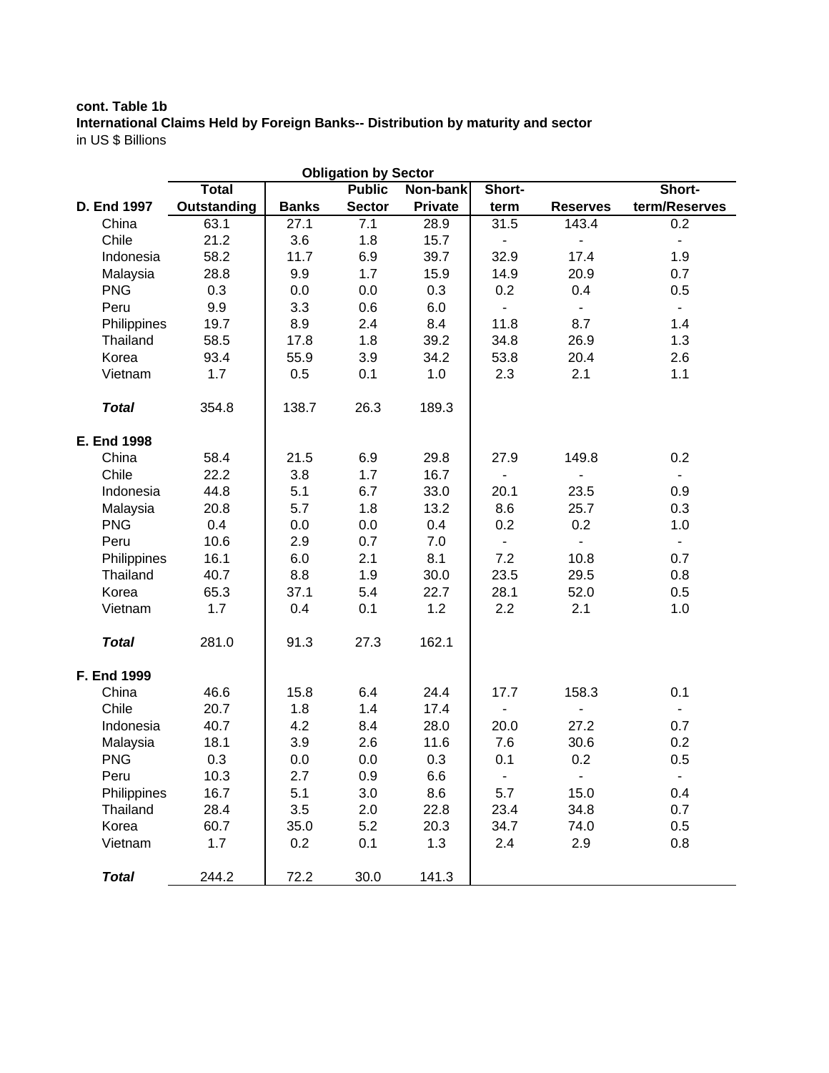### **cont. Table 1b International Claims Held by Foreign Banks-- Distribution by maturity and sector** in US \$ Billions

|                    |              |              | <b>Obligation by Sector</b> |                |                |                          |                |
|--------------------|--------------|--------------|-----------------------------|----------------|----------------|--------------------------|----------------|
|                    | <b>Total</b> |              | <b>Public</b>               | Non-bank       | Short-         |                          | Short-         |
| D. End 1997        | Outstanding  | <b>Banks</b> | <b>Sector</b>               | <b>Private</b> | term           | <b>Reserves</b>          | term/Reserves  |
| China              | 63.1         | 27.1         | 7.1                         | 28.9           | 31.5           | 143.4                    | 0.2            |
| Chile              | 21.2         | 3.6          | 1.8                         | 15.7           | $\blacksquare$ | $\overline{\phantom{a}}$ | $\blacksquare$ |
| Indonesia          | 58.2         | 11.7         | 6.9                         | 39.7           | 32.9           | 17.4                     | 1.9            |
| Malaysia           | 28.8         | 9.9          | 1.7                         | 15.9           | 14.9           | 20.9                     | 0.7            |
| <b>PNG</b>         | 0.3          | 0.0          | 0.0                         | 0.3            | 0.2            | 0.4                      | 0.5            |
| Peru               | 9.9          | 3.3          | 0.6                         | 6.0            | $\blacksquare$ | $\overline{\phantom{0}}$ | $\blacksquare$ |
| Philippines        | 19.7         | 8.9          | 2.4                         | 8.4            | 11.8           | 8.7                      | 1.4            |
| Thailand           | 58.5         | 17.8         | 1.8                         | 39.2           | 34.8           | 26.9                     | 1.3            |
| Korea              | 93.4         | 55.9         | 3.9                         | 34.2           | 53.8           | 20.4                     | 2.6            |
| Vietnam            | 1.7          | 0.5          | 0.1                         | 1.0            | 2.3            | 2.1                      | 1.1            |
| <b>Total</b>       | 354.8        | 138.7        | 26.3                        | 189.3          |                |                          |                |
| <b>E. End 1998</b> |              |              |                             |                |                |                          |                |
| China              | 58.4         | 21.5         | 6.9                         | 29.8           | 27.9           | 149.8                    | 0.2            |
| Chile              | 22.2         | 3.8          | 1.7                         | 16.7           | $\blacksquare$ | $\blacksquare$           |                |
| Indonesia          | 44.8         | 5.1          | 6.7                         | 33.0           | 20.1           | 23.5                     | 0.9            |
| Malaysia           | 20.8         | 5.7          | 1.8                         | 13.2           | 8.6            | 25.7                     | 0.3            |
| <b>PNG</b>         | 0.4          | 0.0          | 0.0                         | 0.4            | 0.2            | 0.2                      | 1.0            |
| Peru               | 10.6         | 2.9          | 0.7                         | 7.0            | $\omega$       | $\overline{\phantom{a}}$ | $\blacksquare$ |
| Philippines        | 16.1         | 6.0          | 2.1                         | 8.1            | 7.2            | 10.8                     | 0.7            |
| Thailand           | 40.7         | 8.8          | 1.9                         | 30.0           | 23.5           | 29.5                     | 0.8            |
| Korea              | 65.3         | 37.1         | 5.4                         | 22.7           | 28.1           | 52.0                     | 0.5            |
| Vietnam            | 1.7          | 0.4          | 0.1                         | 1.2            | 2.2            | 2.1                      | 1.0            |
| <b>Total</b>       | 281.0        | 91.3         | 27.3                        | 162.1          |                |                          |                |
| F. End 1999        |              |              |                             |                |                |                          |                |
| China              | 46.6         | 15.8         | 6.4                         | 24.4           | 17.7           | 158.3                    | 0.1            |
| Chile              | 20.7         | 1.8          | 1.4                         | 17.4           |                |                          | $\blacksquare$ |
| Indonesia          | 40.7         | 4.2          | 8.4                         | 28.0           | 20.0           | 27.2                     | 0.7            |
| Malaysia           | 18.1         | 3.9          | 2.6                         | 11.6           | 7.6            | 30.6                     | 0.2            |
| <b>PNG</b>         | 0.3          | 0.0          | 0.0                         | 0.3            | 0.1            | 0.2                      | 0.5            |
| Peru               | 10.3         | 2.7          | 0.9                         | 6.6            |                |                          |                |
| Philippines        | 16.7         | 5.1          | 3.0                         | 8.6            | 5.7            | 15.0                     | 0.4            |
| Thailand           | 28.4         | 3.5          | 2.0                         | 22.8           | 23.4           | 34.8                     | 0.7            |
| Korea              | 60.7         | 35.0         | 5.2                         | 20.3           | 34.7           | 74.0                     | 0.5            |
| Vietnam            | 1.7          | 0.2          | 0.1                         | 1.3            | 2.4            | 2.9                      | 0.8            |
| <b>Total</b>       | 244.2        | 72.2         | 30.0                        | 141.3          |                |                          |                |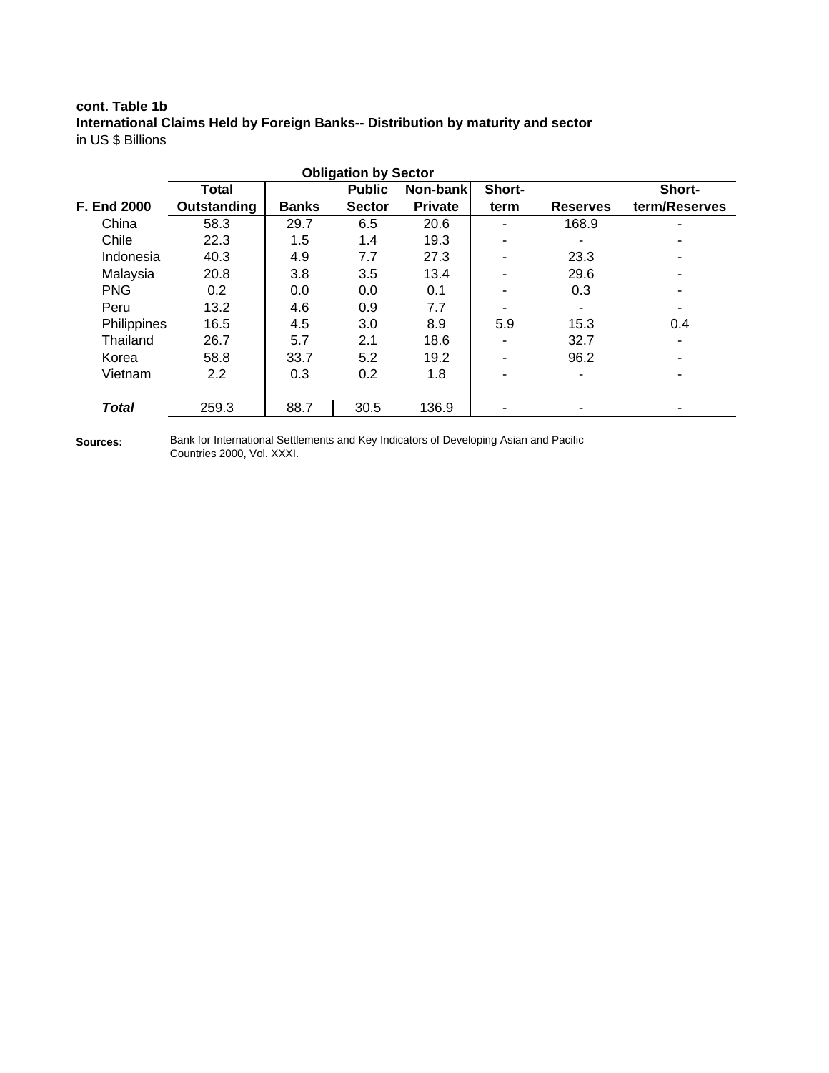### **cont. Table 1b International Claims Held by Foreign Banks-- Distribution by maturity and sector** in US \$ Billions

|                    |               |              | <b>Obligation by Sector</b> |                |                          |                 |               |
|--------------------|---------------|--------------|-----------------------------|----------------|--------------------------|-----------------|---------------|
|                    | Total         |              | <b>Public</b>               | Non-bank       | Short-                   |                 | Short-        |
| <b>F. End 2000</b> | Outstanding   | <b>Banks</b> | <b>Sector</b>               | <b>Private</b> | term                     | <b>Reserves</b> | term/Reserves |
| China              | 58.3          | 29.7         | 6.5                         | 20.6           | Ξ.                       | 168.9           |               |
| Chile              | 22.3          | 1.5          | 1.4                         | 19.3           | ۰                        |                 |               |
| Indonesia          | 40.3          | 4.9          | 7.7                         | 27.3           | ٠                        | 23.3            |               |
| Malaysia           | 20.8          | 3.8          | 3.5                         | 13.4           | ٠                        | 29.6            |               |
| <b>PNG</b>         | 0.2           | 0.0          | 0.0                         | 0.1            | $\overline{\phantom{a}}$ | 0.3             |               |
| Peru               | 13.2          | 4.6          | 0.9                         | 7.7            |                          |                 |               |
| Philippines        | 16.5          | 4.5          | 3.0                         | 8.9            | 5.9                      | 15.3            | 0.4           |
| Thailand           | 26.7          | 5.7          | 2.1                         | 18.6           | ٠                        | 32.7            |               |
| Korea              | 58.8          | 33.7         | 5.2                         | 19.2           | ٠                        | 96.2            |               |
| Vietnam            | $2.2^{\circ}$ | 0.3          | 0.2                         | 1.8            | ٠                        |                 |               |
| <b>Total</b>       | 259.3         | 88.7         | 30.5                        | 136.9          |                          |                 |               |

**Sources:**

Bank for International Settlements and Key Indicators of Developing Asian and Pacific Countries 2000, Vol. XXXI.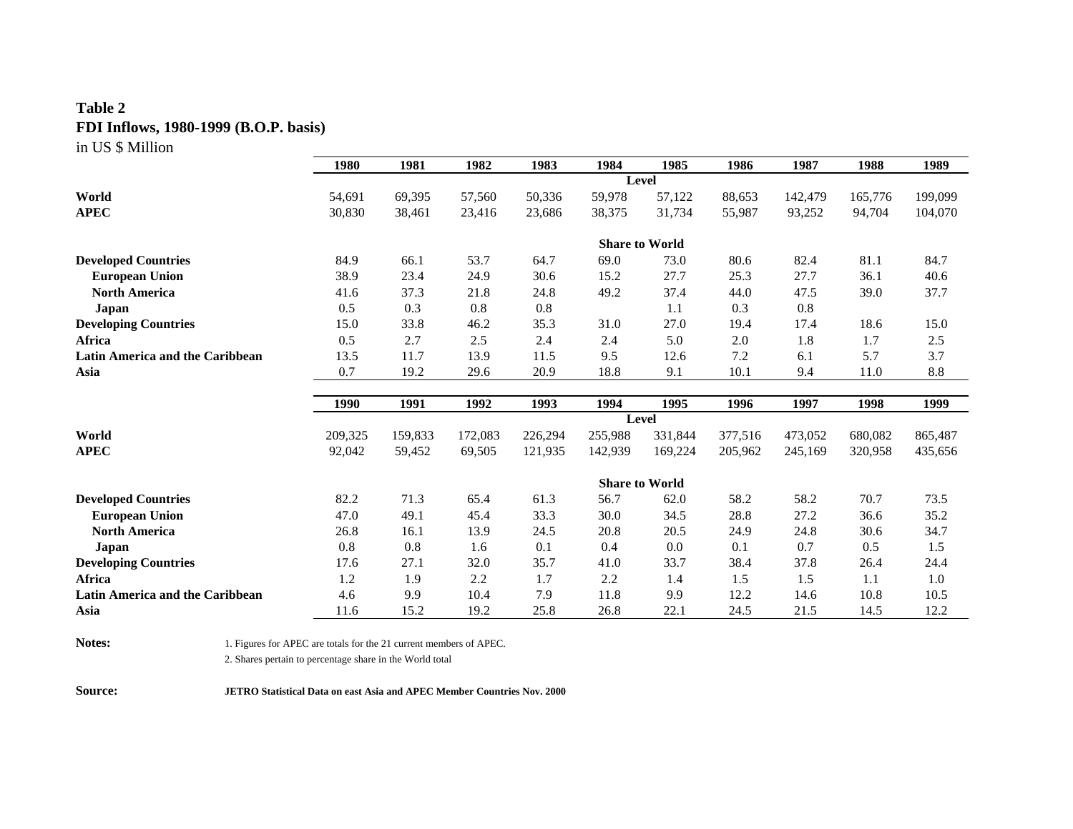## **Table 2 FDI Inflows, 1980-1999 (B.O.P. basis)** in US \$ Million

|                                               | 1980        | 1981         | 1982        | 1983         | 1984                  | 1985        | 1986         | 1987         | 1988         | 1989         |
|-----------------------------------------------|-------------|--------------|-------------|--------------|-----------------------|-------------|--------------|--------------|--------------|--------------|
|                                               |             |              |             |              | Level                 |             |              |              |              |              |
| World                                         | 54,691      | 69,395       | 57,560      | 50,336       | 59,978                | 57,122      | 88,653       | 142,479      | 165,776      | 199,099      |
| <b>APEC</b>                                   | 30,830      | 38,461       | 23,416      | 23,686       | 38,375                | 31,734      | 55,987       | 93,252       | 94,704       | 104,070      |
|                                               |             |              |             |              |                       |             |              |              |              |              |
|                                               |             |              |             |              | <b>Share to World</b> |             |              |              |              |              |
| <b>Developed Countries</b>                    | 84.9        | 66.1         | 53.7        | 64.7         | 69.0                  | 73.0        | 80.6         | 82.4         | 81.1         | 84.7         |
| <b>European Union</b>                         | 38.9        | 23.4         | 24.9        | 30.6         | 15.2                  | 27.7        | 25.3         | 27.7         | 36.1         | 40.6         |
| <b>North America</b>                          | 41.6        | 37.3         | 21.8        | 24.8         | 49.2                  | 37.4        | 44.0         | 47.5         | 39.0         | 37.7         |
| Japan                                         | 0.5         | 0.3          | 0.8         | 0.8          |                       | 1.1         | 0.3          | 0.8          |              |              |
| <b>Developing Countries</b>                   | 15.0        | 33.8         | 46.2        | 35.3         | 31.0                  | 27.0        | 19.4         | 17.4         | 18.6         | 15.0         |
| Africa                                        | 0.5         | 2.7          | 2.5         | 2.4          | 2.4                   | 5.0         | 2.0          | 1.8          | 1.7          | 2.5          |
| Latin America and the Caribbean               | 13.5        | 11.7         | 13.9        | 11.5         | 9.5                   | 12.6        | 7.2          | 6.1          | 5.7          | 3.7          |
| Asia                                          | 0.7         | 19.2         | 29.6        | 20.9         | 18.8                  | 9.1         | 10.1         | 9.4          | 11.0         | 8.8          |
|                                               |             |              |             |              |                       |             |              |              |              |              |
|                                               |             |              |             |              |                       |             |              |              |              |              |
|                                               | 1990        | 1991         | 1992        | 1993         | 1994                  | 1995        | 1996         | 1997         | 1998         | 1999         |
|                                               |             |              |             |              | Level                 |             |              |              |              |              |
| World                                         | 209,325     | 159,833      | 172,083     | 226,294      | 255,988               | 331,844     | 377,516      | 473,052      | 680,082      | 865,487      |
| <b>APEC</b>                                   | 92,042      | 59,452       | 69,505      | 121,935      | 142,939               | 169,224     | 205,962      | 245,169      | 320,958      | 435,656      |
|                                               |             |              |             |              |                       |             |              |              |              |              |
|                                               |             |              |             |              | <b>Share to World</b> |             |              |              |              |              |
| <b>Developed Countries</b>                    | 82.2        | 71.3         | 65.4        | 61.3         | 56.7                  | 62.0        | 58.2         | 58.2         | 70.7         | 73.5         |
| <b>European Union</b><br><b>North America</b> | 47.0        | 49.1<br>16.1 | 45.4        | 33.3<br>24.5 | 30.0                  | 34.5        | 28.8<br>24.9 | 27.2<br>24.8 | 36.6<br>30.6 | 35.2<br>34.7 |
|                                               | 26.8<br>0.8 |              | 13.9<br>1.6 | 0.1          | 20.8<br>0.4           | 20.5        | 0.1          | 0.7          | 0.5          |              |
| Japan                                         | 17.6        | 0.8<br>27.1  | 32.0        | 35.7         | 41.0                  | 0.0         | 38.4         | 37.8         | 26.4         | 1.5<br>24.4  |
| <b>Developing Countries</b><br>Africa         | 1.2         | 1.9          | 2.2         | 1.7          | 2.2                   | 33.7<br>1.4 | 1.5          | 1.5          | 1.1          | 1.0          |
| <b>Latin America and the Caribbean</b>        | 4.6         | 9.9          | 10.4        | 7.9          | 11.8                  | 9.9         | 12.2         | 14.6         | 10.8         | 10.5         |

**Notes:** 1. Figures for APEC are totals for the 21 current members of APEC.

2. Shares pertain to percentage share in the World total

**Source: JETRO Statistical Data on east Asia and APEC Member Countries Nov. 2000**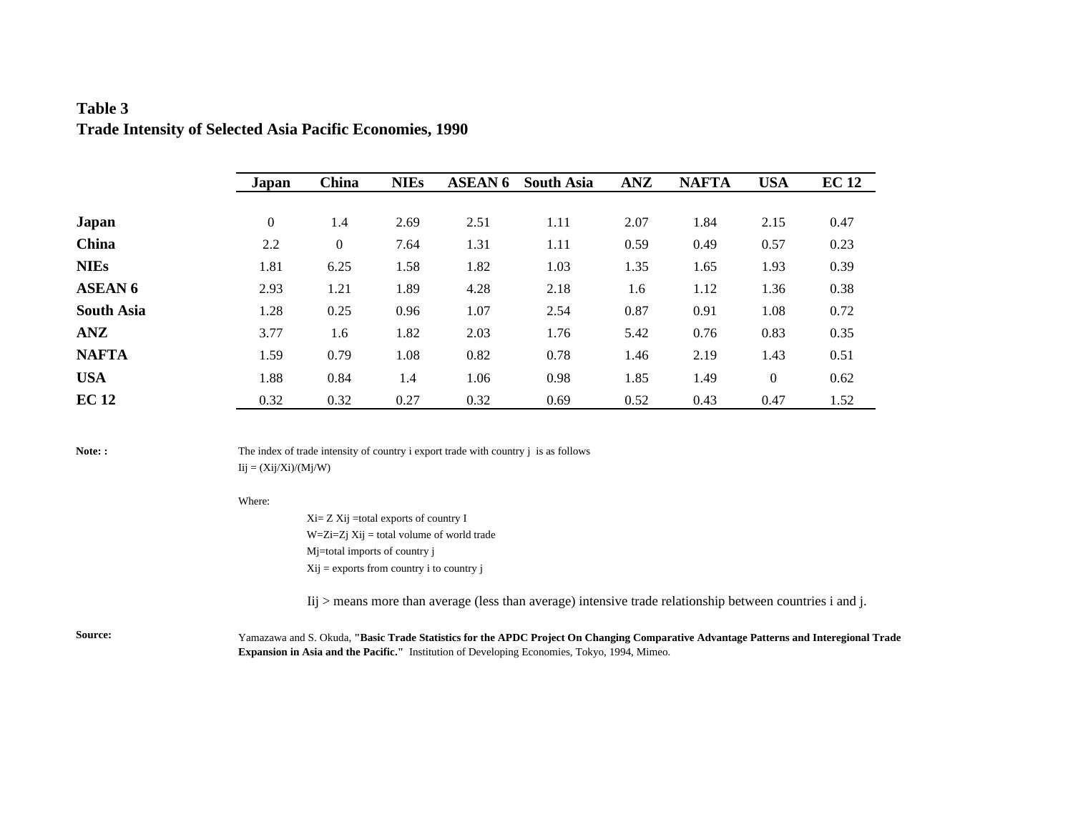## **Table 3 Trade Intensity of Selected Asia Pacific Economies, 1990**

|                   | Japan            | China        | <b>NIEs</b> | <b>ASEAN 6</b> | <b>South Asia</b> | <b>ANZ</b> | <b>NAFTA</b> | <b>USA</b> | <b>EC 12</b> |
|-------------------|------------------|--------------|-------------|----------------|-------------------|------------|--------------|------------|--------------|
|                   |                  |              |             |                |                   |            |              |            |              |
| Japan             | $\boldsymbol{0}$ | 1.4          | 2.69        | 2.51           | 1.11              | 2.07       | 1.84         | 2.15       | 0.47         |
| China             | 2.2              | $\mathbf{0}$ | 7.64        | 1.31           | 1.11              | 0.59       | 0.49         | 0.57       | 0.23         |
| <b>NIEs</b>       | 1.81             | 6.25         | 1.58        | 1.82           | 1.03              | 1.35       | 1.65         | 1.93       | 0.39         |
| <b>ASEAN 6</b>    | 2.93             | 1.21         | 1.89        | 4.28           | 2.18              | 1.6        | 1.12         | 1.36       | 0.38         |
| <b>South Asia</b> | 1.28             | 0.25         | 0.96        | 1.07           | 2.54              | 0.87       | 0.91         | 1.08       | 0.72         |
| <b>ANZ</b>        | 3.77             | 1.6          | 1.82        | 2.03           | 1.76              | 5.42       | 0.76         | 0.83       | 0.35         |
| <b>NAFTA</b>      | 1.59             | 0.79         | 1.08        | 0.82           | 0.78              | 1.46       | 2.19         | 1.43       | 0.51         |
| <b>USA</b>        | 1.88             | 0.84         | 1.4         | 1.06           | 0.98              | 1.85       | 1.49         | $\theta$   | 0.62         |
| <b>EC 12</b>      | 0.32             | 0.32         | 0.27        | 0.32           | 0.69              | 0.52       | 0.43         | 0.47       | 1.52         |

**Note:** : The index of trade intensity of country i export trade with country j is as follows  $Iij = (Xij/Xi)/(Mj/W)$ 

#### Where:

Xi= Z Xij =total exports of country I  $W=Zi=Zj$  Xij = total volume of world trade Mj=total imports of country j  $Xij$  = exports from country i to country j

Iij > means more than average (less than average) intensive trade relationship between countries i and j.

**Source:** Yamazawa and S. Okuda, **"Basic Trade Statistics for the APDC Project On Changing Comparative Advantage Patterns and Interegional Trade Expansion in Asia and the Pacific."** Institution of Developing Economies, Tokyo, 1994, Mimeo.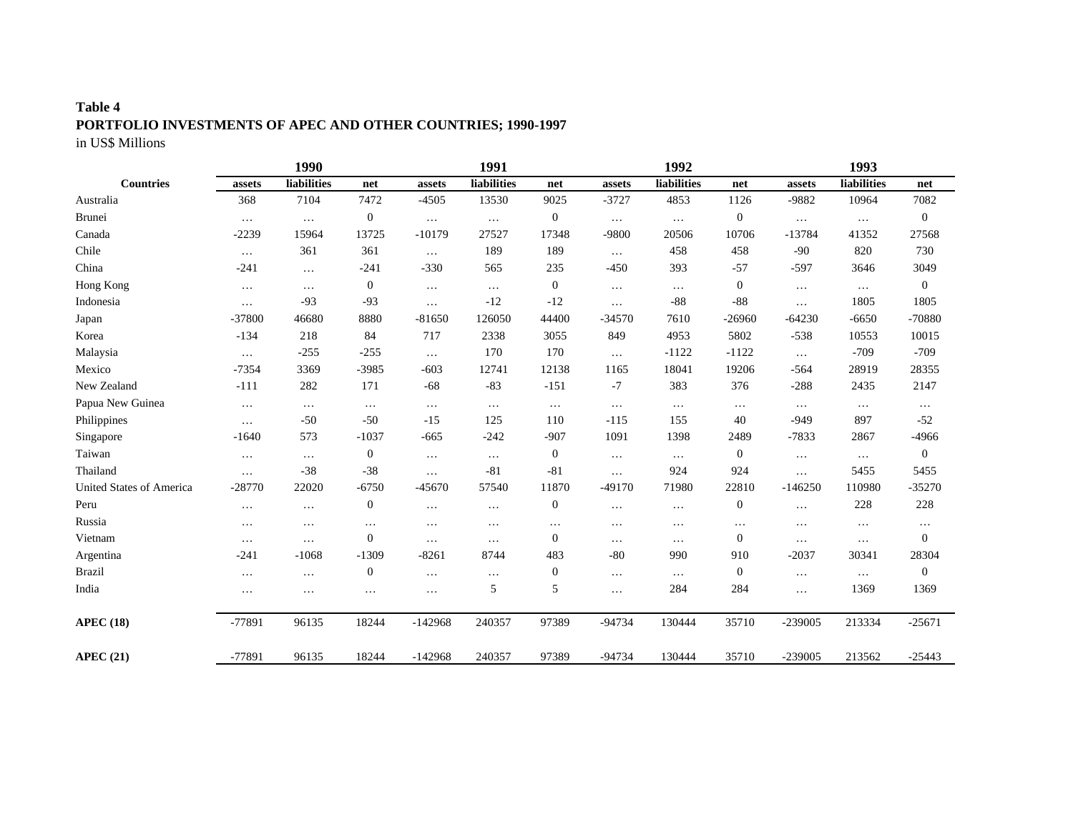# **Table 4 PORTFOLIO INVESTMENTS OF APEC AND OTHER COUNTRIES; 1990-1997**

in US\$ Millions

|                          |          | 1990        |                  |           | 1991        |                  |           | 1992        |                  |           | 1993        |                  |
|--------------------------|----------|-------------|------------------|-----------|-------------|------------------|-----------|-------------|------------------|-----------|-------------|------------------|
| <b>Countries</b>         | assets   | liabilities | net              | assets    | liabilities | net              | assets    | liabilities | net              | assets    | liabilities | net              |
| Australia                | 368      | 7104        | 7472             | $-4505$   | 13530       | 9025             | $-3727$   | 4853        | 1126             | -9882     | 10964       | 7082             |
| <b>Brunei</b>            | $\ldots$ | $\ldots$    | $\boldsymbol{0}$ | $\ldots$  | $\ldots$    | $\mathbf{0}$     | $\ldots$  | $\ldots$    | $\boldsymbol{0}$ | $\ldots$  | $\ldots$    | $\mathbf{0}$     |
| Canada                   | $-2239$  | 15964       | 13725            | $-10179$  | 27527       | 17348            | -9800     | 20506       | 10706            | $-13784$  | 41352       | 27568            |
| Chile                    | $\cdots$ | 361         | 361              | $\ldots$  | 189         | 189              | $\cdots$  | 458         | 458              | $-90$     | 820         | 730              |
| China                    | $-241$   | $\cdots$    | $-241$           | $-330$    | 565         | 235              | $-450$    | 393         | $-57$            | $-597$    | 3646        | 3049             |
| Hong Kong                | $\cdots$ | $\cdots$    | $\boldsymbol{0}$ | $\ldots$  | $\ldots$    | $\mathbf{0}$     | $\ddotsc$ | .           | $\boldsymbol{0}$ | $\ldots$  | $\cdots$    | $\mathbf{0}$     |
| Indonesia                | $\cdots$ | $-93$       | $-93$            | $\cdots$  | $-12$       | $-12$            | $\cdots$  | $-88$       | $-88$            | $\ddots$  | 1805        | 1805             |
| Japan                    | $-37800$ | 46680       | 8880             | $-81650$  | 126050      | 44400            | $-34570$  | 7610        | $-26960$         | $-64230$  | $-6650$     | -70880           |
| Korea                    | $-134$   | 218         | 84               | 717       | 2338        | 3055             | 849       | 4953        | 5802             | $-538$    | 10553       | 10015            |
| Malaysia                 | $\cdots$ | $-255$      | $-255$           | $\ldots$  | 170         | 170              | $\cdots$  | $-1122$     | $-1122$          | $\ldots$  | $-709$      | $-709$           |
| Mexico                   | $-7354$  | 3369        | $-3985$          | $-603$    | 12741       | 12138            | 1165      | 18041       | 19206            | $-564$    | 28919       | 28355            |
| New Zealand              | $-111$   | 282         | 171              | $-68$     | $-83$       | $-151$           | $-7$      | 383         | 376              | $-288$    | 2435        | 2147             |
| Papua New Guinea         | $\cdots$ | $\cdots$    | $\ldots$         | $\cdots$  | $\ldots$    | $\ldots$         | $\ldots$  | $\cdots$    | $\cdots$         | $\ldots$  | $\ldots$    | $\cdots$         |
| Philippines              | $\cdots$ | $-50$       | $-50$            | $-15$     | 125         | 110              | $-115$    | 155         | 40               | $-949$    | 897         | $-52$            |
| Singapore                | $-1640$  | 573         | $-1037$          | $-665$    | $-242$      | $-907$           | 1091      | 1398        | 2489             | $-7833$   | 2867        | $-4966$          |
| Taiwan                   | $\cdots$ | $\cdots$    | $\boldsymbol{0}$ | $\cdots$  | $\cdots$    | $\theta$         | $\cdots$  | $\cdots$    | $\boldsymbol{0}$ | $\ldots$  | $\cdots$    | $\mathbf{0}$     |
| Thailand                 | $\cdots$ | $-38$       | $-38$            | $\cdots$  | $-81$       | $-81$            | $\cdots$  | 924         | 924              | $\cdots$  | 5455        | 5455             |
| United States of America | $-28770$ | 22020       | $-6750$          | $-45670$  | 57540       | 11870            | $-49170$  | 71980       | 22810            | $-146250$ | 110980      | $-35270$         |
| Peru                     | $\cdots$ | $\cdots$    | $\mathbf{0}$     | $\ldots$  | $\cdots$    | $\boldsymbol{0}$ | $\cdots$  | $\cdots$    | 0                | $\cdots$  | 228         | 228              |
| Russia                   | $\cdots$ | $\cdots$    | $\cdots$         | $\cdots$  | $\cdots$    | $\cdots$         | $\cdots$  | $\cdots$    | $\cdots$         | $\cdots$  | $\cdots$    | $\cdots$         |
| Vietnam                  | $\cdots$ | $\cdots$    | $\boldsymbol{0}$ | $\cdots$  | $\cdots$    | $\mathbf{0}$     | $\cdots$  | $\cdots$    | $\mathbf{0}$     | $\cdots$  | $\cdots$    | $\boldsymbol{0}$ |
| Argentina                | $-241$   | $-1068$     | $-1309$          | $-8261$   | 8744        | 483              | $-80$     | 990         | 910              | $-2037$   | 30341       | 28304            |
| <b>Brazil</b>            | $\cdots$ | $\cdots$    | $\boldsymbol{0}$ | $\cdots$  | $\cdots$    | $\theta$         | $\cdots$  | $\ldots$    | $\boldsymbol{0}$ | $\cdots$  | $\cdots$    | $\mathbf{0}$     |
| India                    | $\cdots$ | $\cdots$    | $\cdots$         | $\cdots$  | 5           | 5                | .         | 284         | 284              | $\ddotsc$ | 1369        | 1369             |
| <b>APEC (18)</b>         | -77891   | 96135       | 18244            | $-142968$ | 240357      | 97389            | $-94734$  | 130444      | 35710            | $-239005$ | 213334      | $-25671$         |
| <b>APEC (21)</b>         | $-77891$ | 96135       | 18244            | $-142968$ | 240357      | 97389            | $-94734$  | 130444      | 35710            | $-239005$ | 213562      | $-25443$         |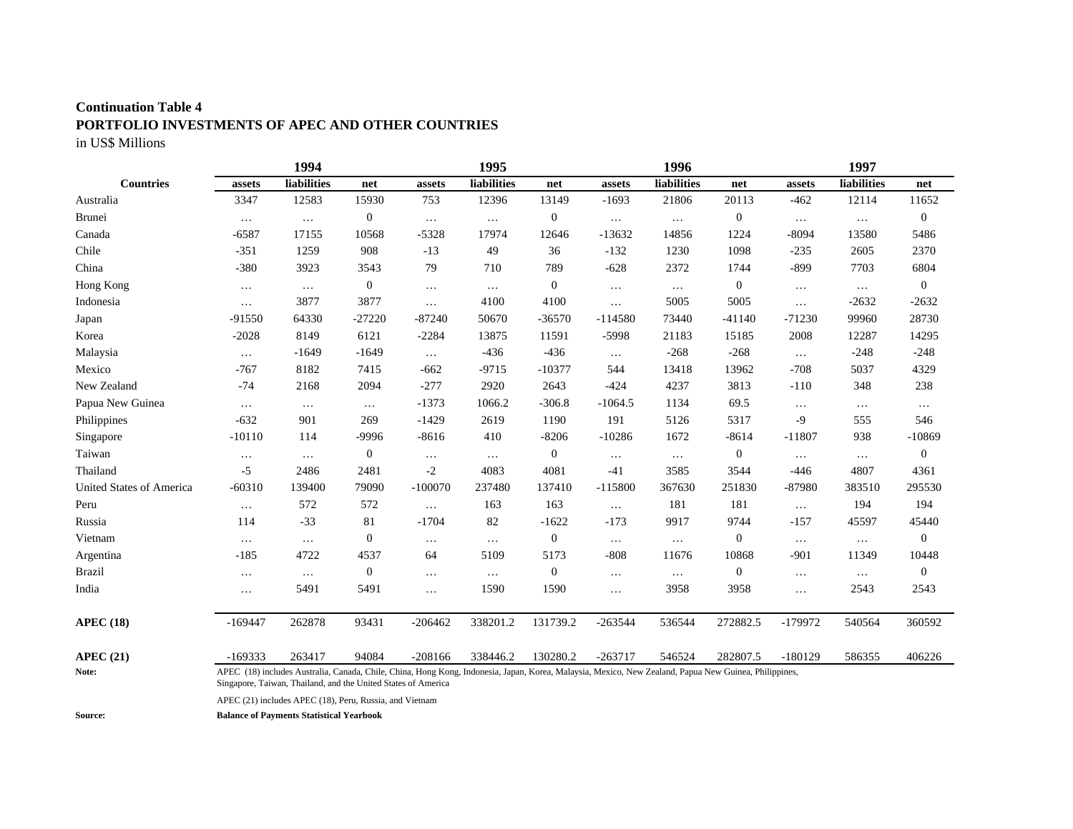#### **Continuation Table 4**

## **PORTFOLIO INVESTMENTS OF APEC AND OTHER COUNTRIES**

in US\$ Millions

|                          |           | 1994                                                                                                                                                                                                                   |                  |           | 1995        |                |           | 1996               |                  |           | 1997               |                  |
|--------------------------|-----------|------------------------------------------------------------------------------------------------------------------------------------------------------------------------------------------------------------------------|------------------|-----------|-------------|----------------|-----------|--------------------|------------------|-----------|--------------------|------------------|
| <b>Countries</b>         | assets    | <b>liabilities</b>                                                                                                                                                                                                     | net              | assets    | liabilities | net            | assets    | <b>liabilities</b> | net              | assets    | <b>liabilities</b> | net              |
| Australia                | 3347      | 12583                                                                                                                                                                                                                  | 15930            | 753       | 12396       | 13149          | $-1693$   | 21806              | 20113            | $-462$    | 12114              | 11652            |
| <b>Brunei</b>            | $\ldots$  | $\ddots$                                                                                                                                                                                                               | $\boldsymbol{0}$ | $\ldots$  | $\cdots$    | $\mathbf{0}$   | $\cdots$  | $\ldots$           | $\boldsymbol{0}$ | $\ldots$  | $\ldots$           | $\boldsymbol{0}$ |
| Canada                   | $-6587$   | 17155                                                                                                                                                                                                                  | 10568            | $-5328$   | 17974       | 12646          | $-13632$  | 14856              | 1224             | $-8094$   | 13580              | 5486             |
| Chile                    | $-351$    | 1259                                                                                                                                                                                                                   | 908              | $-13$     | 49          | 36             | $-132$    | 1230               | 1098             | $-235$    | 2605               | 2370             |
| China                    | $-380$    | 3923                                                                                                                                                                                                                   | 3543             | 79        | 710         | 789            | $-628$    | 2372               | 1744             | $-899$    | 7703               | 6804             |
| Hong Kong                | $\ldots$  | $\ldots$                                                                                                                                                                                                               | $\boldsymbol{0}$ | $\ldots$  | $\cdots$    | $\overline{0}$ | $\ldots$  | $\ldots$           | $\boldsymbol{0}$ | $\ldots$  | $\ldots$           | $\mathbf{0}$     |
| Indonesia                | $\cdots$  | 3877                                                                                                                                                                                                                   | 3877             | $\cdots$  | 4100        | 4100           | $\cdots$  | 5005               | 5005             | $\cdots$  | $-2632$            | $-2632$          |
| Japan                    | $-91550$  | 64330                                                                                                                                                                                                                  | $-27220$         | $-87240$  | 50670       | $-36570$       | $-114580$ | 73440              | $-41140$         | $-71230$  | 99960              | 28730            |
| Korea                    | $-2028$   | 8149                                                                                                                                                                                                                   | 6121             | $-2284$   | 13875       | 11591          | $-5998$   | 21183              | 15185            | 2008      | 12287              | 14295            |
| Malaysia                 | $\cdots$  | $-1649$                                                                                                                                                                                                                | $-1649$          | $\ldots$  | $-436$      | $-436$         | $\ldots$  | $-268$             | $-268$           | $\ldots$  | $-248$             | $-248$           |
| Mexico                   | $-767$    | 8182                                                                                                                                                                                                                   | 7415             | $-662$    | $-9715$     | $-10377$       | 544       | 13418              | 13962            | $-708$    | 5037               | 4329             |
| New Zealand              | $-74$     | 2168                                                                                                                                                                                                                   | 2094             | $-277$    | 2920        | 2643           | $-424$    | 4237               | 3813             | $-110$    | 348                | 238              |
| Papua New Guinea         | $\ldots$  | $\ldots$                                                                                                                                                                                                               | $\ldots$         | $-1373$   | 1066.2      | $-306.8$       | $-1064.5$ | 1134               | 69.5             | $\cdots$  | $\ldots$           | $\ldots$         |
| Philippines              | $-632$    | 901                                                                                                                                                                                                                    | 269              | $-1429$   | 2619        | 1190           | 191       | 5126               | 5317             | $-9$      | 555                | 546              |
| Singapore                | $-10110$  | 114                                                                                                                                                                                                                    | $-9996$          | $-8616$   | 410         | $-8206$        | $-10286$  | 1672               | $-8614$          | $-11807$  | 938                | $-10869$         |
| Taiwan                   | $\cdots$  | $\cdots$                                                                                                                                                                                                               | $\boldsymbol{0}$ | $\cdots$  | $\ldots$    | $\mathbf{0}$   | $\cdots$  | $\ldots$           | $\boldsymbol{0}$ | $\cdots$  | $\cdots$           | $\mathbf{0}$     |
| Thailand                 | $-5$      | 2486                                                                                                                                                                                                                   | 2481             | $-2$      | 4083        | 4081           | $-41$     | 3585               | 3544             | $-446$    | 4807               | 4361             |
| United States of America | $-60310$  | 139400                                                                                                                                                                                                                 | 79090            | $-100070$ | 237480      | 137410         | $-115800$ | 367630             | 251830           | $-87980$  | 383510             | 295530           |
| Peru                     | $\ldots$  | 572                                                                                                                                                                                                                    | 572              | $\ldots$  | 163         | 163            | $\ldots$  | 181                | 181              | $\ldots$  | 194                | 194              |
| Russia                   | 114       | $-33$                                                                                                                                                                                                                  | 81               | $-1704$   | 82          | $-1622$        | $-173$    | 9917               | 9744             | $-157$    | 45597              | 45440            |
| Vietnam                  | $\ldots$  | $\ldots$                                                                                                                                                                                                               | $\boldsymbol{0}$ | $\cdots$  | $\cdots$    | $\mathbf{0}$   | $\cdots$  | $\ldots$           | $\mathbf{0}$     | $\cdots$  | $\ldots$           | $\overline{0}$   |
| Argentina                | $-185$    | 4722                                                                                                                                                                                                                   | 4537             | 64        | 5109        | 5173           | $-808$    | 11676              | 10868            | $-901$    | 11349              | 10448            |
| <b>Brazil</b>            | $\cdots$  | $\ldots$                                                                                                                                                                                                               | $\boldsymbol{0}$ | $\cdots$  | $\cdots$    | $\mathbf{0}$   | $\cdots$  | $\ldots$           | $\boldsymbol{0}$ | $\cdots$  | $\ldots$           | $\mathbf{0}$     |
| India                    | $\cdots$  | 5491                                                                                                                                                                                                                   | 5491             | $\cdots$  | 1590        | 1590           | .         | 3958               | 3958             | $\cdots$  | 2543               | 2543             |
| <b>APEC (18)</b>         | $-169447$ | 262878                                                                                                                                                                                                                 | 93431            | $-206462$ | 338201.2    | 131739.2       | $-263544$ | 536544             | 272882.5         | $-179972$ | 540564             | 360592           |
| APEC(21)                 | $-169333$ | 263417                                                                                                                                                                                                                 | 94084            | $-208166$ | 338446.2    | 130280.2       | $-263717$ | 546524             | 282807.5         | $-180129$ | 586355             | 406226           |
| Note:                    |           | APEC (18) includes Australia, Canada, Chile, China, Hong Kong, Indonesia, Japan, Korea, Malaysia, Mexico, New Zealand, Papua New Guinea, Philippines,<br>Singapore, Taiwan, Thailand, and the United States of America |                  |           |             |                |           |                    |                  |           |                    |                  |

APEC (21) includes APEC (18), Peru, Russia, and Vietnam

**Source: Balance of Payments Statistical Yearbook**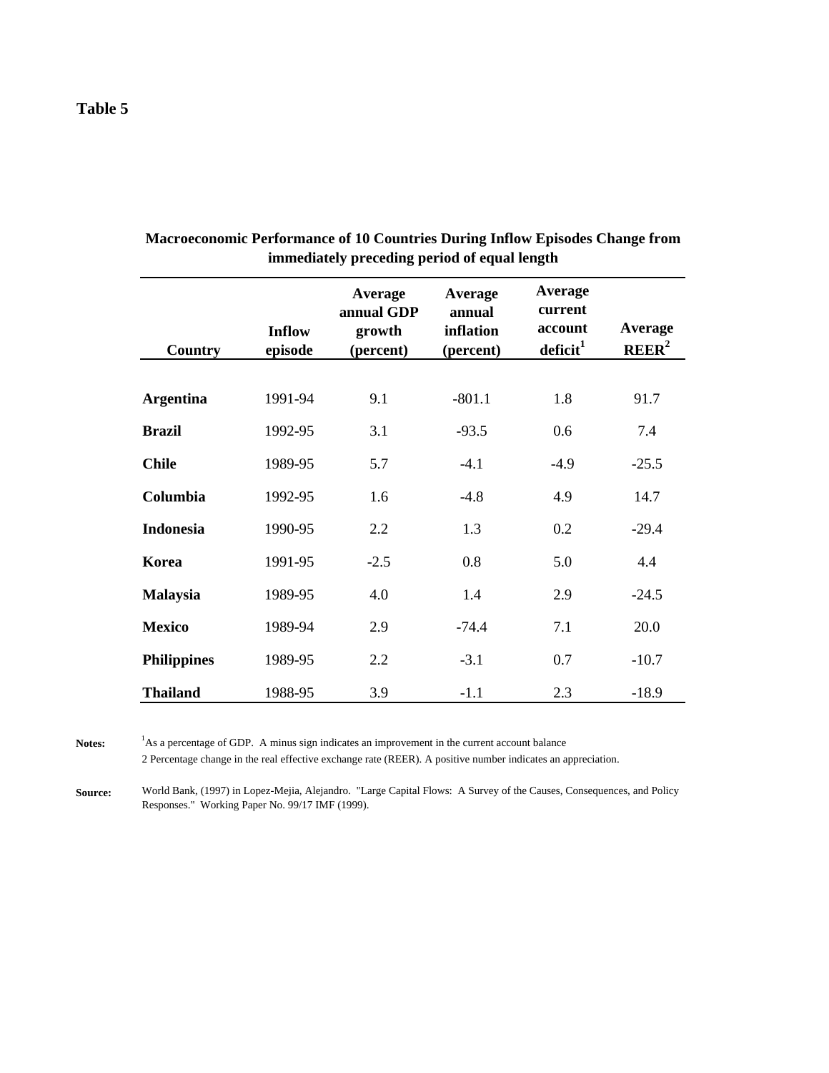| Country            | <b>Inflow</b><br>episode | Average<br>annual GDP<br>growth<br>(percent) | Average<br>annual<br>inflation<br>(percent) | Average<br>current<br>account<br>$\det$ deficit $^1$ | <b>Average</b><br>REER <sup>2</sup> |
|--------------------|--------------------------|----------------------------------------------|---------------------------------------------|------------------------------------------------------|-------------------------------------|
|                    |                          |                                              |                                             |                                                      |                                     |
| <b>Argentina</b>   | 1991-94                  | 9.1                                          | $-801.1$                                    | 1.8                                                  | 91.7                                |
| <b>Brazil</b>      | 1992-95                  | 3.1                                          | $-93.5$                                     | 0.6                                                  | 7.4                                 |
| <b>Chile</b>       | 1989-95                  | 5.7                                          | $-4.1$                                      | $-4.9$                                               | $-25.5$                             |
| Columbia           | 1992-95                  | 1.6                                          | $-4.8$                                      | 4.9                                                  | 14.7                                |
| <b>Indonesia</b>   | 1990-95                  | 2.2                                          | 1.3                                         | 0.2                                                  | $-29.4$                             |
| Korea              | 1991-95                  | $-2.5$                                       | 0.8                                         | 5.0                                                  | 4.4                                 |
| <b>Malaysia</b>    | 1989-95                  | 4.0                                          | 1.4                                         | 2.9                                                  | $-24.5$                             |
| <b>Mexico</b>      | 1989-94                  | 2.9                                          | $-74.4$                                     | 7.1                                                  | 20.0                                |
| <b>Philippines</b> | 1989-95                  | 2.2                                          | $-3.1$                                      | 0.7                                                  | $-10.7$                             |
| <b>Thailand</b>    | 1988-95                  | 3.9                                          | $-1.1$                                      | 2.3                                                  | $-18.9$                             |

**Macroeconomic Performance of 10 Countries During Inflow Episodes Change from immediately preceding period of equal length**

Notes: <sup>1</sup>As a percentage of GDP. A minus sign indicates an improvement in the current account balance 2 Percentage change in the real effective exchange rate (REER). A positive number indicates an appreciation.

**Source:** World Bank, (1997) in Lopez-Mejia, Alejandro. "Large Capital Flows: A Survey of the Causes, Consequences, and Policy Responses." Working Paper No. 99/17 IMF (1999).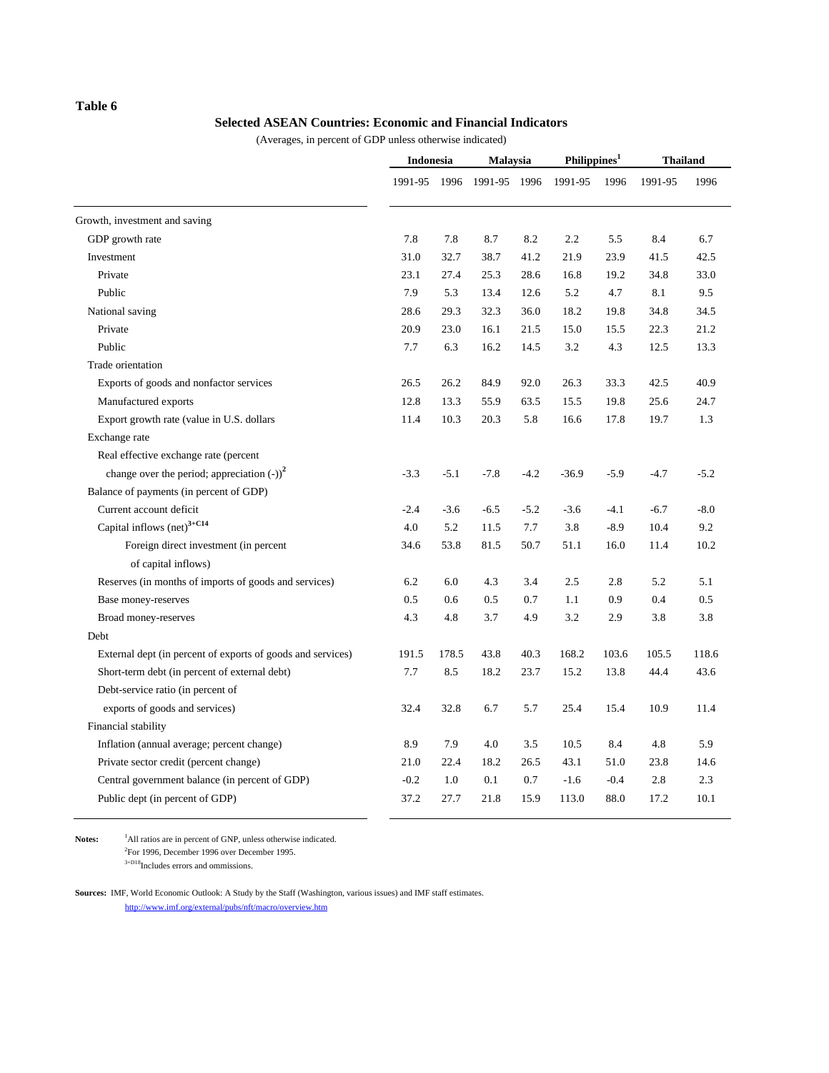### **Table 6**

#### **Selected ASEAN Countries: Economic and Financial Indicators**

(Averages, in percent of GDP unless otherwise indicated)

| 1991-95 1996 1991-95 1996<br>Growth, investment and saving<br>7.8<br>8.2<br>GDP growth rate<br>7.8<br>8.7 | 1991-95<br>2.2<br>21.9<br>16.8<br>5.2 | 1996<br>5.5<br>23.9 | 1991-95<br>8.4 | 1996<br>6.7 |
|-----------------------------------------------------------------------------------------------------------|---------------------------------------|---------------------|----------------|-------------|
|                                                                                                           |                                       |                     |                |             |
|                                                                                                           |                                       |                     |                |             |
|                                                                                                           |                                       |                     |                |             |
| Investment<br>31.0<br>32.7<br>38.7<br>41.2                                                                |                                       |                     | 41.5           | 42.5        |
| Private<br>23.1<br>27.4<br>25.3<br>28.6                                                                   |                                       | 19.2                | 34.8           | 33.0        |
| 7.9<br>Public<br>5.3<br>13.4<br>12.6                                                                      |                                       | 4.7                 | 8.1            | 9.5         |
| National saving<br>28.6<br>29.3<br>32.3<br>36.0                                                           | 18.2                                  | 19.8                | 34.8           | 34.5        |
| Private<br>20.9<br>23.0<br>16.1<br>21.5                                                                   | 15.0                                  | 15.5                | 22.3           | 21.2        |
| Public<br>7.7<br>16.2<br>6.3<br>14.5                                                                      | 3.2                                   | 4.3                 | 12.5           | 13.3        |
| Trade orientation                                                                                         |                                       |                     |                |             |
| Exports of goods and nonfactor services<br>26.5<br>26.2<br>84.9<br>92.0                                   | 26.3                                  | 33.3                | 42.5           | 40.9        |
| 12.8<br>13.3<br>55.9<br>63.5<br>Manufactured exports                                                      | 15.5                                  | 19.8                | 25.6           | 24.7        |
| 20.3<br>5.8<br>Export growth rate (value in U.S. dollars<br>11.4<br>10.3                                  | 16.6                                  | 17.8                | 19.7           | 1.3         |
| Exchange rate                                                                                             |                                       |                     |                |             |
| Real effective exchange rate (percent                                                                     |                                       |                     |                |             |
| change over the period; appreciation $(-)$ ) <sup>2</sup><br>$-3.3$<br>$-5.1$<br>$-7.8$<br>$-4.2$         | $-36.9$                               | $-5.9$              | $-4.7$         | $-5.2$      |
| Balance of payments (in percent of GDP)                                                                   |                                       |                     |                |             |
| Current account deficit<br>$-2.4$<br>$-3.6$<br>$-6.5$<br>$-5.2$                                           | $-3.6$                                | $-4.1$              | $-6.7$         | $-8.0$      |
| Capital inflows $(\text{net})^{3+C14}$<br>4.0<br>5.2<br>7.7<br>11.5                                       | 3.8                                   | $-8.9$              | 10.4           | 9.2         |
| Foreign direct investment (in percent<br>34.6<br>53.8<br>81.5<br>50.7                                     | 51.1                                  | 16.0                | 11.4           | 10.2        |
| of capital inflows)                                                                                       |                                       |                     |                |             |
| 6.0<br>4.3<br>3.4<br>Reserves (in months of imports of goods and services)<br>6.2                         | 2.5                                   | 2.8                 | 5.2            | 5.1         |
| 0.5<br>0.5<br>0.7<br>Base money-reserves<br>0.6                                                           | 1.1                                   | 0.9                 | 0.4            | 0.5         |
| Broad money-reserves<br>4.3<br>4.8<br>3.7<br>4.9                                                          | 3.2                                   | 2.9                 | 3.8            | 3.8         |
| Debt                                                                                                      |                                       |                     |                |             |
| 40.3<br>External dept (in percent of exports of goods and services)<br>191.5<br>178.5<br>43.8             | 168.2                                 | 103.6               | 105.5          | 118.6       |
| Short-term debt (in percent of external debt)<br>7.7<br>8.5<br>18.2<br>23.7                               | 15.2                                  | 13.8                | 44.4           | 43.6        |
| Debt-service ratio (in percent of                                                                         |                                       |                     |                |             |
| exports of goods and services)<br>32.8<br>6.7<br>5.7<br>32.4                                              | 25.4                                  | 15.4                | 10.9           | 11.4        |
| Financial stability                                                                                       |                                       |                     |                |             |
| 4.0<br>Inflation (annual average; percent change)<br>8.9<br>7.9<br>3.5                                    | 10.5                                  | 8.4                 | 4.8            | 5.9         |
| 21.0<br>22.4<br>18.2<br>Private sector credit (percent change)<br>26.5                                    | 43.1                                  | 51.0                | 23.8           | 14.6        |
| $-0.2$<br>Central government balance (in percent of GDP)<br>1.0<br>0.1<br>0.7                             | $-1.6$                                | $-0.4$              | 2.8            | 2.3         |
| 37.2<br>Public dept (in percent of GDP)<br>27.7<br>21.8<br>15.9                                           | 113.0                                 | 88.0                | 17.2           | 10.1        |

Notes: <sup>1</sup>All ratios are in percent of GNP, unless otherwise indicated. 2 For 1996, December 1996 over December 1995.  $3+D18$ Includes errors and ommissions.

**Sources:** IMF, World Economic Outlook: A Study by the Staff (Washington, various issues) and IMF staff estimates. http://www.imf.org/external/pubs/nft/macro/overview.htm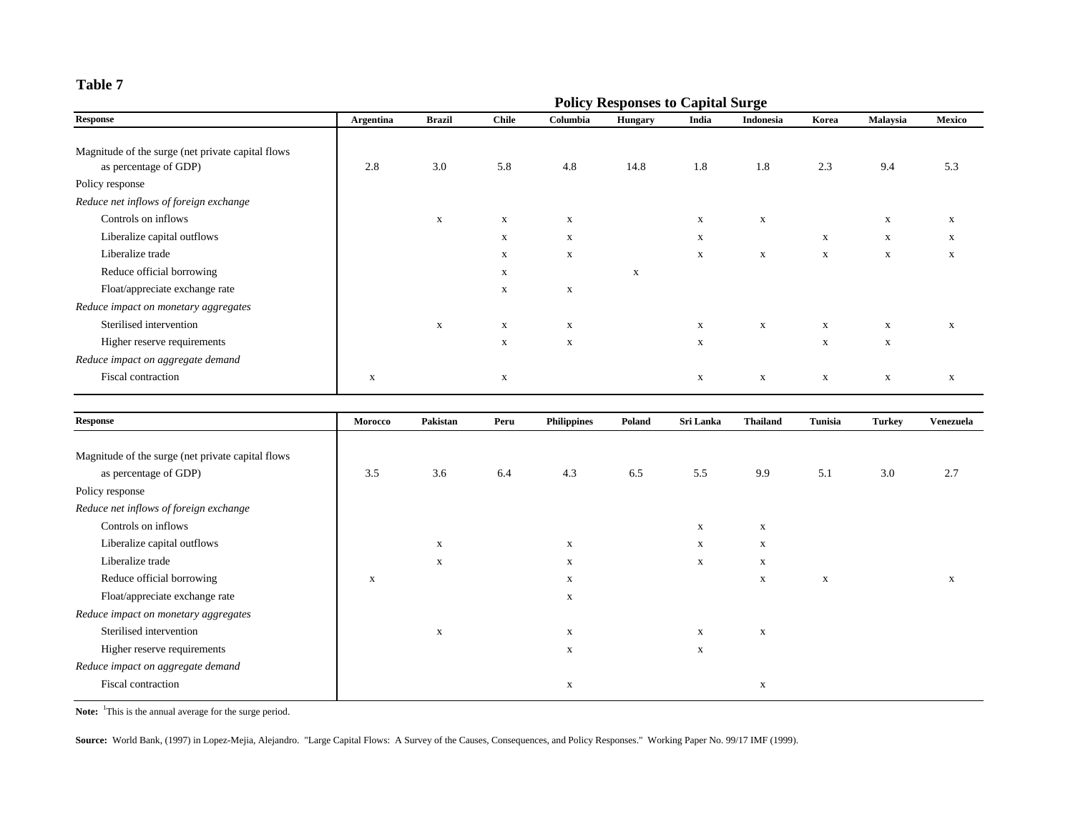## **Table 7**

|                                                    |                  |               |              |              | <b>Policy Responses to Capital Surge</b> |              |             |             |              |        |
|----------------------------------------------------|------------------|---------------|--------------|--------------|------------------------------------------|--------------|-------------|-------------|--------------|--------|
| <b>Response</b>                                    | <b>Argentina</b> | <b>Brazil</b> | <b>Chile</b> | Columbia     | Hungary                                  | India        | Indonesia   | Korea       | Malaysia     | Mexico |
|                                                    |                  |               |              |              |                                          |              |             |             |              |        |
| Magnitude of the surge (net private capital flows) |                  |               |              |              |                                          |              |             |             |              |        |
| as percentage of GDP)                              | 2.8              | 3.0           | 5.8          | 4.8          | 14.8                                     | 1.8          | 1.8         | 2.3         | 9.4          | 5.3    |
| Policy response                                    |                  |               |              |              |                                          |              |             |             |              |        |
| Reduce net inflows of foreign exchange             |                  |               |              |              |                                          |              |             |             |              |        |
| Controls on inflows                                |                  | X             | $\mathbf x$  | $\mathbf{x}$ |                                          | $\mathbf{x}$ | $\mathbf X$ |             | X            | X      |
| Liberalize capital outflows                        |                  |               | X            | $\mathbf{x}$ |                                          | X            |             | X           | $\mathbf{x}$ | X      |
| Liberalize trade                                   |                  |               | X            | $\mathbf X$  |                                          | $\mathbf X$  | $\mathbf X$ | X           | X            | X      |
| Reduce official borrowing                          |                  |               | X            |              | X                                        |              |             |             |              |        |
| Float/appreciate exchange rate                     |                  |               | $\mathbf X$  | $\mathbf X$  |                                          |              |             |             |              |        |
| Reduce impact on monetary aggregates               |                  |               |              |              |                                          |              |             |             |              |        |
| Sterilised intervention                            |                  | $\mathbf X$   | $\mathbf x$  | $\mathbf X$  |                                          | $\mathbf x$  | $\mathbf x$ | $\mathbf x$ | $\mathbf X$  | X      |
| Higher reserve requirements                        |                  |               | $\mathbf X$  | $\mathbf X$  |                                          | $\mathbf X$  |             | $\mathbf X$ | $\mathbf X$  |        |
| Reduce impact on aggregate demand                  |                  |               |              |              |                                          |              |             |             |              |        |
| Fiscal contraction                                 | $\mathbf x$      |               | $\mathbf X$  |              |                                          | $\mathbf X$  | $\mathbf X$ | $\mathbf X$ | X            | X      |

| <b>Response</b>                                   | Morocco | Pakistan    | Peru | <b>Philippines</b> | Poland | Sri Lanka    | <b>Thailand</b> | Tunisia     | Turkey | Venezuela |
|---------------------------------------------------|---------|-------------|------|--------------------|--------|--------------|-----------------|-------------|--------|-----------|
|                                                   |         |             |      |                    |        |              |                 |             |        |           |
| Magnitude of the surge (net private capital flows |         |             |      |                    |        |              |                 |             |        |           |
| as percentage of GDP)                             | 3.5     | 3.6         | 6.4  | 4.3                | 6.5    | 5.5          | 9.9             | 5.1         | 3.0    | 2.7       |
| Policy response                                   |         |             |      |                    |        |              |                 |             |        |           |
| Reduce net inflows of foreign exchange            |         |             |      |                    |        |              |                 |             |        |           |
| Controls on inflows                               |         |             |      |                    |        | $\mathbf x$  | $\mathbf{x}$    |             |        |           |
| Liberalize capital outflows                       |         | $\mathbf x$ |      | $\mathbf{x}$       |        | $\mathbf{x}$ | $\mathbf{x}$    |             |        |           |
| Liberalize trade                                  |         | X           |      | $\mathbf{x}$       |        | $\mathbf X$  | X               |             |        |           |
| Reduce official borrowing                         | X       |             |      | X                  |        |              | $\mathbf{x}$    | $\mathbf X$ |        | X         |
| Float/appreciate exchange rate                    |         |             |      | X                  |        |              |                 |             |        |           |
| Reduce impact on monetary aggregates              |         |             |      |                    |        |              |                 |             |        |           |
| Sterilised intervention                           |         | X           |      | X                  |        | $\mathbf{x}$ | $\mathbf{x}$    |             |        |           |
| Higher reserve requirements                       |         |             |      | $\mathbf{x}$       |        | X            |                 |             |        |           |
| Reduce impact on aggregate demand                 |         |             |      |                    |        |              |                 |             |        |           |
| Fiscal contraction                                |         |             |      | X                  |        |              | X               |             |        |           |

Note: <sup>1</sup>This is the annual average for the surge period.

**Source:** World Bank, (1997) in Lopez-Mejia, Alejandro. "Large Capital Flows: A Survey of the Causes, Consequences, and Policy Responses." Working Paper No. 99/17 IMF (1999).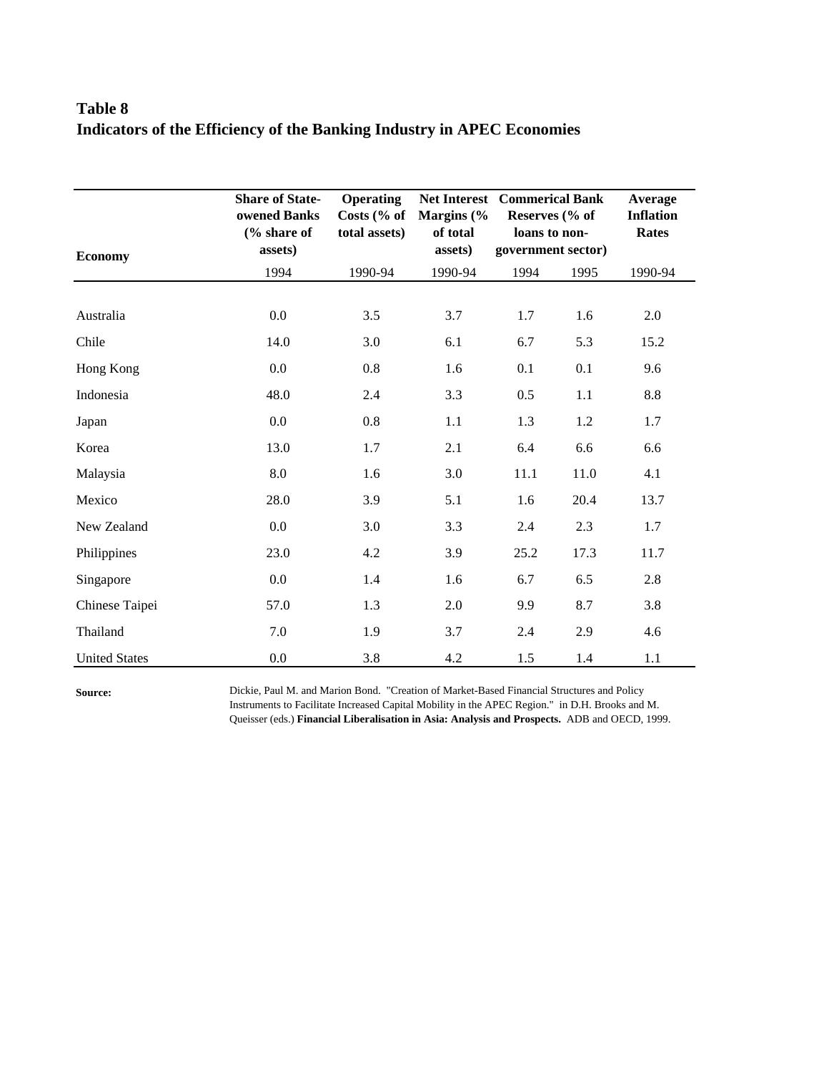# **Table 8 Indicators of the Efficiency of the Banking Industry in APEC Economies**

| <b>Economy</b>       | <b>Share of State-</b><br>owened Banks<br>$\frac{6}{6}$ share of<br>assets) | <b>Operating</b><br>Costs (% of<br>total assets) | <b>Net Interest</b><br>Margins $\frac{6}{6}$<br>of total<br>assets) | <b>Commerical Bank</b><br>Reserves (% of<br>loans to non-<br>government sector) |      | Average<br><b>Inflation</b><br><b>Rates</b> |
|----------------------|-----------------------------------------------------------------------------|--------------------------------------------------|---------------------------------------------------------------------|---------------------------------------------------------------------------------|------|---------------------------------------------|
|                      | 1994                                                                        | 1990-94                                          | 1990-94                                                             | 1994                                                                            | 1995 | 1990-94                                     |
| Australia            | 0.0                                                                         | 3.5                                              | 3.7                                                                 | 1.7                                                                             | 1.6  | 2.0                                         |
| Chile                | 14.0                                                                        | 3.0                                              | 6.1                                                                 | 6.7                                                                             | 5.3  | 15.2                                        |
| Hong Kong            | 0.0                                                                         | 0.8                                              | 1.6                                                                 | 0.1                                                                             | 0.1  | 9.6                                         |
| Indonesia            | 48.0                                                                        | 2.4                                              | 3.3                                                                 | 0.5                                                                             | 1.1  | 8.8                                         |
| Japan                | 0.0                                                                         | 0.8                                              | 1.1                                                                 | 1.3                                                                             | 1.2  | 1.7                                         |
| Korea                | 13.0                                                                        | 1.7                                              | 2.1                                                                 | 6.4                                                                             | 6.6  | 6.6                                         |
| Malaysia             | 8.0                                                                         | 1.6                                              | 3.0                                                                 | 11.1                                                                            | 11.0 | 4.1                                         |
| Mexico               | 28.0                                                                        | 3.9                                              | 5.1                                                                 | 1.6                                                                             | 20.4 | 13.7                                        |
| New Zealand          | 0.0                                                                         | 3.0                                              | 3.3                                                                 | 2.4                                                                             | 2.3  | 1.7                                         |
| Philippines          | 23.0                                                                        | 4.2                                              | 3.9                                                                 | 25.2                                                                            | 17.3 | 11.7                                        |
| Singapore            | 0.0                                                                         | 1.4                                              | 1.6                                                                 | 6.7                                                                             | 6.5  | 2.8                                         |
| Chinese Taipei       | 57.0                                                                        | 1.3                                              | 2.0                                                                 | 9.9                                                                             | 8.7  | 3.8                                         |
| Thailand             | 7.0                                                                         | 1.9                                              | 3.7                                                                 | 2.4                                                                             | 2.9  | 4.6                                         |
| <b>United States</b> | 0.0                                                                         | 3.8                                              | 4.2                                                                 | 1.5                                                                             | 1.4  | 1.1                                         |

**Source:**

Dickie, Paul M. and Marion Bond. "Creation of Market-Based Financial Structures and Policy Instruments to Facilitate Increased Capital Mobility in the APEC Region." in D.H. Brooks and M. Queisser (eds.) **Financial Liberalisation in Asia: Analysis and Prospects.** ADB and OECD, 1999.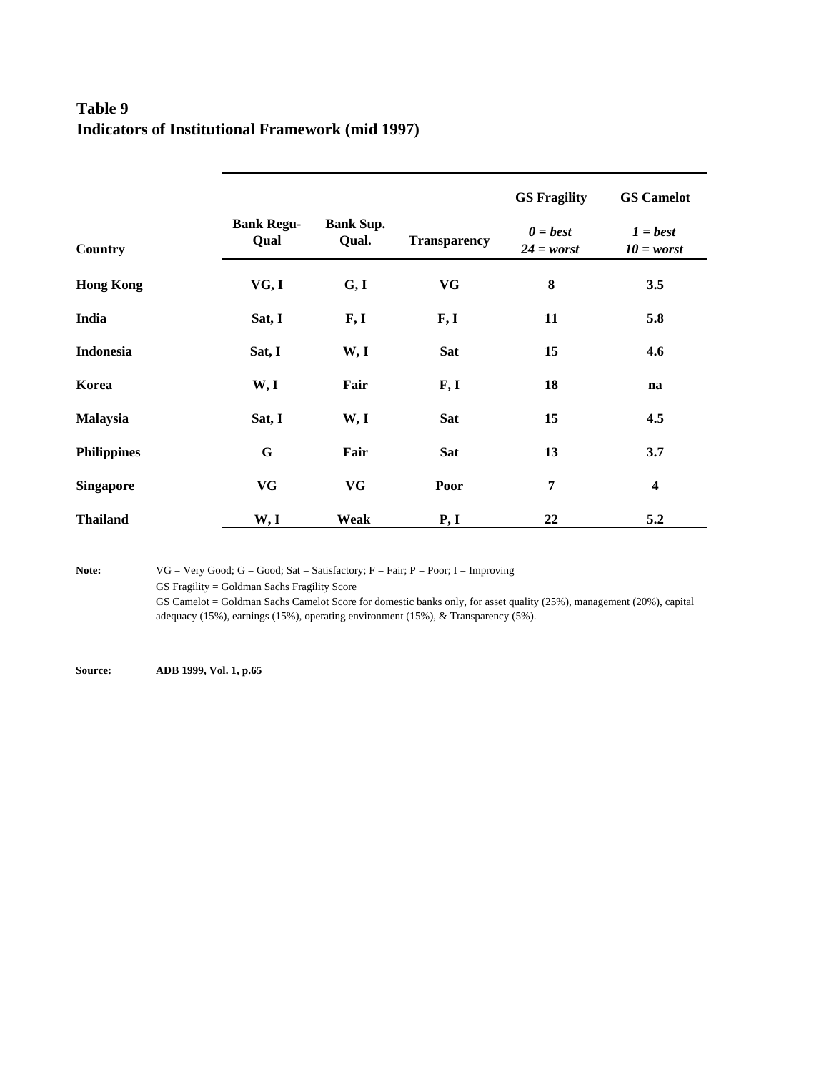## **Table 9 Indicators of Institutional Framework (mid 1997)**

|                    |                           |                           |                     | <b>GS Fragility</b>                                       | <b>GS Camelot</b>          |
|--------------------|---------------------------|---------------------------|---------------------|-----------------------------------------------------------|----------------------------|
| Country            | <b>Bank Regu-</b><br>Qual | <b>Bank Sup.</b><br>Qual. | <b>Transparency</b> | $\boldsymbol{\theta} = \boldsymbol{best}$<br>$24 = worst$ | $1 = best$<br>$10 = worst$ |
| <b>Hong Kong</b>   | VG, I                     | G, I                      | VG                  | ${\bf 8}$                                                 | 3.5                        |
| India              | Sat, I                    | F, I                      | F, I                | 11                                                        | 5.8                        |
| <b>Indonesia</b>   | Sat, I                    | W, I                      | Sat                 | 15                                                        | 4.6                        |
| Korea              | W, I                      | Fair                      | F, I                | 18                                                        | na                         |
| <b>Malaysia</b>    | Sat, I                    | W, I                      | <b>Sat</b>          | 15                                                        | 4.5                        |
| <b>Philippines</b> | $\mathbf G$               | Fair                      | <b>Sat</b>          | 13                                                        | 3.7                        |
| <b>Singapore</b>   | VG                        | VG                        | Poor                | $\overline{7}$                                            | $\overline{\mathbf{4}}$    |
| <b>Thailand</b>    | W, I                      | Weak                      | P, I                | 22                                                        | 5.2                        |

Note: VG = Very Good; G = Good; Sat = Satisfactory; F = Fair; P = Poor; I = Improving

GS Fragility = Goldman Sachs Fragility Score

GS Camelot = Goldman Sachs Camelot Score for domestic banks only, for asset quality (25%), management (20%), capital adequacy (15%), earnings (15%), operating environment (15%), & Transparency (5%).

**Source: ADB 1999, Vol. 1, p.65**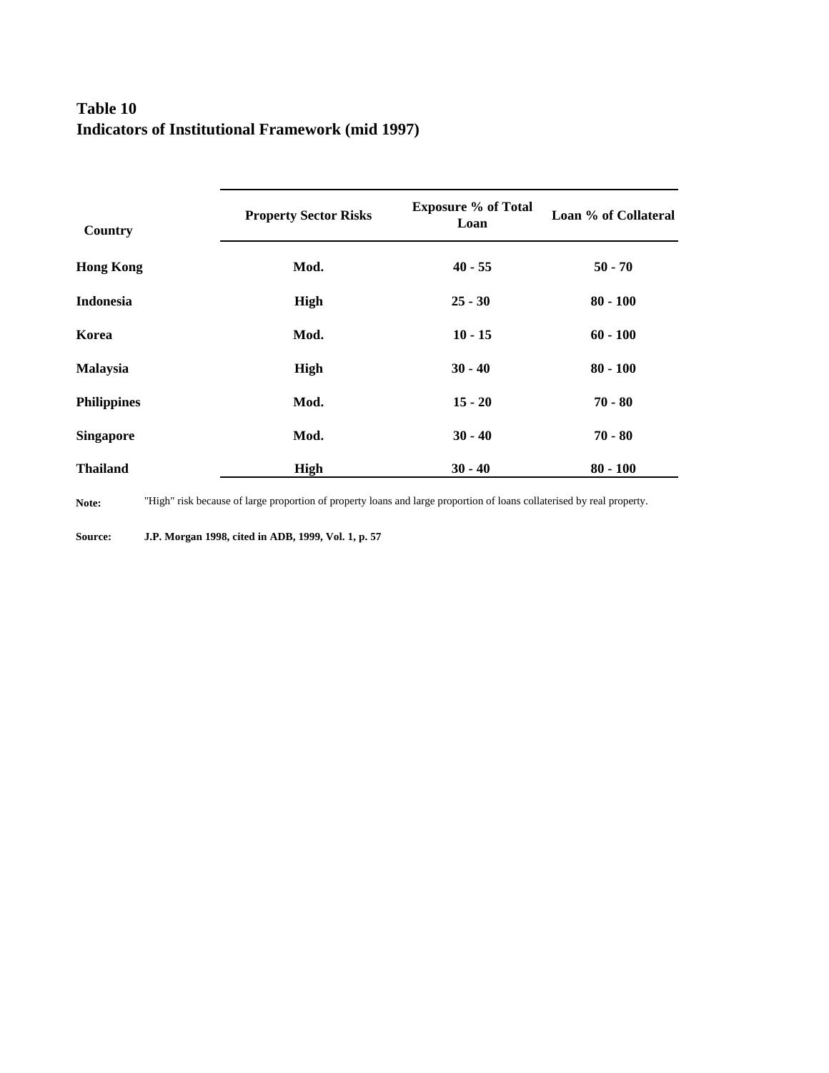## **Table 10 Indicators of Institutional Framework (mid 1997)**

| Country            | <b>Property Sector Risks</b> | <b>Exposure % of Total</b><br>Loan | Loan % of Collateral |
|--------------------|------------------------------|------------------------------------|----------------------|
| <b>Hong Kong</b>   | Mod.                         | $40 - 55$                          | $50 - 70$            |
| <b>Indonesia</b>   | High                         | $25 - 30$                          | $80 - 100$           |
| Korea              | Mod.                         | $10 - 15$                          | $60 - 100$           |
| <b>Malaysia</b>    | High                         | $30 - 40$                          | $80 - 100$           |
| <b>Philippines</b> | Mod.                         | $15 - 20$                          | $70 - 80$            |
| <b>Singapore</b>   | Mod.                         | $30 - 40$                          | $70 - 80$            |
| <b>Thailand</b>    | <b>High</b>                  | $30 - 40$                          | $80 - 100$           |

**Note:** "High" risk because of large proportion of property loans and large proportion of loans collaterised by real property.

**Source: J.P. Morgan 1998, cited in ADB, 1999, Vol. 1, p. 57**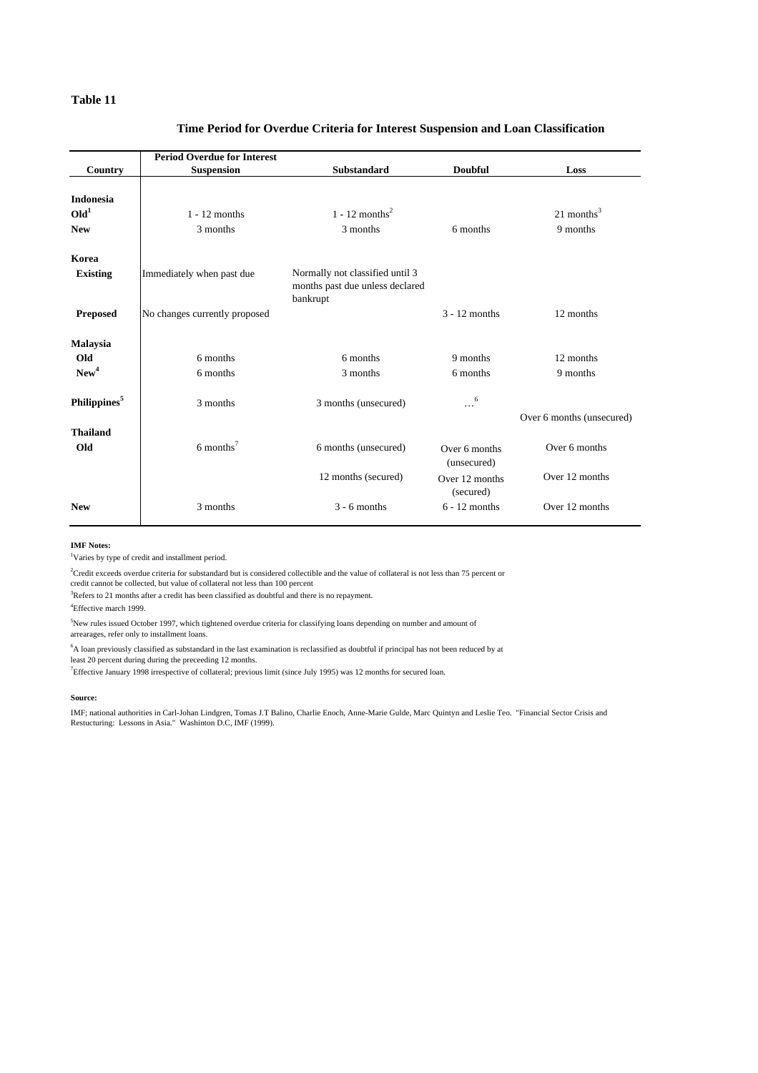#### **Table 11**

#### **Time Period for Overdue Criteria for Interest Suspension and Loan Classification**

|                          | <b>Period Overdue for Interest</b> |                                                                                |                              |                           |
|--------------------------|------------------------------------|--------------------------------------------------------------------------------|------------------------------|---------------------------|
| Country                  | <b>Suspension</b>                  | <b>Substandard</b>                                                             | <b>Doubful</b>               | Loss                      |
|                          |                                    |                                                                                |                              |                           |
| <b>Indonesia</b>         |                                    |                                                                                |                              |                           |
| Old <sup>1</sup>         | $1 - 12$ months                    | 1 - 12 months <sup>2</sup>                                                     |                              | 21 months $3$             |
| <b>New</b>               | 3 months                           | 3 months                                                                       | 6 months                     | 9 months                  |
| Korea                    |                                    |                                                                                |                              |                           |
| <b>Existing</b>          | Immediately when past due          | Normally not classified until 3<br>months past due unless declared<br>bankrupt |                              |                           |
| <b>Preposed</b>          | No changes currently proposed      |                                                                                | $3 - 12$ months              | 12 months                 |
| <b>Malaysia</b>          |                                    |                                                                                |                              |                           |
| Old                      | 6 months                           | 6 months                                                                       | 9 months                     | 12 months                 |
| New <sup>4</sup>         | 6 months                           | 3 months                                                                       | 6 months                     | 9 months                  |
| Philippines <sup>5</sup> | 3 months                           | 3 months (unsecured)                                                           | 6                            |                           |
|                          |                                    |                                                                                |                              | Over 6 months (unsecured) |
| <b>Thailand</b>          |                                    |                                                                                |                              |                           |
| Old                      | $6$ months <sup>7</sup>            | 6 months (unsecured)                                                           | Over 6 months<br>(unsecured) | Over 6 months             |
|                          |                                    | 12 months (secured)                                                            | Over 12 months<br>(secured)  | Over 12 months            |
| <b>New</b>               | 3 months                           | $3 - 6$ months                                                                 | $6 - 12$ months              | Over 12 months            |

#### **IMF Notes:**

<sup>1</sup>Varies by type of credit and installment period.

 ${}^{2}$ Credit exceeds overdue criteria for substandard but is considered collectible and the value of collateral is not less than 75 percent or

credit cannot be collected, but value of collateral not less than 100 percent

 ${}^{3}\!$  Refers to 21 months after a credit has been classified as doubtful and there is no repayment.

4 Effective march 1999.

 $5$ New rules issued October 1997, which tightened overdue criteria for classifying loans depending on number and amount of arrearages, refer only to installment loans.

 ${}^{6}$ A loan previously classified as substandard in the last examination is reclassified as doubtful if principal has not been reduced by at least 20 percent during during the preceeding 12 months.

7 Effective January 1998 irrespective of collateral; previous limit (since July 1995) was 12 months for secured loan.

#### **Source:**

IMF; national authorities in Carl-Johan Lindgren, Tomas J.T Balino, Charlie Enoch, Anne-Marie Gulde, Marc Quintyn and Leslie Teo. "Financial Sector Crisis and Restucturing: Lessons in Asia." Washinton D.C, IMF (1999).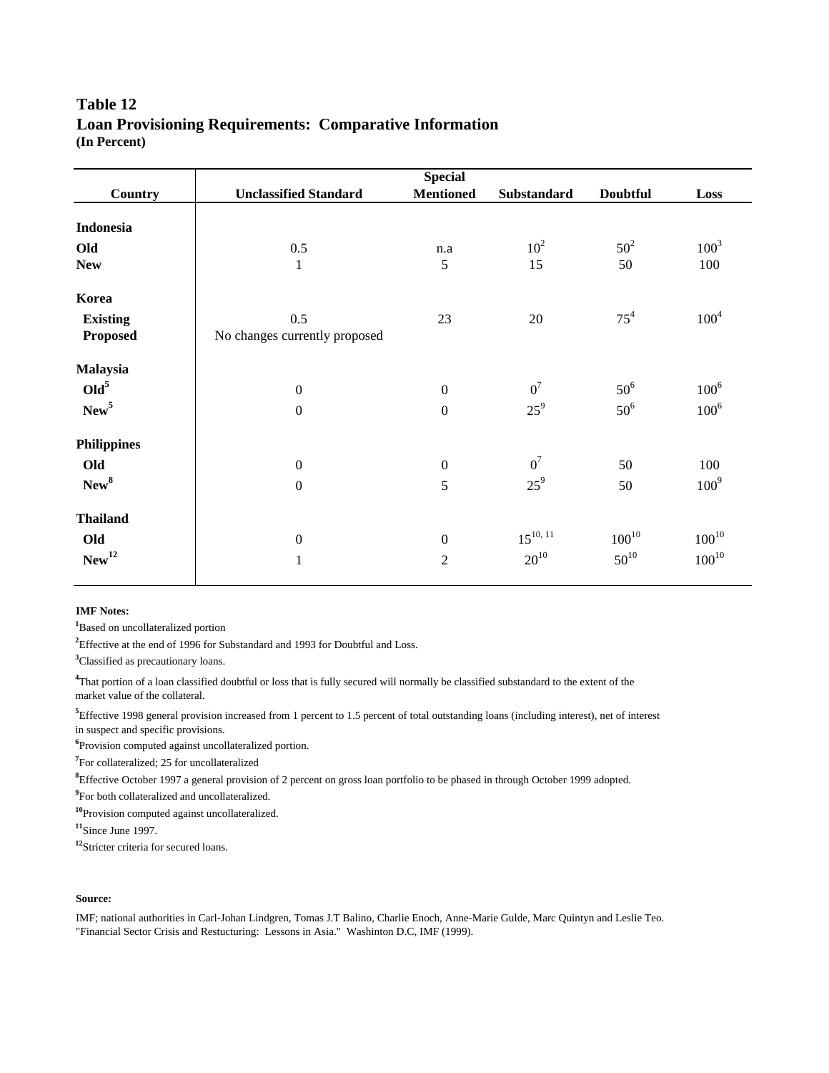# **Table 12 (In Percent) Loan Provisioning Requirements: Comparative Information**

| <b>Country</b>     | <b>Unclassified Standard</b>  | <b>Mentioned</b> | Substandard     | <b>Doubtful</b> | Loss             |
|--------------------|-------------------------------|------------------|-----------------|-----------------|------------------|
| Indonesia          |                               |                  |                 |                 |                  |
| Old                | 0.5                           | n.a              | 10 <sup>2</sup> | $50^2$          | $100^{3}$        |
| <b>New</b>         | $\mathbf{1}$                  | 5                | 15              | 50              | 100              |
| Korea              |                               |                  |                 |                 |                  |
| <b>Existing</b>    | 0.5                           | 23               | 20              | $75^4$          | $100^{4}$        |
| <b>Proposed</b>    | No changes currently proposed |                  |                 |                 |                  |
| Malaysia           |                               |                  |                 |                 |                  |
| Old <sup>5</sup>   | $\boldsymbol{0}$              | $\boldsymbol{0}$ | $0^7$           | $50^6$          | $100^6$          |
| New <sup>5</sup>   | $\boldsymbol{0}$              | $\mathbf{0}$     | $25^9$          | $50^6$          | $100^6$          |
| <b>Philippines</b> |                               |                  |                 |                 |                  |
| Old                | $\boldsymbol{0}$              | $\boldsymbol{0}$ | $0^7$           | 50              | 100              |
| New <sup>8</sup>   | $\boldsymbol{0}$              | 5                | $25^9$          | 50              | 100 <sup>9</sup> |
| <b>Thailand</b>    |                               |                  |                 |                 |                  |
| Old                | $\boldsymbol{0}$              | $\mathbf{0}$     | $15^{10, 11}$   | $100^{10}$      | $100^{10}$       |
| New <sup>12</sup>  | $\mathbf{1}$                  | $\overline{2}$   | $20^{10}$       | $50^{10}$       | $100^{10}$       |
|                    |                               |                  |                 |                 |                  |

### **IMF Notes:**

**<sup>1</sup>**Based on uncollateralized portion

<sup>2</sup>Effective at the end of 1996 for Substandard and 1993 for Doubtful and Loss.

**<sup>3</sup>**Classified as precautionary loans.

**4** That portion of a loan classified doubtful or loss that is fully secured will normally be classified substandard to the extent of the market value of the collateral.

**5** Effective 1998 general provision increased from 1 percent to 1.5 percent of total outstanding loans (including interest), net of interest in suspect and specific provisions.

**6** Provision computed against uncollateralized portion.

<sup>7</sup>For collateralized; 25 for uncollateralized

**8** Effective October 1997 a general provision of 2 percent on gross loan portfolio to be phased in through October 1999 adopted.

<sup>9</sup> For both collateralized and uncollateralized.

**<sup>10</sup>**Provision computed against uncollateralized.

**<sup>11</sup>**Since June 1997.

**<sup>12</sup>**Stricter criteria for secured loans.

### **Source:**

IMF; national authorities in Carl-Johan Lindgren, Tomas J.T Balino, Charlie Enoch, Anne-Marie Gulde, Marc Quintyn and Leslie Teo. "Financial Sector Crisis and Restucturing: Lessons in Asia." Washinton D.C, IMF (1999).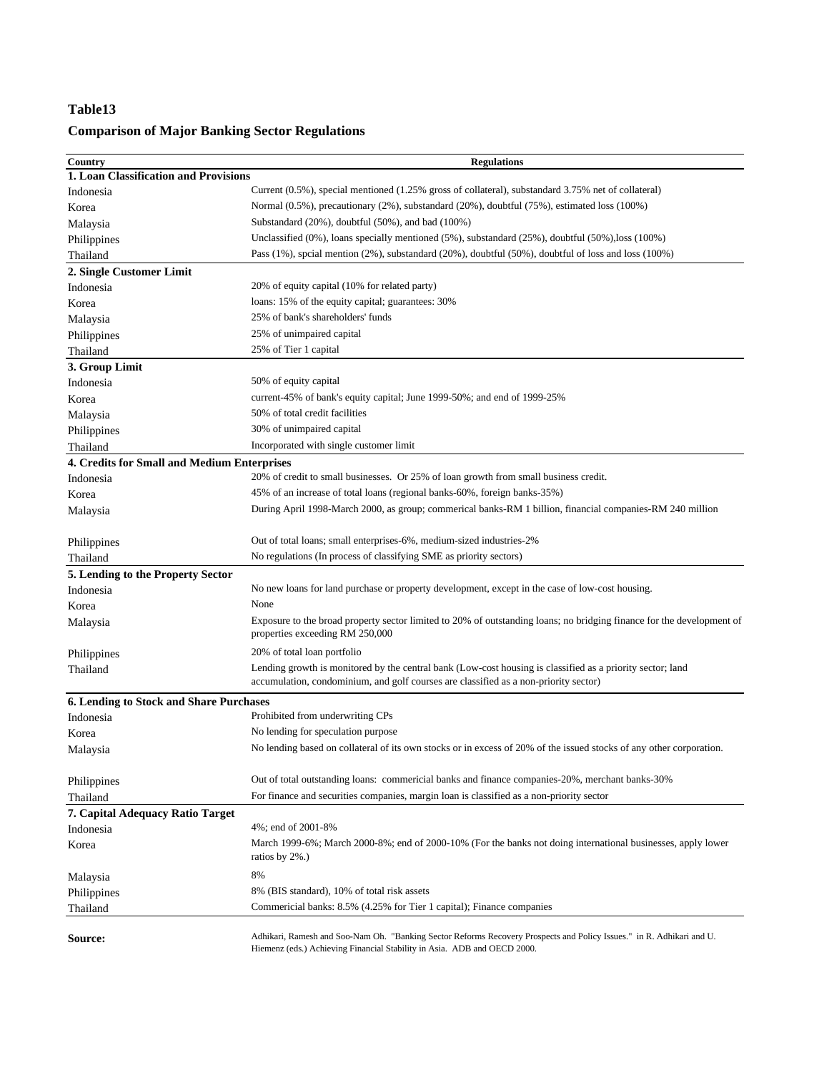## **Table13**

# **Comparison of Major Banking Sector Regulations**

| Country                                        | <b>Regulations</b>                                                                                                                                                                                 |  |  |
|------------------------------------------------|----------------------------------------------------------------------------------------------------------------------------------------------------------------------------------------------------|--|--|
| 1. Loan Classification and Provisions          |                                                                                                                                                                                                    |  |  |
| Indonesia                                      | Current (0.5%), special mentioned (1.25% gross of collateral), substandard 3.75% net of collateral)                                                                                                |  |  |
| Korea                                          | Normal (0.5%), precautionary (2%), substandard (20%), doubtful (75%), estimated loss (100%)                                                                                                        |  |  |
| Malaysia                                       | Substandard (20%), doubtful (50%), and bad (100%)                                                                                                                                                  |  |  |
| Philippines                                    | Unclassified $(0\%)$ , loans specially mentioned $(5\%)$ , substandard $(25\%)$ , doubtful $(50\%)$ , loss $(100\%)$                                                                               |  |  |
| Thailand                                       | Pass $(1\%)$ , spcial mention $(2\%)$ , substandard $(20\%)$ , doubtful $(50\%)$ , doubtful of loss and loss $(100\%)$                                                                             |  |  |
| 2. Single Customer Limit                       |                                                                                                                                                                                                    |  |  |
| Indonesia                                      | 20% of equity capital (10% for related party)                                                                                                                                                      |  |  |
| Korea                                          | loans: 15% of the equity capital; guarantees: 30%                                                                                                                                                  |  |  |
| Malaysia                                       | 25% of bank's shareholders' funds                                                                                                                                                                  |  |  |
| Philippines                                    | 25% of unimpaired capital                                                                                                                                                                          |  |  |
| Thailand                                       | 25% of Tier 1 capital                                                                                                                                                                              |  |  |
| 3. Group Limit                                 |                                                                                                                                                                                                    |  |  |
| Indonesia                                      | 50% of equity capital                                                                                                                                                                              |  |  |
| Korea                                          | current-45% of bank's equity capital; June 1999-50%; and end of 1999-25%                                                                                                                           |  |  |
| Malaysia                                       | 50% of total credit facilities                                                                                                                                                                     |  |  |
| Philippines                                    | 30% of unimpaired capital                                                                                                                                                                          |  |  |
| Thailand                                       | Incorporated with single customer limit                                                                                                                                                            |  |  |
| 4. Credits for Small and Medium Enterprises    |                                                                                                                                                                                                    |  |  |
| Indonesia                                      | 20% of credit to small businesses. Or 25% of loan growth from small business credit.                                                                                                               |  |  |
| Korea                                          | 45% of an increase of total loans (regional banks-60%, foreign banks-35%)                                                                                                                          |  |  |
| Malaysia                                       | During April 1998-March 2000, as group; commerical banks-RM 1 billion, financial companies-RM 240 million                                                                                          |  |  |
| Philippines                                    | Out of total loans; small enterprises-6%, medium-sized industries-2%                                                                                                                               |  |  |
| Thailand                                       | No regulations (In process of classifying SME as priority sectors)                                                                                                                                 |  |  |
| 5. Lending to the Property Sector              |                                                                                                                                                                                                    |  |  |
| Indonesia                                      | No new loans for land purchase or property development, except in the case of low-cost housing.                                                                                                    |  |  |
| Korea                                          | None                                                                                                                                                                                               |  |  |
| Malaysia                                       | Exposure to the broad property sector limited to 20% of outstanding loans; no bridging finance for the development of<br>properties exceeding RM 250,000                                           |  |  |
| Philippines                                    | 20% of total loan portfolio                                                                                                                                                                        |  |  |
| Thailand                                       | Lending growth is monitored by the central bank (Low-cost housing is classified as a priority sector; land<br>accumulation, condominium, and golf courses are classified as a non-priority sector) |  |  |
| <b>6. Lending to Stock and Share Purchases</b> |                                                                                                                                                                                                    |  |  |
| Indonesia                                      | Prohibited from underwriting CPs                                                                                                                                                                   |  |  |
| Korea                                          | No lending for speculation purpose                                                                                                                                                                 |  |  |
| Malaysia                                       | No lending based on collateral of its own stocks or in excess of 20% of the issued stocks of any other corporation.                                                                                |  |  |
| Philippines                                    | Out of total outstanding loans: commericial banks and finance companies-20%, merchant banks-30%                                                                                                    |  |  |
| Thailand                                       | For finance and securities companies, margin loan is classified as a non-priority sector                                                                                                           |  |  |
| 7. Capital Adequacy Ratio Target               |                                                                                                                                                                                                    |  |  |
| Indonesia                                      | 4%; end of 2001-8%                                                                                                                                                                                 |  |  |
| Korea                                          | March 1999-6%; March 2000-8%; end of 2000-10% (For the banks not doing international businesses, apply lower<br>ratios by 2%.)                                                                     |  |  |
| Malaysia                                       | 8%                                                                                                                                                                                                 |  |  |
| Philippines                                    | 8% (BIS standard), 10% of total risk assets                                                                                                                                                        |  |  |
| Thailand                                       | Commericial banks: 8.5% (4.25% for Tier 1 capital); Finance companies                                                                                                                              |  |  |
| <b>Source:</b>                                 | Adhikari, Ramesh and Soo-Nam Oh. "Banking Sector Reforms Recovery Prospects and Policy Issues." in R. Adhikari and U.<br>Hiemenz (eds.) Achieving Financial Stability in Asia. ADB and OECD 2000.  |  |  |